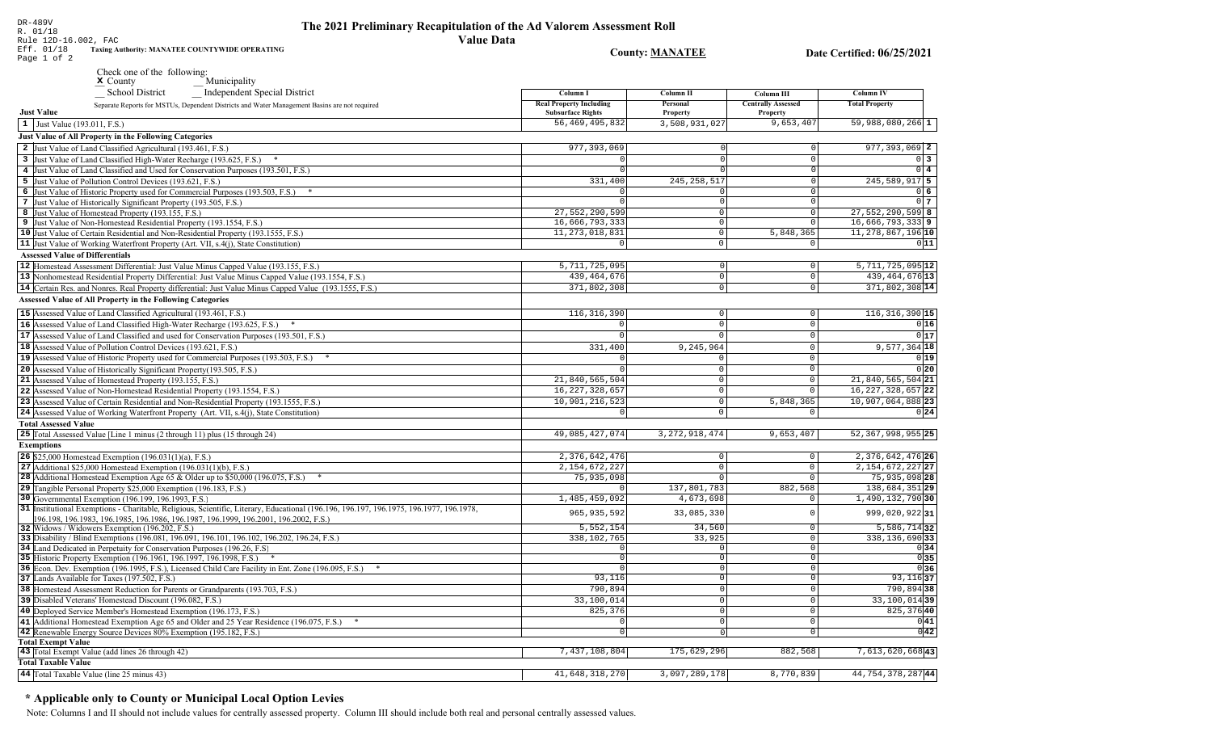Rule 12D-16.002, FAC Eff. 01/18 **Taxing Authority: MANATEE COUNTYWIDE OPERATING County: MANATEE** Date Certified: 06/25/2021 Page 1 of 2 Check one of the following: Municipality **School District** Independent Special District Column I **Column II** Column III **Column IV Real Property Including** Personal **Centrally Assessed Total Property** Separate Reports for MSTUs, Dependent Districts and Water Management Basins are not required **Just Value Subsurface Rights** Property Property 56, 469, 495, 832 3,508,931,02  $9,653,40'$ 59,988,080,266 1  $\vert 1 \vert$  Just Value (193.011, F.S.) **Just Value of All Property in the Following Categories** 2 Just Value of Land Classified Agricultural (193.461, F.S.) 977, 393, 069  $977, 393, 069$  2 3 Just Value of Land Classified High-Water Recharge (193.625, F.S.) \*  $\Omega$  $0\vert 3$ 4 Just Value of Land Classified and Used for Conservation Purposes (193.501, F.S.)  $\overline{0}$  4 5 Just Value of Pollution Control Devices (193.621, F.S.) 331,400 245, 258, 517 245,589,917 5 6 Just Value of Historic Property used for Commercial Purposes (193.503, F.S.) \* 06 7 Just Value of Historically Significant Property (193.505, F.S.)  $\Omega$  $017$ 27,552,290,599  $27,552,290,599$  8 8 Just Value of Homestead Property (193.155, F.S.)  $\Omega$ 16,666,793,333 16,666,793,333 9 9 Just Value of Non-Homestead Residential Property (193.1554, F.S.)  $\Omega$ 10 Just Value of Certain Residential and Non-Residential Property (193.1555, F.S.) 11, 273, 018, 831 5,848,365 11, 278, 867, 196 10  $\circ$ 11 Just Value of Working Waterfront Property (Art. VII, s.4(j), State Constitution)  $\overline{\circ}$  $011$ **Assessed Value of Differentials**  $5,711,725,095$ <sup>12</sup> 12 |Homestead Assessment Differential: Just Value Minus Capped Value (193.155, F.S.) 5,711,725,095  $\Omega$  $\Omega$ 439, 464, 676 13 13 Nonhomestead Residential Property Differential: Just Value Minus Capped Value (193.1554, F.S.) 439, 464, 676  $\mathbb O$ 14 Certain Res. and Nonres. Real Property differential: Just Value Minus Capped Value (193.1555, F.S.) 371,802,308  $\overline{0}$ 371,802,308 14 **Assessed Value of All Property in the Following Categories** 15 Assessed Value of Land Classified Agricultural (193.461, F.S.) 116, 316, 390  $\Omega$  $116, 316, 390$  15 16 Assessed Value of Land Classified High-Water Recharge (193.625, F.S.)  $0|16|$  $\Omega$  $\Omega$  $0|17$ **17** Assessed Value of Land Classified and used for Conservation Purposes (193.501, F.S.)  $\mathbf{0}$  $\Omega$  $\Omega$ 18 Assessed Value of Pollution Control Devices (193.621, F.S.) 331,400  $9.245.964$  $9,577,364$  18 19 Assessed Value of Historic Property used for Commercial Purposes (193.503, F.S.) \*  $0|19|$ 20 Assessed Value of Historically Significant Property (193.505, F.S.)  $0|20$  $\cap$  $\Omega$ 21,840,565,504 21 Assessed Value of Homestead Property (193.155, F.S.) 21,840,565,504 21  $\cap$ 22 Assessed Value of Non-Homestead Residential Property (193.1554, F.S.) 16, 227, 328, 657  $\Omega$ 16, 227, 328, 657 22 10,901,216,523 10,907,064,888 23 23 Assessed Value of Certain Residential and Non-Residential Property (193.1555, F.S.) 5,848,365  $\cap$ 24 Assessed Value of Working Waterfront Property (Art. VII, s.4(j), State Constitution)  $0|24|$  $\mathsf{O}$ **Total Assessed Value** 25 Total Assessed Value [Line 1 minus (2 through 11) plus (15 through 24) 49,085,427,074 3, 272, 918, 474  $9,653,407$ 52, 367, 998, 955 25 **Exemptions** 2,376,642,476 **26** \$25,000 Homestead Exemption  $(196.031(1)(a), F.S.)$ 2,376,642,476 26  $\Omega$ 27 Additional \$25,000 Homestead Exemption  $(196.031(1)(b), F.S.)$ 2, 154, 672, 227  $\Omega$ 2, 154, 672, 227 27  $\sqrt{ }$  $75,935,098$ 75,935,098 28 28 Additional Homestead Exemption Age 65 & Older up to \$50,000 (196.075, F.S.) \*  $\cap$  $\sqrt{ }$ 29 Tangible Personal Property \$25,000 Exemption (196.183, F.S.) 137,801,783 882,568 138,684,351 29 30 Governmental Exemption (196.199, 196.1993, F.S.) 1,485,459,092 4,673,698  $1,490,132,790$ 30 31 Institutional Exemptions - Charitable, Religious, Scientific, Literary, Educational (196.196, 196.197, 196.1977, 196.1977, 196.1978, 965, 935, 592 33,085,330 999,020,92231  $\Omega$ 196.198, 196.1983, 196.1985, 196.1986, 196.1987, 196.1999, 196.2001, 196.2002, F.S.)  $5, 552, 154$ 34.560  $5,586,714$  32 32 Widows / Widowers Exemption (196.202, F.S.)  $\Omega$ 33 Disability / Blind Exemptions (196.081, 196.091, 196.101, 196.102, 196.202, 196.24, F.S.) 338,102,765 33,925  $\overline{0}$ 338, 136, 690 33 34 Land Dedicated in Perpetuity for Conservation Purposes (196.26, F.S)  $\overline{\circ}$  $0|34|$  $\cap$  $0|35|$ 35 Historic Property Exemption (196.1961, 196.1997, 196.1998, F.S.) \*  $\circ$  $\Omega$ 36 Econ. Dev. Exemption (196.1995, F.S.), Licensed Child Care Facility in Ent. Zone (196.095, F.S.) \*  $\overline{0}$  $0|36|$  $93,116$  37 37 Lands Available for Taxes (197.502, F.S.)  $93,116$  $\overline{0}$ 38 Homestead Assessment Reduction for Parents or Grandparents (193.703, F.S.) 790,894 790,894 38 0 33,100,014 33,100,014 39 39 Disabled Veterans' Homestead Discount (196.082, F.S.)  $\overline{0}$ 40 Deployed Service Member's Homestead Exemption (196.173, F.S.) 825,376  $\cap$  $825, 376$  40  $0|41|$ 41 Additional Homestead Exemption Age 65 and Older and 25 Year Residence (196.075, F.S.) \*  $\overline{0}$  $\Omega$  $\overline{0|42|}$ 42 Renewable Energy Source Devices 80% Exemption (195.182, F.S.)  $\overline{0}$  $\overline{0}$ **Total Exempt Value** 43 Total Exempt Value (add lines 26 through 42) 7,437,108,804 175,629,296  $882,568$ 7,613,620,66843 **Total Taxable Value** 

41,648,318,270

3,097,289,178

8,770,839

44, 754, 378, 287 44

### \* Applicable only to County or Municipal Local Option Levies

44 Total Taxable Value (line 25 minus 43)

DR-489V

R. 01/18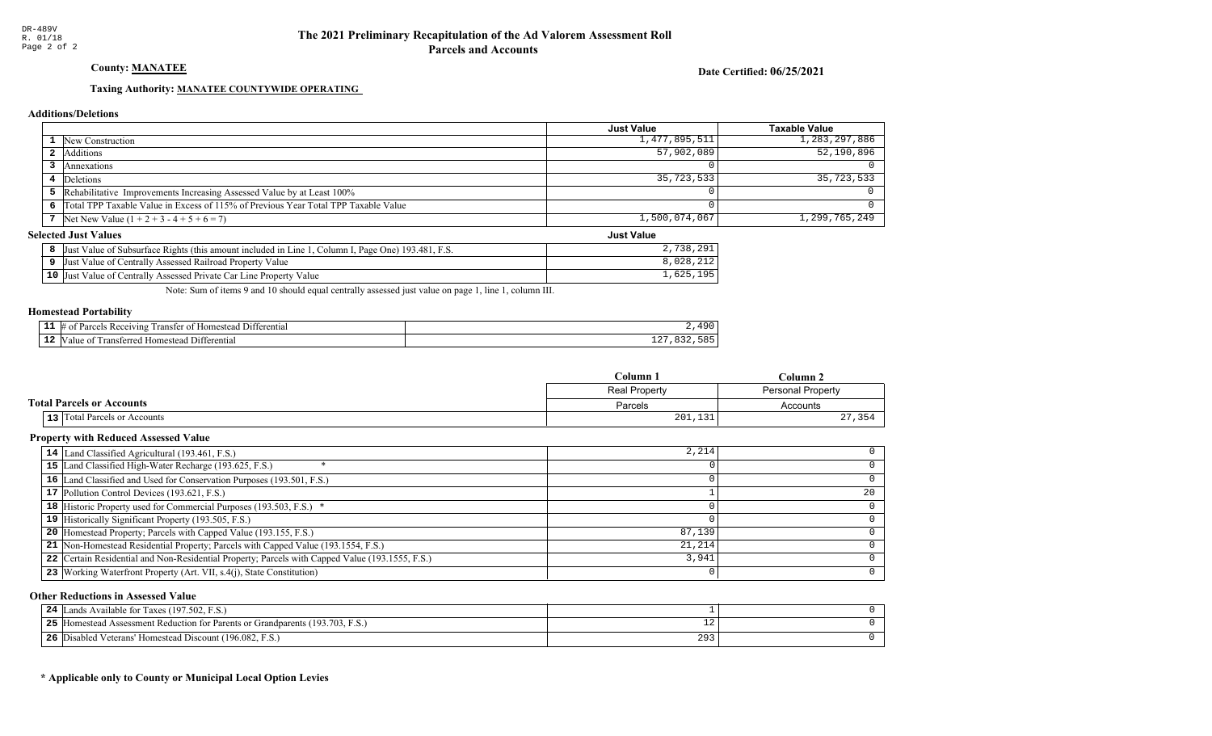### County: **MANATEE**

Date Certified: 06/25/2021

Just Value

### Taxing Authority: MANATEE COUNTYWIDE OPERATING

#### Additions/Deletions

|                                                                                      | <b>Just Value</b> | Taxable Value |
|--------------------------------------------------------------------------------------|-------------------|---------------|
| <b>1</b> New Construction                                                            | 1,477,895,511     | 1,283,297,886 |
| <b>2</b> Additions                                                                   | 57,902,089        | 52, 190, 896  |
| Annexations                                                                          |                   |               |
| 4 Deletions                                                                          | 35,723,533        | $35,723,533$  |
| 5 Rehabilitative Improvements Increasing Assessed Value by at Least 100%             |                   |               |
| 6 Total TPP Taxable Value in Excess of 115% of Previous Year Total TPP Taxable Value |                   |               |
| 7 Net New Value $(1 + 2 + 3 - 4 + 5 + 6 = 7)$                                        | 1,500,074,067     | 1,299,765,249 |

#### Selected Just Values

| Column I, Page One) 193.481,<br>. Value of Subsurface Rights (this amount included in Line 1<br>Just | 291<br>720   |
|------------------------------------------------------------------------------------------------------|--------------|
| Just Value of Centrally Assessed Railroad Property Value                                             |              |
| $10$ Just<br>Value<br>Value of Centrally Assessed Private Car Line Property                          | 105<br>1,625 |

Note: Sum of items 9 and 10 should equal centrally assessed just value on page 1, line 1, column III.

#### Homestead Portability

|     | $\overline{\phantom{a}}$<br>l )1†<br>erentia<br>teceiving<br>יזוי<br>Homes <sup>+</sup><br>ranster<br>$\Omega$ | $\Omega$                    |
|-----|----------------------------------------------------------------------------------------------------------------|-----------------------------|
| . . | $r_{\alpha r r}$<br>-11<br>terentia<br>'omestea.<br>an                                                         | $\sim$ $\sim$<br>— <u>—</u> |

|                                     | $C$ olumn                                 | Column 2 |
|-------------------------------------|-------------------------------------------|----------|
|                                     | <b>Real Property</b><br>Personal Property |          |
| <b>Total Parcels or Accounts</b>    | Parcels                                   | Accounts |
| <b>13</b> Total Parcels or Accounts | 201,131                                   | 27,354   |

### Property with Reduced Assessed Value

| 14 Land Classified Agricultural (193.461, F.S.)                                                 | 2,214  |    |
|-------------------------------------------------------------------------------------------------|--------|----|
| 15 Land Classified High-Water Recharge (193.625, F.S.)                                          |        |    |
| 16 Land Classified and Used for Conservation Purposes (193.501, F.S.)                           |        |    |
| 17 Pollution Control Devices (193.621, F.S.)                                                    |        | 20 |
| 18 Historic Property used for Commercial Purposes (193.503, F.S.) *                             |        |    |
| 19 Historically Significant Property (193.505, F.S.)                                            |        |    |
| <b>20</b> Homestead Property; Parcels with Capped Value (193.155, F.S.)                         | 87,139 |    |
| 21 Non-Homestead Residential Property; Parcels with Capped Value (193.1554, F.S.)               | 21,214 |    |
| 22 Certain Residential and Non-Residential Property; Parcels with Capped Value (193.1555, F.S.) | 3,941  |    |
| 23 Working Waterfront Property (Art. VII, s.4(j), State Constitution)                           |        | O. |

#### Other Reductions in Assessed Value

| 24<br>(197.502, F.S.)<br>Lands Available for Taxes (                             |               |  |
|----------------------------------------------------------------------------------|---------------|--|
| 25<br>Homestead Assessment Reduction for Parents or Grandparents (193.703, F.S.) | ∸             |  |
| 26<br>5 Disabled Veterans' Homestead Discount (196.082, F.S.)                    | $\sim$ $\sim$ |  |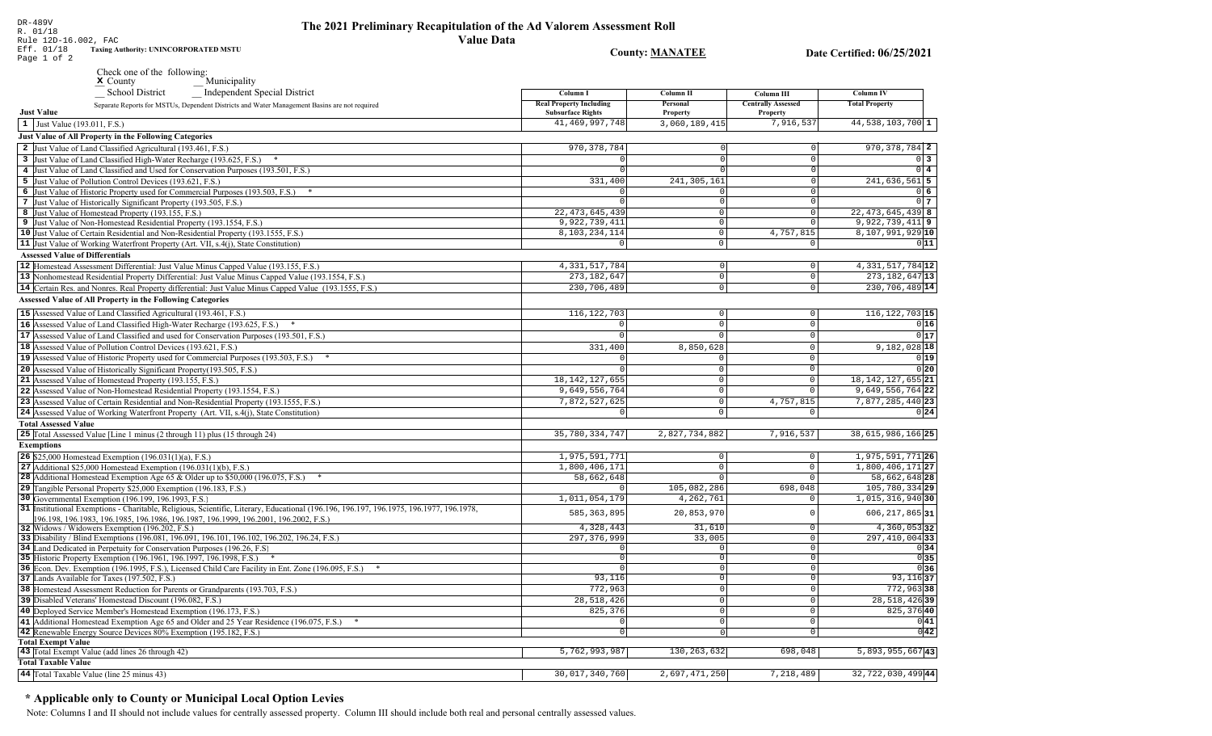DR-489V<br>R. 01/18<br>Rule 12D-16.002, FAC<br>Eff. 01/18 Taxing Aud<br>Page 1 of 2 **Value Data** Taxing Authority: UNINCORPORATED MSTU

### Date Certified: 06/25/2021

**County: MANATEE** 

| Check one of the following: |              |
|-----------------------------|--------------|
| $\mathbf{x}$ County         | Municipality |

| Independent Special District<br><b>School District</b>                                                                                   | Column I                                                   | Column II            | Column III                            | <b>Column IV</b>      |
|------------------------------------------------------------------------------------------------------------------------------------------|------------------------------------------------------------|----------------------|---------------------------------------|-----------------------|
| Separate Reports for MSTUs, Dependent Districts and Water Management Basins are not required<br><b>Just Value</b>                        | <b>Real Property Including</b><br><b>Subsurface Rights</b> | Personal<br>Property | <b>Centrally Assessed</b><br>Property | <b>Total Property</b> |
| 1 Just Value (193.011, F.S.)                                                                                                             | 41, 469, 997, 748                                          | 3,060,189,415        | 7,916,537                             | 44,538,103,700 1      |
| Just Value of All Property in the Following Categories                                                                                   |                                                            |                      |                                       |                       |
| 2 Just Value of Land Classified Agricultural (193.461, F.S.)                                                                             | 970, 378, 784                                              |                      | $\circ$                               | 970, 378, 784 2       |
| 3 Just Value of Land Classified High-Water Recharge (193.625, F.S.) *                                                                    |                                                            |                      | $\circ$                               | 0 <sup>3</sup>        |
| 4 Just Value of Land Classified and Used for Conservation Purposes (193.501, F.S.)                                                       |                                                            |                      | 0                                     | $0\vert 4$            |
| 5 Just Value of Pollution Control Devices (193.621, F.S.)                                                                                | 331,400                                                    | 241, 305, 161        | 0                                     | 241,636,561<br>5      |
| 6 Just Value of Historic Property used for Commercial Purposes (193.503, F.S.) *                                                         |                                                            |                      | 0                                     | $0\overline{6}$       |
| 7 Just Value of Historically Significant Property (193.505, F.S.)                                                                        |                                                            |                      | $\Omega$                              |                       |
| 8 Just Value of Homestead Property (193.155, F.S.)                                                                                       | 22, 473, 645, 439                                          | $\Omega$             | $\mathbf 0$                           | $22, 473, 645, 439$ 8 |
| 9 Just Value of Non-Homestead Residential Property (193.1554, F.S.)                                                                      | 9,922,739,411                                              | $\Omega$             | $\Omega$                              | $9,922,739,411$ 9     |
| 10 Just Value of Certain Residential and Non-Residential Property (193.1555, F.S.)                                                       | 8,103,234,114                                              | $\Omega$             | 4,757,815                             | 8,107,991,929 10      |
| 11 Just Value of Working Waterfront Property (Art. VII, s.4(j), State Constitution)                                                      | $\Omega$                                                   | $\circ$              | 0                                     | 011                   |
| <b>Assessed Value of Differentials</b>                                                                                                   |                                                            |                      |                                       |                       |
| 12 Homestead Assessment Differential: Just Value Minus Capped Value (193.155, F.S.)                                                      | 4, 331, 517, 784                                           | 0                    | $\mathsf{O}\xspace$                   | 4, 331, 517, 784 12   |
| 13 Nonhomestead Residential Property Differential: Just Value Minus Capped Value (193.1554, F.S.)                                        | 273, 182, 647                                              | $\Omega$             | $\mathsf 0$                           | 273, 182, 647 13      |
| 14 Certain Res. and Nonres. Real Property differential: Just Value Minus Capped Value (193.1555, F.S.)                                   | 230,706,489                                                | $\circ$              | $\circ$                               | 230,706,489 14        |
|                                                                                                                                          |                                                            |                      |                                       |                       |
| <b>Assessed Value of All Property in the Following Categories</b>                                                                        |                                                            |                      |                                       |                       |
| 15 Assessed Value of Land Classified Agricultural (193.461, F.S.)                                                                        | 116, 122, 703                                              | $\mathbf 0$          | $\mathsf{O}\xspace$                   | $116, 122, 703$ 15    |
| 16 Assessed Value of Land Classified High-Water Recharge (193.625, F.S.)                                                                 |                                                            | $\Omega$             | $\Omega$                              | 0 16                  |
| 17 Assessed Value of Land Classified and used for Conservation Purposes (193.501, F.S.)                                                  | $\mathbf 0$                                                | $\circ$              | $\mathbf 0$                           | 0 17                  |
| 18 Assessed Value of Pollution Control Devices (193.621, F.S.)                                                                           | 331,400                                                    | 8,850,628            | $\mathbf 0$                           | 9,182,028 18          |
| 19 Assessed Value of Historic Property used for Commercial Purposes (193.503, F.S.) *                                                    |                                                            | $\Omega$             | $\Omega$                              | 0 19                  |
| 20 Assessed Value of Historically Significant Property (193.505, F.S.)                                                                   |                                                            | $\mathbf{0}$         | $\Omega$                              | 0 20                  |
| 21 Assessed Value of Homestead Property (193.155, F.S.)                                                                                  | 18, 142, 127, 655                                          | $\Omega$             | $\mathbf 0$                           | 18, 142, 127, 655 21  |
| 22 Assessed Value of Non-Homestead Residential Property (193.1554, F.S.)                                                                 | 9,649,556,764                                              | $\mathbf 0$          | $\Omega$                              | 9,649,556,764 22      |
| 23 Assessed Value of Certain Residential and Non-Residential Property (193.1555, F.S.)                                                   | 7,872,527,625                                              | 0                    | 4,757,815                             | 7,877,285,440 23      |
| 24 Assessed Value of Working Waterfront Property (Art. VII, s.4(j), State Constitution)                                                  |                                                            | $\cap$               | $\Omega$                              | 0 24                  |
| <b>Total Assessed Value</b>                                                                                                              |                                                            |                      |                                       |                       |
| 25 Total Assessed Value [Line 1 minus (2 through 11) plus (15 through 24)                                                                | 35,780,334,747                                             | 2,827,734,882        | 7,916,537                             | 38,615,986,166 25     |
| <b>Exemptions</b>                                                                                                                        |                                                            |                      |                                       |                       |
| 26 \$25,000 Homestead Exemption (196.031(1)(a), F.S.)                                                                                    | 1,975,591,771                                              | $\circ$              | $\mathbf 0$                           | 1,975,591,771 26      |
| 27 Additional \$25,000 Homestead Exemption $(196.031(1)(b), F.S.)$                                                                       | 1,800,406,171                                              | $\circ$              | $\mathbb O$                           | 1,800,406,171 27      |
| <b>28</b> Additional Homestead Exemption Age 65 & Older up to \$50,000 (196.075, F.S.)                                                   | 58,662,648                                                 | $\Omega$             | $\Omega$                              | 58,662,648 28         |
| 29 Tangible Personal Property \$25,000 Exemption (196.183, F.S.)                                                                         |                                                            | 105,082,286          | 698,048                               | 105, 780, 334 29      |
| 30 Governmental Exemption (196.199, 196.1993, F.S.)                                                                                      | 1,011,054,179                                              | 4, 262, 761          | $\mathbf 0$                           | 1,015,316,940 30      |
| 31  Institutional Exemptions - Charitable, Religious, Scientific, Literary, Educational (196.196, 196.197, 196.1975, 196.1977, 196.1978, |                                                            |                      |                                       |                       |
| 196.198, 196.1983, 196.1985, 196.1986, 196.1987, 196.1999, 196.2001, 196.2002, F.S.)                                                     | 585, 363, 895                                              | 20,853,970           | $\Omega$                              | 606, 217, 865 31      |
| 32 Widows / Widowers Exemption (196.202, F.S.)                                                                                           | 4,328,443                                                  | 31,610               | $\mathbf 0$                           | $4,360,053$ 32        |
| 33 Disability / Blind Exemptions (196.081, 196.091, 196.101, 196.102, 196.202, 196.24, F.S.)                                             | 297, 376, 999                                              | 33,005               | $\circ$                               | $297,410,004$ 33      |
| 34 Land Dedicated in Perpetuity for Conservation Purposes (196.26, F.S.                                                                  |                                                            | $\Omega$             | $\mathbf 0$                           | 0 34                  |
| 35 Historic Property Exemption (196.1961, 196.1997, 196.1998, F.S.) *                                                                    |                                                            | 0                    | $\mathbf 0$                           | 0 35                  |
| 36 Econ. Dev. Exemption (196.1995, F.S.), Licensed Child Care Facility in Ent. Zone (196.095, F.S.)                                      |                                                            | $\overline{0}$       | $\mathbf 0$                           | 0 36                  |
| 37 Lands Available for Taxes (197.502, F.S.)                                                                                             | 93,116                                                     | $\Omega$             | $\mathbf 0$                           | $93,116$ 37           |
| 38 Homestead Assessment Reduction for Parents or Grandparents (193.703, F.S.)                                                            | 772,963                                                    | $\Omega$             | $\mathsf{O}$                          | 772,96338             |
| 39 Disabled Veterans' Homestead Discount (196.082, F.S.)                                                                                 | 28, 518, 426                                               | $\Omega$             | $\mathsf 0$                           | 28, 518, 426 39       |
| 40 Deployed Service Member's Homestead Exemption (196.173, F.S.)                                                                         | 825,376                                                    | $\circ$              | $\mathsf 0$                           | 825, 376 40           |
| 41 Additional Homestead Exemption Age 65 and Older and 25 Year Residence (196.075, F.S.)                                                 | $\Omega$                                                   | 0                    | $\circ$                               | 0 41                  |
| 42 Renewable Energy Source Devices 80% Exemption (195.182, F.S.)                                                                         | $\Omega$                                                   | Ωl                   | $\Omega$                              | 0 42                  |
| <b>Total Exempt Value</b>                                                                                                                |                                                            |                      |                                       |                       |
| 43 Total Exempt Value (add lines 26 through 42)                                                                                          | 5,762,993,987                                              | 130, 263, 632        | 698,048                               | $5,893,955,667$ 43    |
| <b>Total Taxable Value</b>                                                                                                               |                                                            |                      |                                       |                       |
| 44 Total Taxable Value (line 25 minus 43)                                                                                                | 30,017,340,760                                             | 2,697,471,250        | 7,218,489                             | 32,722,030,499 44     |
|                                                                                                                                          |                                                            |                      |                                       |                       |

### \* Applicable only to County or Municipal Local Option Levies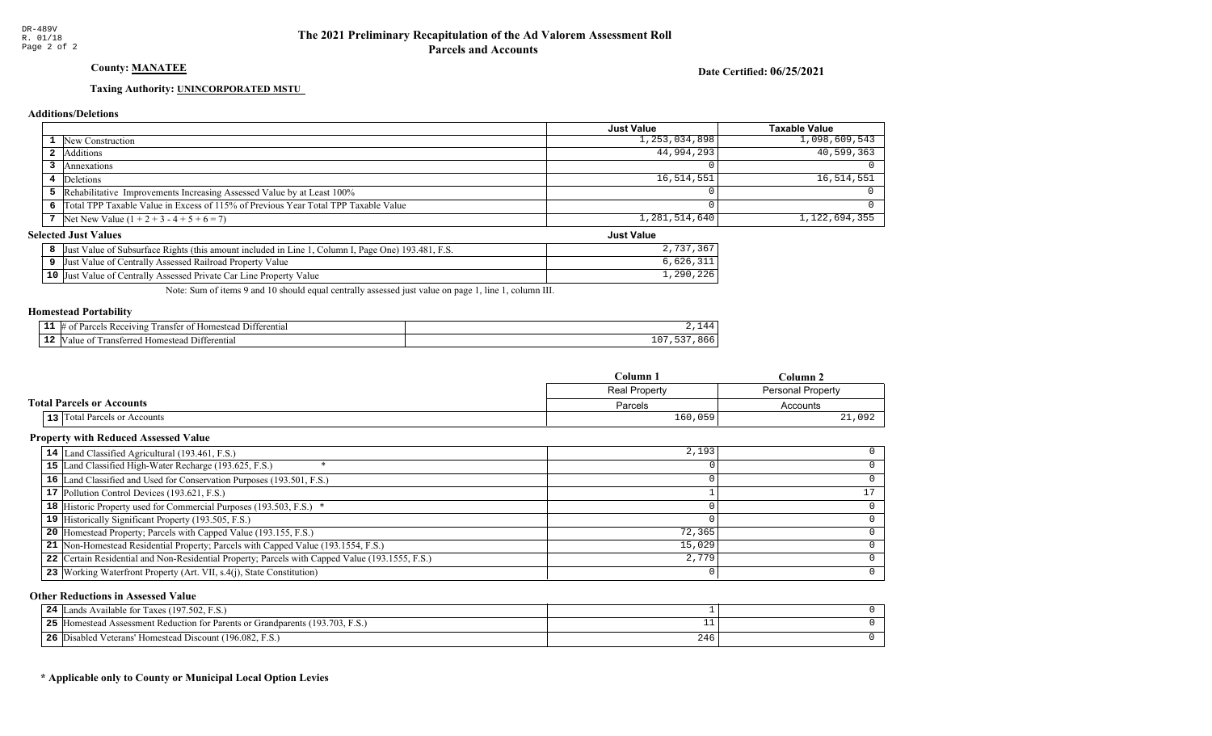### County: **MANATEE**

Date Certified: 06/25/2021

Just Value

### Taxing Authority: UNINCORPORATED MSTU

#### Additions/Deletions

|                                                                                      | <b>Just Value</b> | Taxable Value |
|--------------------------------------------------------------------------------------|-------------------|---------------|
| <b>1</b> New Construction                                                            | 1,253,034,898     | 1,098,609,543 |
| <b>2</b> Additions                                                                   | 44,994,293        | 40,599,363    |
| Annexations                                                                          |                   |               |
| 4 Deletions                                                                          | 16,514,551        | 16, 514, 551  |
| 5 Rehabilitative Improvements Increasing Assessed Value by at Least 100%             |                   |               |
| 6 Total TPP Taxable Value in Excess of 115% of Previous Year Total TPP Taxable Value |                   |               |
| 7 Net New Value $(1 + 2 + 3 - 4 + 5 + 6 = 7)$                                        | 1,281,514,640     | 1,122,694,355 |

#### Selected Just Values

| Column I, Page One) 193.481, F.S.<br>Value of Subsurface Rights (this amount included in Line<br>Just | . <i>.</i> |
|-------------------------------------------------------------------------------------------------------|------------|
| Just Value of Centrally Assessed Railroad Property Value                                              | ,626,      |
| $10$ Just<br>Value of Centrally Assessed Private Car Line Property Y<br>Value                         | 1,290,226  |

Note: Sum of items 9 and 10 should equal centrally assessed just value on page 1, line 1, column III.

#### Homestead Portability

| .   | <b>COLOR</b><br>Receiving<br>10m<br>ranste<br>-111<br>ΩŤ<br>stea<br>terentia.<br> |    |
|-----|-----------------------------------------------------------------------------------|----|
| -14 | renti<br>$\sim$ m<br>i ranster<br>ʻalu<br>$-201222$<br>NК.                        | ᅩ୰ |

|                                  | Column <sub>1</sub>  | Column 2                 |
|----------------------------------|----------------------|--------------------------|
|                                  | <b>Real Property</b> | <b>Personal Property</b> |
| <b>Total Parcels or Accounts</b> | Parcels              | Accounts                 |
| 13 Total Parcels or Accounts     | 160,059              | 21,092                   |

### Property with Reduced Assessed Value

| 14 Land Classified Agricultural (193.461, F.S.)                                                 | 2,193  |   |
|-------------------------------------------------------------------------------------------------|--------|---|
| 15 Land Classified High-Water Recharge (193.625, F.S.)                                          |        |   |
| 16 Land Classified and Used for Conservation Purposes (193.501, F.S.)                           |        |   |
| 17 Pollution Control Devices (193.621, F.S.)                                                    |        |   |
| 18 Historic Property used for Commercial Purposes (193.503, F.S.) *                             |        |   |
| 19 Historically Significant Property (193.505, F.S.)                                            |        |   |
| <b>20</b> Homestead Property; Parcels with Capped Value (193.155, F.S.)                         | 72,365 |   |
| 21 Non-Homestead Residential Property; Parcels with Capped Value (193.1554, F.S.)               | 15,029 |   |
| 22 Certain Residential and Non-Residential Property; Parcels with Capped Value (193.1555, F.S.) | 2,779  |   |
| 23   Working Waterfront Property (Art. VII, s.4(j), State Constitution)                         |        | 0 |

#### Other Reductions in Assessed Value

| 24<br>Lands Available for Taxes (197.502, F.S.)                                   |     |  |
|-----------------------------------------------------------------------------------|-----|--|
| 25<br>[Homestead Assessment Reduction for Parents or Grandparents (193.703, F.S.) |     |  |
| 26<br>Disabled Veterans' Homestead Discount (196.082, F.S.)                       | 246 |  |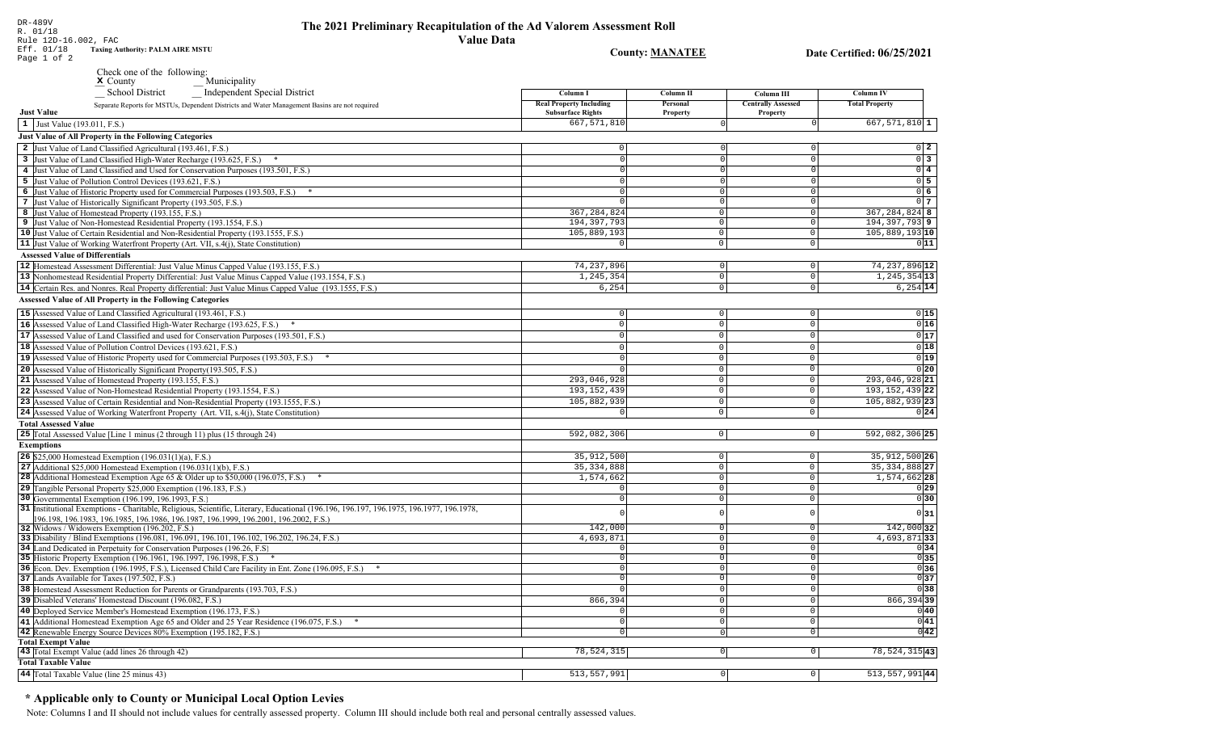# The 2021 Preliminary Recapitulation of the Ad Valorem Assessment Roll

 $0\vert 2$ 

 $0\overline{3}$ 

 $\overline{0}$  4

 $0\overline{5}$ 

 $0\overline{6}$ 

 $0<sub>7</sub>$ 

 $011$ 

 $0|15|$ 

 $0|16$ 

 $0|17$ 

 $0|18$ 

 $0|19|$ 

 $\overline{0|20}$ 

 $0|24|$ 

**Value Data Taxing Authority: PALM AIRE MSTU County: MANATEE** Date Certified: 06/25/2021 Page 1 of 2 Check one of the following:  $M$  Municipality School District Independent Special District **Column I Column II** Column III **Column IV Real Property Including** Personal **Centrally Assessed Total Property** Separate Reports for MSTUs, Dependent Districts and Water Management Basins are not required **Just Value Subsurface Rights** Property Property  $667,571,810$  $\vert 1 \vert$  Just Value (193.011, F.S.)  $667,571,810$  1 Just Value of All Property in the Following Categories 2 Just Value of Land Classified Agricultural (193.461, F.S.)  $\Omega$ 3 Just Value of Land Classified High-Water Recharge (193.625, F.S.) \* - nl  $\circ$ 4 Just Value of Land Classified and Used for Conservation Purposes (193.501, F.S.) 5 Just Value of Pollution Control Devices (193.621, F.S.)  $\Omega$ 6 Just Value of Historic Property used for Commercial Purposes (193.503, F.S.) \*  $\overline{0}$ 7 Just Value of Historically Significant Property (193.505, F.S.)  $\Omega$ 367, 284, 824 367, 284, 824 8 8 Just Value of Homestead Property (193.155, F.S.)  $\Omega$ 194, 397, 793 194, 397, 793 9 9 Just Value of Non-Homestead Residential Property (193.1554, F.S.)  $\Omega$ 10 Just Value of Certain Residential and Non-Residential Property (193.1555, F.S.) 105,889,193  $\circ$  $105,889,193$  10 11 Just Value of Working Waterfront Property (Art. VII, s.4(j), State Constitution)  $\overline{0}$  $\mathbf 0$ **Assessed Value of Differentials** 12 Homestead Assessment Differential: Just Value Minus Capped Value (193.155, F.S.) 74, 237, 896 74, 237, 896 12  $\Omega$  $\Omega$ 1,245,354  $1, 245, 354$  13 13 Nonhomestead Residential Property Differential: Just Value Minus Capped Value (193.1554, F.S.)  $\mathbb O$  $\circ$ 14 Certain Res. and Nonres. Real Property differential: Just Value Minus Capped Value (193.1555, F.S.)  $6, 254$  $\overline{0}$  $6,254$  14 Assessed Value of All Property in the Following Categories 15 Assessed Value of Land Classified Agricultural (193.461, F.S.)  $\Omega$  $\Omega$ 16 Assessed Value of Land Classified High-Water Recharge (193.625, F.S.)  $\mathbb O$  $\Omega$  $\Omega$ **17** Assessed Value of Land Classified and used for Conservation Purposes (193.501, F.S.)  $\circ$  $\mathbf{0}$  $\overline{0}$ 18 Assessed Value of Pollution Control Devices (193.621, F.S.)  $\mathbf{0}$  $\Omega$  $\Omega$ 19 Assessed Value of Historic Property used for Commercial Purposes (193.503, F.S.) \*  $\Omega$  $\Omega$  $\Omega$ 20 Assessed Value of Historically Significant Property (193.505, F.S.)  $\cap$  $\cap$  $\Omega$ 293,046,928 21 Assessed Value of Homestead Property (193.155, F.S.) 293,046,928 21  $\Omega$ 22 Assessed Value of Non-Homestead Residential Property (193.1554, F.S.) 193, 152, 439  $\Omega$ 193, 152, 439 22 23 Assessed Value of Certain Residential and Non-Residential Property (193.1555, F.S.) 105,882,939 105,882,939 23  $\cap$  $\Omega$ 24 Assessed Value of Working Waterfront Property (Art. VII, s.4(j), State Constitution)  $\mathbf 0$  $\mathbf 0$  $\circ$ **Total Assessed Value** 25 Total Assessed Value [Line 1 minus (2 through 11) plus (15 through 24) 592,082,306  $\overline{0}$  $|0|$ 592,082,306 25 **Exemptions 26** \$25,000 Homestead Exemption  $(196.031(1)(a), F.S.)$  $35,912,500$  26 35.912.500  $|0|$ 27 Additional \$25,000 Homestead Exemption (196.031(1)(b), F.S.) 35.334.888

| <b>26</b> \$25,000 Homestead Exemption $(196.031(1)(a), F.S.)$                                                                                                                                                                 | 35,912,500   |  | 35, 912, 500 26                                             |
|--------------------------------------------------------------------------------------------------------------------------------------------------------------------------------------------------------------------------------|--------------|--|-------------------------------------------------------------|
| <b>27</b> Additional \$25,000 Homestead Exemption $(196.031(1)(b), F.S.)$                                                                                                                                                      | 35, 334, 888 |  | 35, 334, 888 27                                             |
| 28 Additional Homestead Exemption Age 65 & Older up to \$50,000 (196.075, F.S.) $*$                                                                                                                                            | 1,574,662    |  | 1,574,662 28                                                |
| <b>29</b> Tangible Personal Property \$25,000 Exemption (196.183, F.S.)                                                                                                                                                        |              |  | 0 29                                                        |
| 30 Governmental Exemption (196.199, 196.1993, F.S.)                                                                                                                                                                            |              |  | 0 30                                                        |
| 31 Institutional Exemptions - Charitable, Religious, Scientific, Literary, Educational (196.196.196.197, 196.1975, 196.1977, 196.1978,<br>196.198, 196.1983, 196.1985, 196.1986, 196.1987, 196.1999, 196.2001, 196.2002, F.S.) |              |  | 0 31                                                        |
| 32 Widows / Widowers Exemption (196.202, F.S.)                                                                                                                                                                                 | 142,000      |  | 142,000 32                                                  |
| 33 Disability / Blind Exemptions (196.081, 196.091, 196.101, 196.102, 196.202, 196.24, F.S.)                                                                                                                                   | 4,693,871    |  | 4,693,87133                                                 |
| 34 Land Dedicated in Perpetuity for Conservation Purposes (196.26, F.S.                                                                                                                                                        |              |  | 0 34                                                        |
| 35 Historic Property Exemption (196.1961, 196.1997, 196.1998, F.S.) *                                                                                                                                                          |              |  | $\begin{array}{c c} 0 & 35 \\ \hline 0 & 36 \end{array}$    |
| 36 Econ. Dev. Exemption (196.1995, F.S.), Licensed Child Care Facility in Ent. Zone (196.095, F.S.)                                                                                                                            |              |  |                                                             |
| 37 Lands Available for Taxes (197.502, F.S.)                                                                                                                                                                                   |              |  | $\begin{array}{c c}\n0 & 37 \\ \hline\n0 & 38\n\end{array}$ |
| 38 Homestead Assessment Reduction for Parents or Grandparents (193.703, F.S.)                                                                                                                                                  |              |  |                                                             |
| 39 Disabled Veterans' Homestead Discount (196.082, F.S.)                                                                                                                                                                       | 866,394      |  | 866,394 39                                                  |
| 40 Deployed Service Member's Homestead Exemption (196.173, F.S.)                                                                                                                                                               |              |  | 0 40                                                        |
| 41 Additional Homestead Exemption Age 65 and Older and 25 Year Residence (196.075, F.S.) *                                                                                                                                     |              |  | 0 41                                                        |
| 42 Renewable Energy Source Devices 80% Exemption (195.182, F.S.)                                                                                                                                                               |              |  | 0 42                                                        |
| <b>Total Exempt Value</b>                                                                                                                                                                                                      |              |  |                                                             |
| 43 Total Exempt Value (add lines 26 through 42)                                                                                                                                                                                | 78,524,315   |  | $78,524,315$  43                                            |
| <b>Total Taxable Value</b>                                                                                                                                                                                                     |              |  |                                                             |
| 44 Total Taxable Value (line 25 minus 43)                                                                                                                                                                                      | 513,557,991  |  | 513, 557, 991 44                                            |

### \* Applicable only to County or Municipal Local Option Levies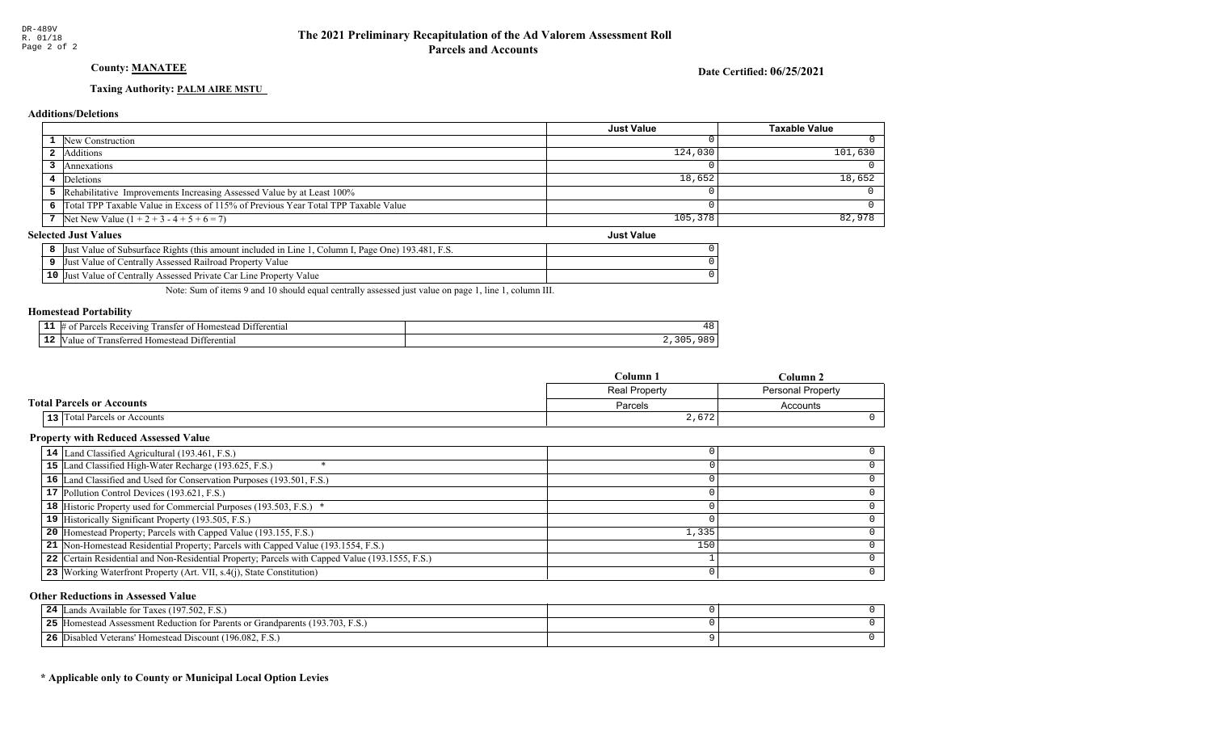### **County: MANATEE**

Date Certified: 06/25/2021

### Taxing Authority: PALM AIRE MSTU

### **Additions/Deletions**

|                                                                                      | <b>Just Value</b> | <b>Taxable Value</b> |
|--------------------------------------------------------------------------------------|-------------------|----------------------|
| 1 New Construction                                                                   |                   |                      |
| <b>2</b> Additions                                                                   | 124,030           | 101,630              |
| Annexations                                                                          |                   |                      |
| 4 Deletions                                                                          | 18,652            | 18,652               |
| 5 Rehabilitative Improvements Increasing Assessed Value by at Least 100%             |                   |                      |
| 6 Total TPP Taxable Value in Excess of 115% of Previous Year Total TPP Taxable Value |                   |                      |
| 7   Net New Value $(1 + 2 + 3 - 4 + 5 + 6 = 7)$                                      | 105,378           | 82,978               |
| lected Just Values<br><b>Just Value</b>                                              |                   |                      |

### **Selected Just Values**

| Just Value of Subsurface Rights (this amount included in Line 1, Column I, Page One) 193.481, F.S. |  |
|----------------------------------------------------------------------------------------------------|--|
| Just Value of Centrally Assessed Railroad Property Value                                           |  |
| 10 Just Value of Centrally Assessed Private Car Line Property Value                                |  |

Note: Sum of items 9 and 10 should equal centrally assessed just value on page 1, line 1, column III.

### **Homestead Portability**

| -- | /IN9<br>™enna<br>ranste |  |
|----|-------------------------|--|
| -- | entia.                  |  |

|                                     | Column 1      | Column 2                 |
|-------------------------------------|---------------|--------------------------|
|                                     | Real Property | <b>Personal Property</b> |
| <b>Total Parcels or Accounts</b>    | Parcels       | Accounts                 |
| <b>13</b> Total Parcels or Accounts | 2,672         |                          |

### **Property with Reduced Assessed Value**

| 14 Land Classified Agricultural (193.461, F.S.)                                                 |       |  |
|-------------------------------------------------------------------------------------------------|-------|--|
| 15 Land Classified High-Water Recharge (193.625, F.S.)                                          |       |  |
| 16 Land Classified and Used for Conservation Purposes (193.501, F.S.)                           |       |  |
| 17 Pollution Control Devices (193.621, F.S.)                                                    |       |  |
| 18 Historic Property used for Commercial Purposes (193.503, F.S.) *                             |       |  |
| 19 Historically Significant Property (193.505, F.S.)                                            |       |  |
| <b>20</b> Homestead Property; Parcels with Capped Value (193.155, F.S.)                         | 1,335 |  |
| 21 Non-Homestead Residential Property; Parcels with Capped Value (193.1554, F.S.)               | 150   |  |
| 22 Certain Residential and Non-Residential Property; Parcels with Capped Value (193.1555, F.S.) |       |  |
| 23 Working Waterfront Property (Art. VII, s.4(j), State Constitution)                           |       |  |

### **Other Reductions in Assessed Value**

| ands Available for Taxes (197.502, F.S.)<br>24                                       |  |
|--------------------------------------------------------------------------------------|--|
| 5 [Homestead Assessment Reduction for Parents or Grandparents (193.703, F.S.)<br>25. |  |
| Disabled Veterans' Homestead Discount (196.082, F.S.)<br>26                          |  |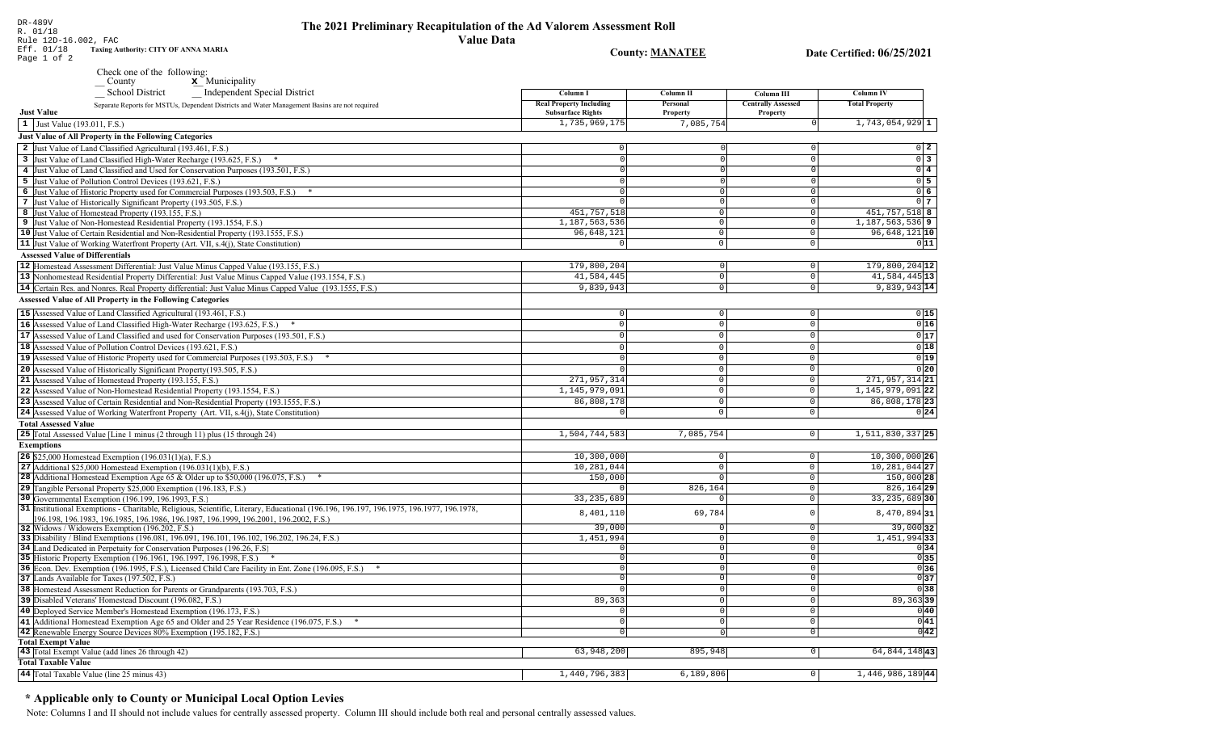DR-489V

### The 2021 Preliminary Recapitulation of the Ad Valorem Assessment Roll **Value Data**

Date Certified: 06/25/2021

**Column IV** 

**Total Property** 

 $1,743,054,929$  1

 $0\quad 2$ 

 $0\overline{3}$ 

**Taxing Authority: CITY OF ANNA MARIA** Eff. 01/18 **County: MANATEE** Page 1 of 2 Check one of the following:  $\underline{\mathbf{x}}$  Municipality County School District Independent Special District Column I **Column II** Column III **Real Property Including** Personal **Centrally Assessed** Separate Reports for MSTUs, Dependent Districts and Water Management Basins are not required **Just Value Subsurface Rights** Property Property 1,735,969,175 7,085,754  $\vert 1 \vert$  Just Value (193.011, F.S.) **Just Value of All Property in the Following Categories** 2 Just Value of Land Classified Agricultural (193.461, F.S.)  $\Omega$ 3 Just Value of Land Classified High-Water Recharge (193.625, F.S.) \*  $\Omega$  $\Omega$ 4 Just Value of Land Classified and Used for Conservation Purposes (193.501, F.S.)  $\Omega$  $\Omega$ 

 $0\vert 4$ 5 Just Value of Pollution Control Devices (193.621, F.S.)  $0\overline{5}$ 6 Just Value of Historic Property used for Commercial Purposes (193.503, F.S.) \*  $0\overline{6}$ 7 Just Value of Historically Significant Property (193.505, F.S.)  $0<sub>7</sub>$ 451, 757, 518 451, 757, 518 8 8 Just Value of Homestead Property (193.155, F.S.)  $\Omega$  $1, 187, 563, 536$  9 1,187,563,536 9 Just Value of Non-Homestead Residential Property (193.1554, F.S.)  $\Omega$ 10 Just Value of Certain Residential and Non-Residential Property (193.1555, F.S.) 96,648,121  $\circ$ 96,648,121 10 11 Just Value of Working Waterfront Property (Art. VII, s.4(j), State Constitution)  $\overline{\circ}$  $011$  $\mathbf 0$ **Assessed Value of Differentials** 179,800,204 179,800,204 12 12 Homestead Assessment Differential: Just Value Minus Capped Value (193.155, F.S.)  $\Omega$  $\Omega$ 41,584,445  $41,584,445$ <sup>13</sup> 13 Nonhomestead Residential Property Differential: Just Value Minus Capped Value (193.1554, F.S.)  $\mathbb O$  $\circ$ 14 Certain Res. and Nonres. Real Property differential: Just Value Minus Capped Value (193.1555, F.S.) 9,839,943  $\overline{0}$ 9,839,943 14 **Assessed Value of All Property in the Following Categories** 15 Assessed Value of Land Classified Agricultural (193.461, F.S.)  $\Omega$  $\Omega$  $0|15$ 16 Assessed Value of Land Classified High-Water Recharge (193.625, F.S.)  $0|16$  $\mathbb O$  $\Omega$  $\Omega$  $0|17$ **17** Assessed Value of Land Classified and used for Conservation Purposes (193.501, F.S.)  $|0|$  $\mathbf{0}$  $\overline{0}$  $0|18$ 18 Assessed Value of Pollution Control Devices (193.621, F.S.)  $\Omega$  $\cap$  $\Omega$  $0|19|$ 19 Assessed Value of Historic Property used for Commercial Purposes (193.503, F.S.) \*  $\Omega$  $\Omega$ 20 Assessed Value of Historically Significant Property (193.505, F.S.)  $0|20|$  $\cap$  $\Omega$ 271,957,314 21 Assessed Value of Homestead Property (193.155, F.S.) 271, 957, 314 21  $\cap$ 22 Assessed Value of Non-Homestead Residential Property (193.1554, F.S.) 1, 145, 979, 091  $\Omega$ 1, 145, 979, 091 22 86,808,178 86,808,178 23 23 Assessed Value of Certain Residential and Non-Residential Property (193.1555, F.S.)  $\cap$  $\Omega$ 24 Assessed Value of Working Waterfront Property (Art. VII, s.4(j), State Constitution)  $0|24|$  $\mathbf{0}$  $\circ$ **Total Assessed Value** 25 Total Assessed Value [Line 1 minus (2 through 11) plus (15 through 24) 1,504,744,583 7,085,754  $|0|$  $1, 511, 830, 337$  25 **Exemptions** 10,300,000 **26** \$25,000 Homestead Exemption  $(196.031(1)(a), F.S.)$  $\overline{0}$  $10,300,000$  26  $10, 281, 044$  27 27 Additional \$25,000 Homestead Exemption  $(196.031(1)(b), F.S.)$ 10,281,044  $\circ$  $150,000$ 150,000 28 28 Additional Homestead Exemption Age 65 & Older up to \$50,000 (196.075, F.S.) \*  $\overline{0}$ £ 29 Tangible Personal Property \$25,000 Exemption (196.183, F.S.) 826,164  $\circ$ 826,164 29 30 Governmental Exemption (196.199, 196.1993, F.S.) 33, 235, 689  $\overline{\circ}$  $33, 235, 689$  30 31 Institutional Exemptions - Charitable, Religious, Scientific, Literary, Educational (196.196, 196.197, 196.1977, 196.1977, 196.1978, 8,401,110 69,784  $\circ$ 8,470,894 31 196.198, 196.1983, 196.1985, 196.1986, 196.1987, 196.1999, 196.2001, 196.2002, F.S.) 39,000  $39,000$  32 32 Widows / Widowers Exemption (196.202, F.S.)  $\Omega$ 33 Disability / Blind Exemptions (196.081, 196.091, 196.101, 196.102, 196.202, 196.24, F.S.) 1,451,994  $\overline{0}$ 1,451,99433 34 Land Dedicated in Perpetuity for Conservation Purposes (196.26, F.S)  $\cap$  $\overline{\circ}$  $0|34|$  $\begin{array}{c|c}\n\hline\n0 & 35 \\
\hline\n0 & 36\n\end{array}$ 35 Historic Property Exemption (196.1961, 196.1997, 196.1998, F.S.) \*  $\Omega$  $\circ$ 36 Econ. Dev. Exemption (196.1995, F.S.), Licensed Child Care Facility in Ent. Zone (196.095, F.S.) \*  $\sqrt{ }$  $\overline{0}$ 37 Lands Available for Taxes (197.502, F.S.)  $\overline{0}$  $0|37$ 38 Homestead Assessment Reduction for Parents or Grandparents (193.703, F.S.)  $\sqrt{38}$  $\overline{0}$  $89, 363$ 39 Disabled Veterans' Homestead Discount (196.082, F.S.)  $89,363$ 39  $\overline{0}$ 40 Deployed Service Member's Homestead Exemption (196.173, F.S.)  $\overline{0}$  $0|40|$  $\Omega$  $\overline{\circ}$  $0|41|$ 41 Additional Homestead Exemption Age 65 and Older and 25 Year Residence (196.075, F.S.) \*  $\overline{0}$  $\overline{0|42|}$ 42 Renewable Energy Source Devices 80% Exemption (195.182, F.S.)  $\overline{0}$  $\overline{0}$ **Total Exempt Value** 43 Total Exempt Value (add lines 26 through 42) 63,948,200 895,948  $\boxed{0}$ 64,844,14843 **Total Taxable Value** 

#### 44 Total Taxable Value (line 25 minus 43) 1,440,796,383  $6,189,806$  $\overline{\circ}$ 1,446,986,18944

### \* Applicable only to County or Municipal Local Option Levies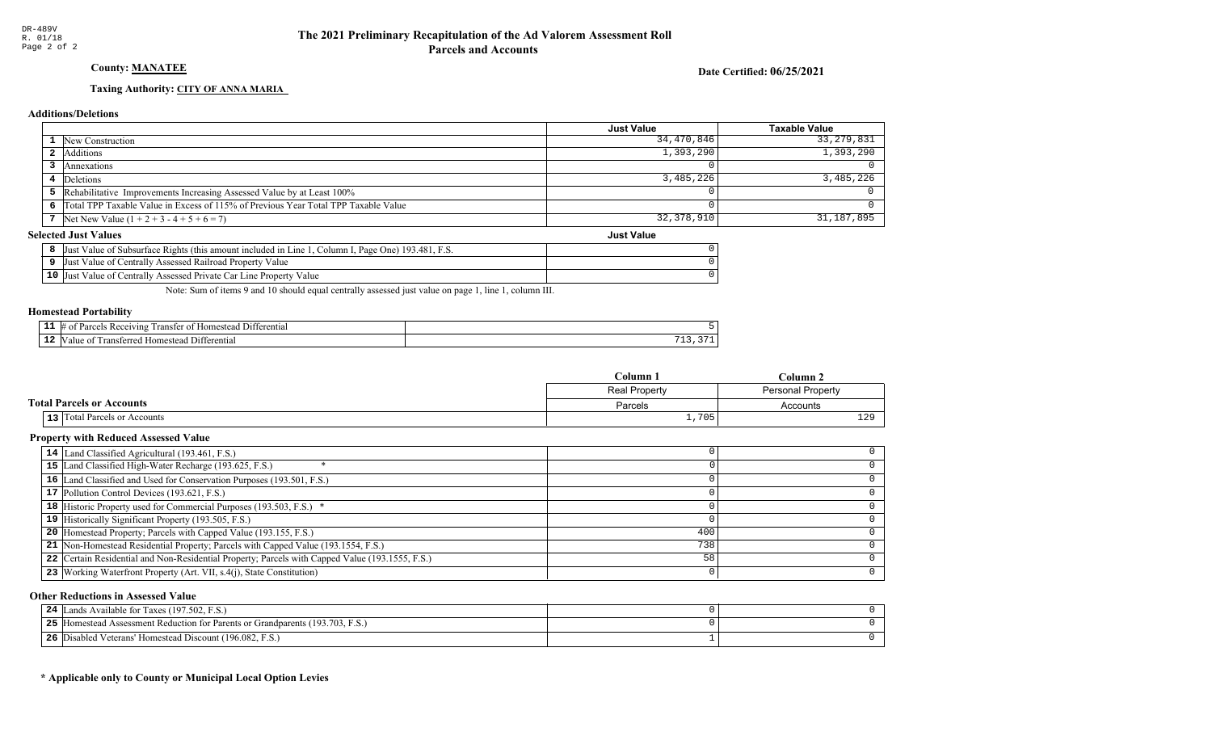### County: **MANATEE**

Date Certified: 06/25/2021

Just Value

### Taxing Authority: CITY OF ANNA MARIA

#### Additions/Deletions

|                                                                                      | Just Value | <b>Taxable Value</b> |
|--------------------------------------------------------------------------------------|------------|----------------------|
| <b>1</b> New Construction                                                            | 34,470,846 | 33,279,831           |
| Additions                                                                            | 1,393,290  | 1,393,290            |
| Annexations                                                                          |            |                      |
| 4 Deletions                                                                          | 3,485,226  | 3,485,226            |
| 5 Rehabilitative Improvements Increasing Assessed Value by at Least 100%             |            |                      |
| 6 Total TPP Taxable Value in Excess of 115% of Previous Year Total TPP Taxable Value |            |                      |
| 7 Net New Value $(1 + 2 + 3 - 4 + 5 + 6 = 7)$                                        | 32,378,910 | 31,187,895           |

#### Selected Just Values

|                 | ., Page One) 193.481, F.S.<br>Column I.<br>Value of Subsurface Rights (this amount included in Line<br>Just |  |
|-----------------|-------------------------------------------------------------------------------------------------------------|--|
|                 | Just Value of Centrally Assessed Railroad Property Value                                                    |  |
| 10 <sup>7</sup> | Value of Centrally Assessed Private Car Line Property Value<br>Just                                         |  |

Note: Sum of items 9 and 10 should equal centrally assessed just value on page 1, line 1, column III.

#### Homestead Portability

| -- | 71 no<br>ran:<br>entia.<br>ΩT<br>`' |     |
|----|-------------------------------------|-----|
| -- | terentia                            | ___ |

|                                     | Column 1      | Column 2                 |
|-------------------------------------|---------------|--------------------------|
|                                     | Real Property | <b>Personal Property</b> |
| <b>Total Parcels or Accounts</b>    | Parcels       | Accounts                 |
| <b>13</b> Total Parcels or Accounts | 1,705         | 129                      |

### Property with Reduced Assessed Value

| 14 Land Classified Agricultural (193.461, F.S.)                                                 |     |  |
|-------------------------------------------------------------------------------------------------|-----|--|
| 15 Land Classified High-Water Recharge (193.625, F.S.)                                          |     |  |
| 16 Land Classified and Used for Conservation Purposes (193.501, F.S.)                           |     |  |
| 17 Pollution Control Devices (193.621, F.S.)                                                    |     |  |
| <b>18</b> Historic Property used for Commercial Purposes (193.503, F.S.) *                      |     |  |
| 19 Historically Significant Property (193.505, F.S.)                                            |     |  |
| <b>20</b> Homestead Property; Parcels with Capped Value (193.155, F.S.)                         | 400 |  |
| 21 Non-Homestead Residential Property; Parcels with Capped Value (193.1554, F.S.)               | 738 |  |
| 22 Certain Residential and Non-Residential Property; Parcels with Capped Value (193.1555, F.S.) | 58  |  |
| 23 Working Waterfront Property (Art. VII, s.4(j), State Constitution)                           |     |  |
|                                                                                                 |     |  |

#### Other Reductions in Assessed Value

| ands Available for Taxes (197.502, F.S.)<br>24                                       |  |
|--------------------------------------------------------------------------------------|--|
| 5 [Homestead Assessment Reduction for Parents or Grandparents (193.703, F.S.)<br>25. |  |
| Disabled Veterans' Homestead Discount (196.082, F.S.)<br>26                          |  |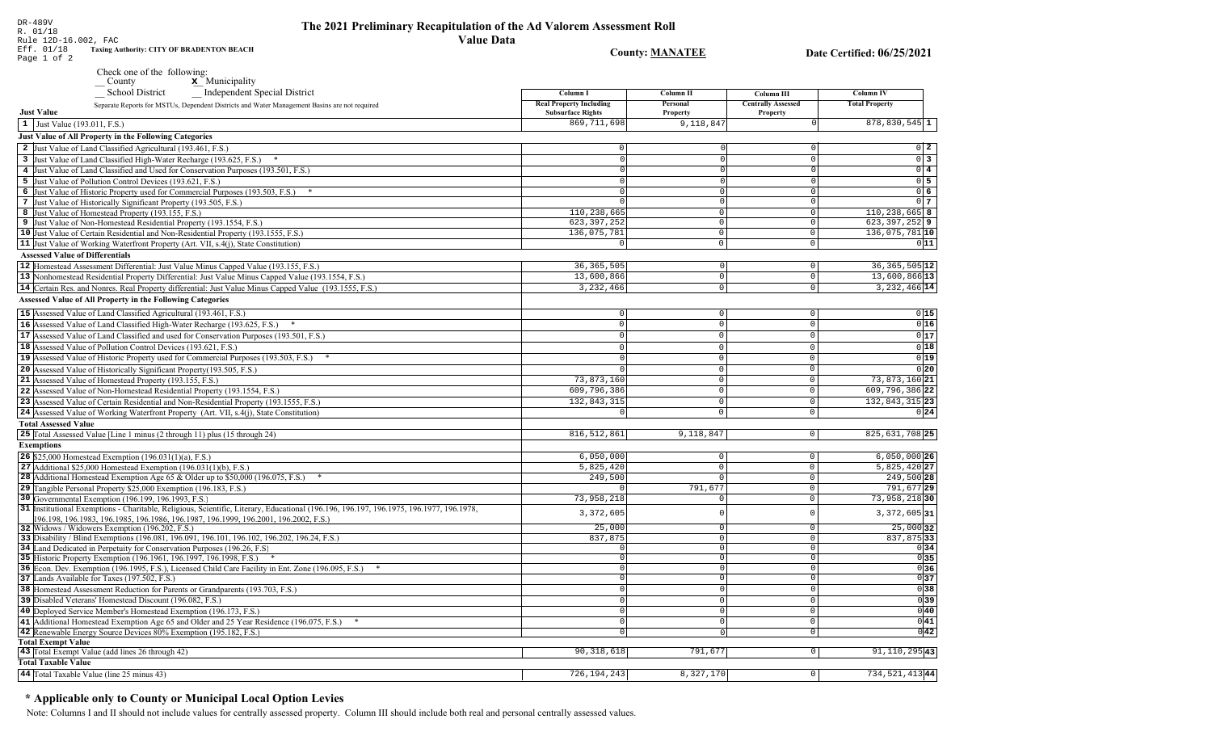Date Certified: 06/25/2021

**County: MANATEE** 

| DR-489V<br>R. 01/18                                            |  |
|----------------------------------------------------------------|--|
| Rule 12D-16.002, FAC                                           |  |
| Eff. 01/18<br><b>Taxing Authority: CITY OF BRADENTON BEACH</b> |  |
| Page 1 of 2                                                    |  |

Check one of the following:<br>County<br> $\mathbf{x}$  Municipality

| $\sim$ um $,$<br>$\cdots$<br><b>School District</b><br>_ Independent Special District                                                   | Column I                       | Column <sub>II</sub> | Column III                | <b>Column IV</b>             |
|-----------------------------------------------------------------------------------------------------------------------------------------|--------------------------------|----------------------|---------------------------|------------------------------|
| Separate Reports for MSTUs, Dependent Districts and Water Management Basins are not required                                            | <b>Real Property Including</b> | Personal             | <b>Centrally Assessed</b> | <b>Total Property</b>        |
| <b>Just Value</b>                                                                                                                       | <b>Subsurface Rights</b>       | Property             | Property                  |                              |
| 1 Just Value (193.011, F.S.)                                                                                                            | 869, 711, 698                  | 9,118,847            |                           | $878, 830, 545$ 1            |
| Just Value of All Property in the Following Categories                                                                                  |                                |                      |                           |                              |
| 2 Just Value of Land Classified Agricultural (193.461, F.S.)                                                                            | $\circ$                        | ΩI                   | $\Omega$                  | $0\quad 2$                   |
| 3 Just Value of Land Classified High-Water Recharge (193.625, F.S.)                                                                     | $\Omega$                       | $\Omega$             | $\Omega$                  | $0\overline{3}$              |
| 4 Just Value of Land Classified and Used for Conservation Purposes (193.501, F.S.)                                                      | $\Omega$                       | $\overline{0}$       | $\Omega$                  | $0\quad 4$                   |
| 5 Just Value of Pollution Control Devices (193.621, F.S.)                                                                               | $\Omega$                       | $\Omega$             | $\Omega$                  | $0\overline{5}$              |
| 6 Just Value of Historic Property used for Commercial Purposes (193.503, F.S.) *                                                        | $\Omega$                       | $\Omega$             | $\Omega$                  | $0\overline{6}$              |
| 7 Just Value of Historically Significant Property (193.505, F.S.)                                                                       | $\Omega$                       | 0                    | $\Omega$                  | 0 <sub>7</sub>               |
| 8 Just Value of Homestead Property (193.155, F.S.)                                                                                      | 110,238,665                    | $\circ$              | $\overline{0}$            | $110, 238, 665$ 8            |
| 9 Just Value of Non-Homestead Residential Property (193.1554, F.S.)                                                                     | 623, 397, 252                  | $\circ$              | $\Omega$                  | $623, 397, 252$ 9            |
| 10 Just Value of Certain Residential and Non-Residential Property (193.1555, F.S.)                                                      | 136,075,781                    | $\Omega$             | $\Omega$                  | 136,075,781 10               |
| 11 Just Value of Working Waterfront Property (Art. VII, s.4(j), State Constitution)                                                     | $\circ$                        | $\circ$              | $\circ$                   | 011                          |
| <b>Assessed Value of Differentials</b>                                                                                                  |                                |                      |                           |                              |
|                                                                                                                                         |                                |                      |                           |                              |
| 12 Homestead Assessment Differential: Just Value Minus Capped Value (193.155, F.S.)                                                     | 36, 365, 505                   | $\overline{0}$       | $\mathbf 0$               | 36, 365, 505 12              |
| 13 Nonhomestead Residential Property Differential: Just Value Minus Capped Value (193.1554, F.S.)                                       | 13,600,866                     | $\circ$              | $\mathbf 0$               | 13,600,866 13                |
| 14 Certain Res. and Nonres. Real Property differential: Just Value Minus Capped Value (193.1555, F.S.)                                  | 3, 232, 466                    | 0                    | $\overline{0}$            | $3,232,466$ 14               |
| <b>Assessed Value of All Property in the Following Categories</b>                                                                       |                                |                      |                           |                              |
| 15 Assessed Value of Land Classified Agricultural (193.461, F.S.)                                                                       | $\mathbf 0$                    | $\mathbf 0$          | $\mathbf 0$               | 0 15                         |
| 16 Assessed Value of Land Classified High-Water Recharge (193.625, F.S.) *                                                              | $\Omega$                       | $\circ$              | $\circ$                   | 0 16                         |
| 17 Assessed Value of Land Classified and used for Conservation Purposes (193.501, F.S.)                                                 | $\Omega$                       | $\circ$              | $\mathbf 0$               | 017                          |
| 18 Assessed Value of Pollution Control Devices (193.621, F.S.)                                                                          | $\Omega$                       | $\circ$              | $\mathbb O$               | 0 18                         |
| 19 Assessed Value of Historic Property used for Commercial Purposes (193.503, F.S.)                                                     |                                | $\overline{0}$       | $\mathbf 0$               | 0 19                         |
| 20 Assessed Value of Historically Significant Property (193.505, F.S.)                                                                  |                                | $\overline{0}$       | $\mathsf 0$               | 0 20                         |
| 21 Assessed Value of Homestead Property (193.155, F.S.)                                                                                 | 73,873,160                     | $\circ$              | $\mathsf 0$               | 73,873,160 21                |
| 22 Assessed Value of Non-Homestead Residential Property (193.1554, F.S.)                                                                | 609,796,386                    | $\circ$              | $\mathsf 0$               | 609,796,386 22               |
| 23 Assessed Value of Certain Residential and Non-Residential Property (193.1555, F.S.)                                                  | 132,843,315                    | $\Omega$             | $\mathbf 0$               | 132,843,315 23               |
| 24 Assessed Value of Working Waterfront Property (Art. VII, s.4(j), State Constitution)                                                 | $\Omega$                       | $\Omega$             | $\Omega$                  | 0 24                         |
|                                                                                                                                         |                                |                      |                           |                              |
| <b>Total Assessed Value</b>                                                                                                             |                                |                      |                           | 825, 631, 708 25             |
| 25 Total Assessed Value [Line 1 minus (2 through 11) plus (15 through 24)                                                               | 816, 512, 861                  | 9,118,847            | 0                         |                              |
| <b>Exemptions</b>                                                                                                                       |                                |                      |                           |                              |
| <b>26</b> \$25,000 Homestead Exemption $(196.031(1)(a), F.S.)$                                                                          | 6,050,000                      | $\overline{0}$       | $\mathsf 0$               | $6,050,000$ 26               |
| 27 Additional \$25,000 Homestead Exemption $(196.031(1)(b), F.S.)$                                                                      | 5,825,420                      | $\circ$              | $\circ$                   | 5,825,420 27                 |
| <b>28</b> Additional Homestead Exemption Age 65 & Older up to \$50,000 (196.075, F.S.)                                                  | 249,500                        | $\overline{0}$       | $\circ$                   | 249,500 28                   |
| 29 Tangible Personal Property \$25,000 Exemption (196.183, F.S.)                                                                        |                                | 791,677              | $\Omega$                  | 791,677 29                   |
| 30 Governmental Exemption (196.199, 196.1993, F.S.)                                                                                     | 73,958,218                     | $\circ$              | $\mathsf 0$               | 73,958,21830                 |
| 31 Institutional Exemptions - Charitable, Religious, Scientific, Literary, Educational (196.196, 196.197, 196.1975, 196.1977, 196.1978, | 3,372,605                      | $\Omega$             | $\mathsf{C}$              | $3,372,605$ 31               |
| 196.198, 196.1983, 196.1985, 196.1986, 196.1987, 196.1999, 196.2001, 196.2002, F.S.)<br>32 Widows / Widowers Exemption (196.202, F.S.)  | 25,000                         | $\mathbf 0$          | $\mathbf 0$               | $25,000$ 32                  |
| 33 Disability / Blind Exemptions (196.081, 196.091, 196.101, 196.102, 196.202, 196.24, F.S.)                                            | 837,875                        | 0                    | $\circ$                   | 837,875 33                   |
| 34 Land Dedicated in Perpetuity for Conservation Purposes (196.26, F.S.)                                                                |                                | $\Omega$             | $\Omega$                  | 0 34                         |
| 35 Historic Property Exemption (196.1961, 196.1997, 196.1998, F.S.) *                                                                   | $\mathbf 0$                    | $\overline{0}$       | $\mathbf{0}$              | 0 35                         |
| 36 Econ. Dev. Exemption (196.1995, F.S.), Licensed Child Care Facility in Ent. Zone (196.095, F.S.)                                     | $\Omega$                       | $\circ$              | $\Omega$                  | 0 36                         |
| 37 Lands Available for Taxes (197.502, F.S.)                                                                                            | $\Omega$                       | 0 <sup>1</sup>       | $\circ$                   | 0 37                         |
| 38 Homestead Assessment Reduction for Parents or Grandparents (193.703, F.S.)                                                           |                                | $\overline{0}$       | $\Omega$                  | 0 38                         |
| 39 Disabled Veterans' Homestead Discount (196.082, F.S.)                                                                                | $\Omega$                       | 0                    | $\Omega$                  | 0 39                         |
| 40 Deployed Service Member's Homestead Exemption (196.173, F.S.)                                                                        | $\Omega$                       | $\overline{0}$       | $\mathbf 0$               | 0 40                         |
| 41 Additional Homestead Exemption Age 65 and Older and 25 Year Residence (196.075, F.S.)                                                | $\Omega$                       | 0                    | $\circ$                   | 0 41                         |
| 42 Renewable Energy Source Devices 80% Exemption (195.182, F.S.)                                                                        | $\Omega$                       | 0                    | $\mathbf 0$               | 0 42                         |
| <b>Total Exempt Value</b>                                                                                                               |                                |                      |                           |                              |
| 43 Total Exempt Value (add lines 26 through 42)                                                                                         | 90, 318, 618                   | 791,677              | 0 <sup>1</sup>            | $91, 110, 295$ <sup>43</sup> |
| <b>Total Taxable Value</b>                                                                                                              |                                |                      |                           |                              |
| 44 Total Taxable Value (line 25 minus 43)                                                                                               | 726, 194, 243                  | 8,327,170            | $\circ$                   | 734, 521, 413 44             |
|                                                                                                                                         |                                |                      |                           |                              |

### \* Applicable only to County or Municipal Local Option Levies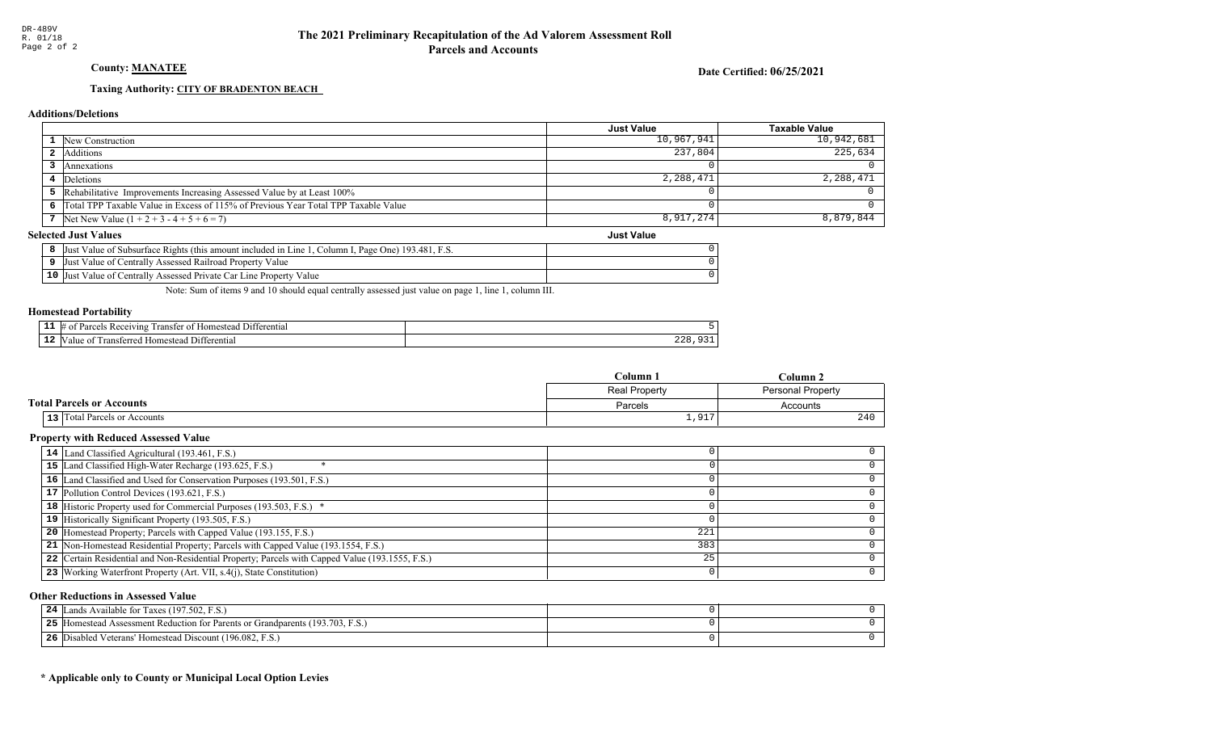### County: **MANATEE**

Date Certified: 06/25/2021

Just Value

### Taxing Authority: CITY OF BRADENTON BEACH

#### Additions/Deletions

|                                                                                      | <b>Just Value</b> | Taxable Value |
|--------------------------------------------------------------------------------------|-------------------|---------------|
| <b>1</b> New Construction                                                            | 10,967,941        | $10,942,681$  |
| Additions                                                                            | 237,804           | 225.634       |
| Annexations                                                                          |                   |               |
| 4 Deletions                                                                          | 2,288,471         | 2,288,471     |
| <b>5</b> Rehabilitative Improvements Increasing Assessed Value by at Least 100%      |                   |               |
| 6 Total TPP Taxable Value in Excess of 115% of Previous Year Total TPP Taxable Value |                   |               |
| 7 Net New Value $(1 + 2 + 3 - 4 + 5 + 6 = 7)$                                        | 8,917,274         | $8,879,844$   |

#### Selected Just Values

| c Value of Subsurface Rights (this amount included in Line 1)<br>I. Page One) 193.481. F.S.<br>Column I.<br> Just |  |
|-------------------------------------------------------------------------------------------------------------------|--|
| t Value of Centrally Assessed Railroad Property Value<br>IJust                                                    |  |
| 10 Just Value of Centrally Assessed Private Car Line Property Value                                               |  |

Note: Sum of items 9 and 10 should equal centrally assessed just value on page 1, line 1, column III.

#### Homestead Portability

| --<br>. . | renti.<br>71n2<br>ranste<br>$^{\circ}$ |     |
|-----------|----------------------------------------|-----|
| --        | entia.                                 | . . |
|           | ונ                                     |     |

|                                     | Column 1      | Column 2                 |
|-------------------------------------|---------------|--------------------------|
|                                     | Real Property | <b>Personal Property</b> |
| <b>Total Parcels or Accounts</b>    | Parcels       | Accounts                 |
| <b>13</b> Total Parcels or Accounts | 1,917         | 240                      |

### Property with Reduced Assessed Value

| 14 Land Classified Agricultural (193.461, F.S.)                                                 |     |  |
|-------------------------------------------------------------------------------------------------|-----|--|
| 15 Land Classified High-Water Recharge (193.625, F.S.)                                          |     |  |
| 16 Land Classified and Used for Conservation Purposes (193.501, F.S.)                           |     |  |
| 17 Pollution Control Devices (193.621, F.S.)                                                    |     |  |
| <b>18</b> Historic Property used for Commercial Purposes (193.503, F.S.) *                      |     |  |
| 19 Historically Significant Property (193.505, F.S.)                                            |     |  |
| <b>20</b> Homestead Property; Parcels with Capped Value (193.155, F.S.)                         | 221 |  |
| 21 Non-Homestead Residential Property; Parcels with Capped Value (193.1554, F.S.)               | 383 |  |
| 22 Certain Residential and Non-Residential Property; Parcels with Capped Value (193.1555, F.S.) | 25  |  |
| 23 Working Waterfront Property (Art. VII, s.4(j), State Constitution)                           |     |  |

#### Other Reductions in Assessed Value

| 24 $\mathbb{L}$<br>Lands Available for Taxes (197.502, F.S.)                      |  |
|-----------------------------------------------------------------------------------|--|
| 25<br>[Homestead Assessment Reduction for Parents or Grandparents (193.703, F.S.) |  |
| 26 Disabled Veterans' Homestead Discount (196.082, F.S.)                          |  |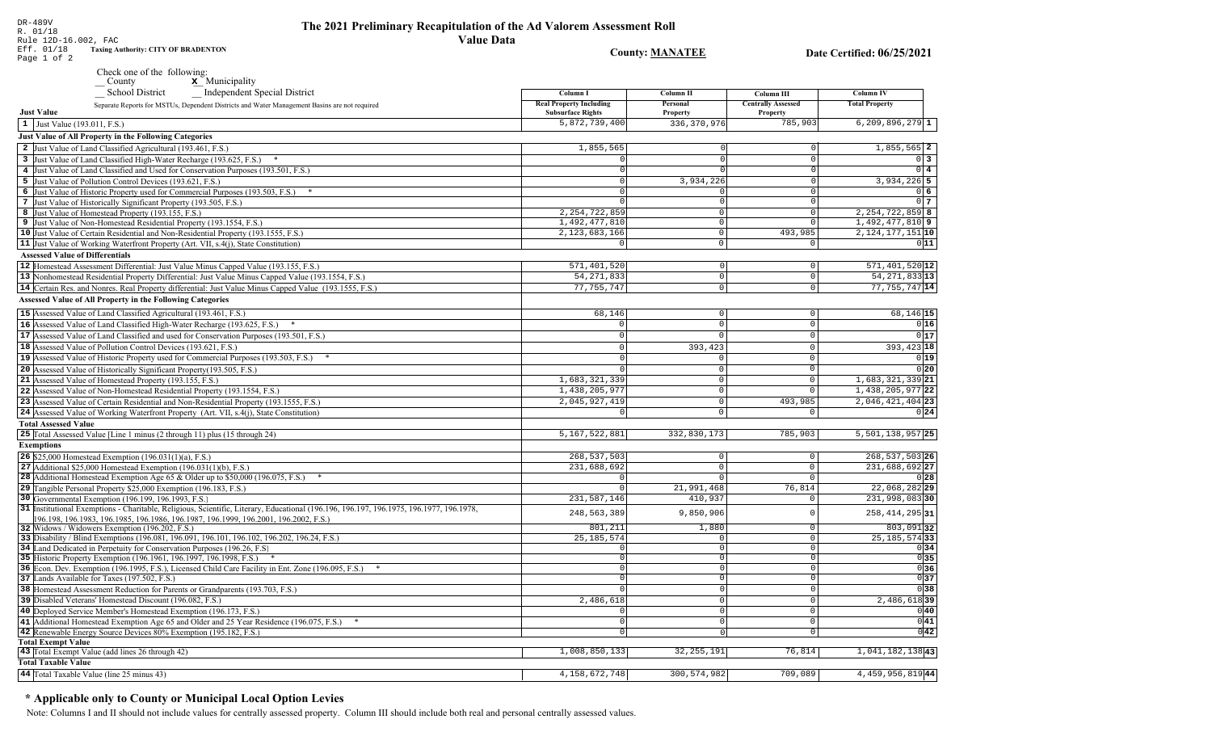### The 2021 Preliminary Recapitulation of the Ad Valorem Assessment Roll **Value Data**

### County MANATEE

4, 158, 672, 748

 $300, 574, 982$ 

Date Certified: 06/25/2021

 $4,459,956,819$ <sup>44</sup>

709,089

| Page 1 of 2                                                                                                                                                                                                                |                                                            | County; <u>MANATEE</u> |                                       | Date Certified: 00/25/2021 |
|----------------------------------------------------------------------------------------------------------------------------------------------------------------------------------------------------------------------------|------------------------------------------------------------|------------------------|---------------------------------------|----------------------------|
| Check one of the following:                                                                                                                                                                                                |                                                            |                        |                                       |                            |
| $\sqrt{\frac{1}{1}}$ County<br>$\boldsymbol{x}$ Municipality<br><b>School District</b><br><b>Independent Special District</b>                                                                                              | Column I                                                   | Column II              | Column III                            | <b>Column IV</b>           |
| Separate Reports for MSTUs, Dependent Districts and Water Management Basins are not required<br><b>Just Value</b>                                                                                                          | <b>Real Property Including</b><br><b>Subsurface Rights</b> | Personal<br>Property   | <b>Centrally Assessed</b><br>Property | <b>Total Property</b>      |
| 1 Just Value (193.011, F.S.)                                                                                                                                                                                               | 5,872,739,400                                              | 336, 370, 976          | 785,903                               | $6, 209, 896, 279$ 1       |
| <b>Just Value of All Property in the Following Categories</b>                                                                                                                                                              |                                                            |                        |                                       |                            |
| 2 Just Value of Land Classified Agricultural (193.461, F.S.)                                                                                                                                                               | 1,855,565                                                  |                        |                                       | 1,855,565 2                |
| 3 Just Value of Land Classified High-Water Recharge (193.625, F.S.) *                                                                                                                                                      |                                                            | $\Omega$               |                                       | $\overline{0}$ 3           |
| 4 Just Value of Land Classified and Used for Conservation Purposes (193.501, F.S.)                                                                                                                                         | $\mathbf 0$                                                |                        | $\Omega$                              | $0\overline{4}$            |
| 5 Just Value of Pollution Control Devices (193.621, F.S.)                                                                                                                                                                  | $\mathbf 0$                                                | 3,934,226              |                                       | 3,934,226 5                |
| 6 Just Value of Historic Property used for Commercial Purposes (193.503, F.S.) *                                                                                                                                           | $\mathbf 0$                                                |                        | $\Omega$                              | 06                         |
| 7 Just Value of Historically Significant Property (193.505, F.S.)                                                                                                                                                          | $\mathbf 0$                                                | $\Omega$               | $\Omega$                              | 0 <sub>7</sub>             |
| 8 Just Value of Homestead Property (193.155, F.S.)                                                                                                                                                                         | 2, 254, 722, 859                                           | $\mathbf 0$            | $\cap$                                | 2, 254, 722, 859 8         |
| 9 Just Value of Non-Homestead Residential Property (193.1554, F.S.)                                                                                                                                                        | 1,492,477,810                                              | $\mathbf 0$            |                                       | $1,492,477,810$ 9          |
| 10 Just Value of Certain Residential and Non-Residential Property (193.1555, F.S.)                                                                                                                                         | 2, 123, 683, 166                                           | $\Omega$               | 493,985                               | 2, 124, 177, 151 10        |
| 11 Just Value of Working Waterfront Property (Art. VII, s.4(j), State Constitution)                                                                                                                                        | $\mathbf 0$                                                | $\Omega$               | $\overline{0}$                        | 011                        |
| <b>Assessed Value of Differentials</b>                                                                                                                                                                                     |                                                            |                        |                                       |                            |
| 12 Homestead Assessment Differential: Just Value Minus Capped Value (193.155, F.S.)                                                                                                                                        | 571,401,520                                                | $\circ$                | $\circ$                               | $571, 401, 520$ 12         |
| 13 Nonhomestead Residential Property Differential: Just Value Minus Capped Value (193.1554, F.S.)                                                                                                                          | 54, 271, 833                                               | $\Omega$               | $\circ$                               | 54, 271, 833 13            |
| 14 Certain Res. and Nonres. Real Property differential: Just Value Minus Capped Value (193.1555, F.S.)                                                                                                                     | 77, 755, 747                                               | $\Omega$               | $\Omega$                              | $77,755,747$ 14            |
| <b>Assessed Value of All Property in the Following Categories</b>                                                                                                                                                          |                                                            |                        |                                       |                            |
|                                                                                                                                                                                                                            |                                                            |                        |                                       |                            |
| 15 Assessed Value of Land Classified Agricultural (193.461, F.S.)                                                                                                                                                          | 68,146                                                     | $\mathsf 0$            | $\mathsf{O}$                          | 68,146 15                  |
| 16 Assessed Value of Land Classified High-Water Recharge (193.625, F.S.) *                                                                                                                                                 | $\Omega$                                                   | $\Omega$               | $\mathbf{0}$                          | 0 16                       |
| 17 Assessed Value of Land Classified and used for Conservation Purposes (193.501, F.S.)                                                                                                                                    | $\mathbf 0$                                                | $\Omega$               | $\mathsf{O}$                          | 0 17                       |
| 18 Assessed Value of Pollution Control Devices (193.621, F.S.)                                                                                                                                                             | $\Omega$                                                   | 393,423                | $\mathbf{0}$                          | 393, 423 18                |
| 19 Assessed Value of Historic Property used for Commercial Purposes (193.503, F.S.)                                                                                                                                        | $\Omega$                                                   | $\Omega$               | $\mathbf{0}$                          | 0 19                       |
| 20 Assessed Value of Historically Significant Property (193.505, F.S.)                                                                                                                                                     | $\Omega$                                                   | $\mathbf 0$            | $\circ$                               | 0 20                       |
| 21 Assessed Value of Homestead Property (193.155, F.S.)                                                                                                                                                                    | 1,683,321,339                                              | $\Omega$               | $\mathsf{O}\xspace$                   | 1,683,321,339 21           |
| 22 Assessed Value of Non-Homestead Residential Property (193.1554, F.S.)                                                                                                                                                   | 1,438,205,977                                              | $\Omega$               | $\Omega$                              | 1, 438, 205, 977 22        |
| 23 Assessed Value of Certain Residential and Non-Residential Property (193.1555, F.S.)                                                                                                                                     | 2,045,927,419                                              | $\mathbf 0$            | 493,985                               | $2,046,421,404$ 23         |
| 24 Assessed Value of Working Waterfront Property (Art. VII, s.4(j), State Constitution)                                                                                                                                    | $\Omega$                                                   | $\mathbf 0$            | $\circ$                               | 0 24                       |
| <b>Total Assessed Value</b>                                                                                                                                                                                                |                                                            |                        |                                       |                            |
| 25 Total Assessed Value [Line 1 minus (2 through 11) plus (15 through 24)                                                                                                                                                  | 5,167,522,881                                              | 332,830,173            | 785,903                               | 5, 501, 138, 957 25        |
| <b>Exemptions</b>                                                                                                                                                                                                          |                                                            |                        |                                       |                            |
| <b>26</b> \$25,000 Homestead Exemption $(196.031(1)(a), F.S.)$                                                                                                                                                             | 268,537,503                                                | $\mathbf 0$            | $\mathsf{O}$                          | 268, 537, 503 26           |
| 27 Additional $$25,000$ Homestead Exemption (196.031(1)(b), F.S.)                                                                                                                                                          | 231,688,692                                                | $\Omega$               | $\mathbf 0$                           | 231,688,692 27             |
| 28 Additional Homestead Exemption Age 65 & Older up to \$50,000 (196.075, F.S.)<br>$\ast$                                                                                                                                  | $\mathbf{0}$                                               | $\Omega$               | $\mathbf{0}$                          | 0 28                       |
| 29 Tangible Personal Property \$25,000 Exemption (196.183, F.S.)                                                                                                                                                           | $\Omega$                                                   | 21,991,468             | 76,814                                | 22,068,282 29              |
| 30 Governmental Exemption (196.199, 196.1993, F.S.)                                                                                                                                                                        | 231, 587, 146                                              | 410,937                | $\mathsf{O}$                          | 231,998,083 30             |
| 31 Institutional Exemptions - Charitable, Religious, Scientific, Literary, Educational (196.196.197, 196.1975, 196.1977, 196.1978,<br>196.198, 196.1983, 196.1985, 196.1986, 196.1987, 196.1999, 196.2001, 196.2002, F.S.) | 248,563,389                                                | 9,850,906              | $\Omega$                              | 258, 414, 295 31           |
| 32 Widows / Widowers Exemption (196.202, F.S.)                                                                                                                                                                             | 801,211                                                    | 1,880                  | $\mathbf{0}$                          | $803,091$ 32               |
| 33 Disability / Blind Exemptions (196.081, 196.091, 196.101, 196.102, 196.202, 196.24, F.S.)                                                                                                                               | 25, 185, 574                                               | $^{\circ}$             | $\circ$                               | 25, 185, 574 33            |
| 34 Land Dedicated in Perpetuity for Conservation Purposes (196.26, F.S.)                                                                                                                                                   | $\overline{0}$                                             | $\Omega$               | $\circ$                               | 0 34                       |
| 35 Historic Property Exemption (196.1961, 196.1997, 196.1998, F.S.) *                                                                                                                                                      | $\mathbb O$                                                | $\Omega$               | 0                                     | 0 35                       |
| 36 Econ. Dev. Exemption (196.1995, F.S.), Licensed Child Care Facility in Ent. Zone (196.095, F.S.)                                                                                                                        | $\Omega$                                                   | $\Omega$               | $\circ$                               | 036                        |
| 37 Lands Available for Taxes (197.502, F.S.)                                                                                                                                                                               | $\overline{0}$                                             | $\mathbf 0$            | 0                                     | 0 37                       |
| 38 Homestead Assessment Reduction for Parents or Grandparents (193.703, F.S.)                                                                                                                                              | $\Omega$                                                   | $\Omega$               | $\circ$                               | $0$ 38                     |
| 39 Disabled Veterans' Homestead Discount (196.082, F.S.)                                                                                                                                                                   | 2,486,618                                                  | $\mathbf 0$            | $\mathbf 0$                           | 2,486,61839                |
| 40 Deployed Service Member's Homestead Exemption (196.173, F.S.)                                                                                                                                                           | $\Omega$                                                   | $\Omega$               | $\Omega$                              | 0 40                       |
| 41 Additional Homestead Exemption Age 65 and Older and 25 Year Residence (196.075, F.S.)                                                                                                                                   | $\Omega$                                                   | $\Omega$               | $\circ$                               | 0 41                       |
| 42 Renewable Energy Source Devices 80% Exemption (195.182, F.S.)                                                                                                                                                           | $\Omega$                                                   | $\Omega$               | $\circ$                               | 0 42                       |
| <b>Total Exempt Value</b>                                                                                                                                                                                                  |                                                            |                        |                                       |                            |
| 43 Total Exempt Value (add lines 26 through 42)                                                                                                                                                                            | 1,008,850,133                                              | 32, 255, 191           | 76,814                                | 1,041,182,13843            |

## \* Applicable only to County or Municipal Local Option Levies

**Total Taxable Value** 

44 Total Taxable Value (line 25 minus 43)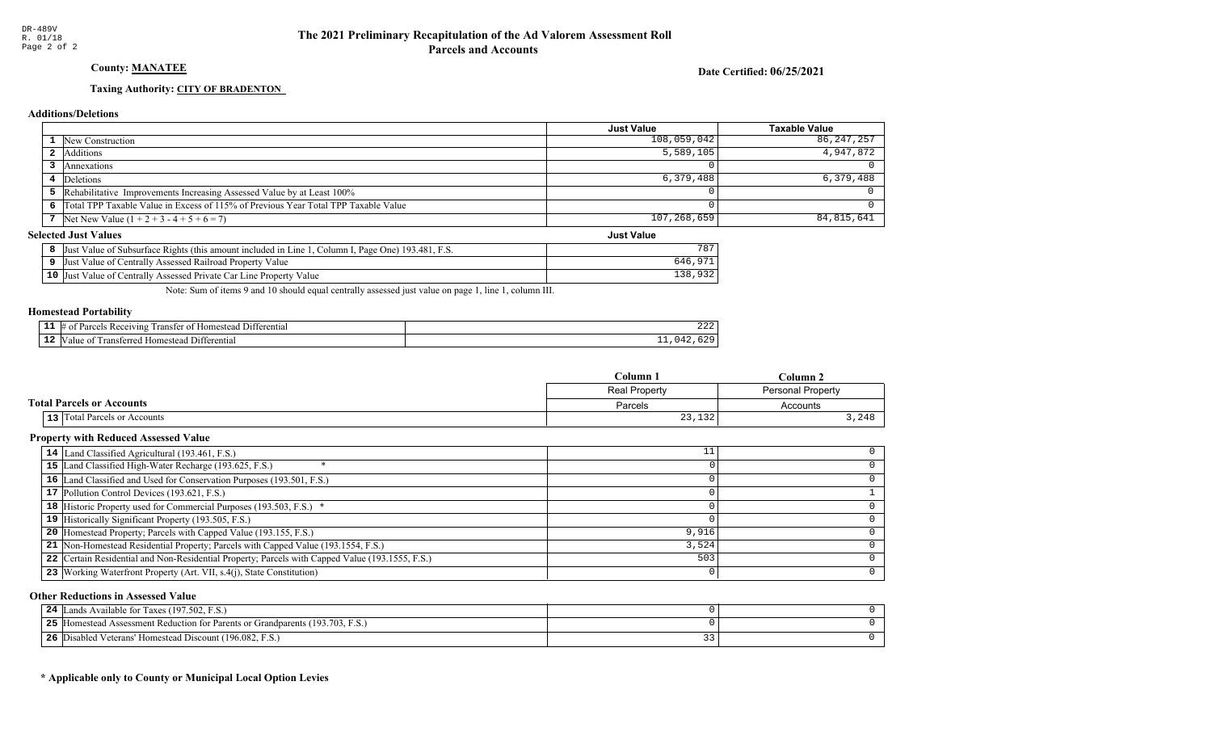### County: **MANATEE**

Date Certified: 06/25/2021

Just Value

### Taxing Authority: CITY OF BRADENTON

#### Additions/Deletions

|                                                                                      | Just Value  | Taxable Value |
|--------------------------------------------------------------------------------------|-------------|---------------|
| <b>1</b> New Construction                                                            | 108,059,042 | 86,247,257    |
| <b>2</b> Additions                                                                   | 5,589,105   | 4,947,872     |
| <b>Annexations</b>                                                                   |             |               |
| 4 Deletions                                                                          | 6,379,488   | 6,379,488     |
| 5 Rehabilitative Improvements Increasing Assessed Value by at Least 100%             |             |               |
| 6 Total TPP Taxable Value in Excess of 115% of Previous Year Total TPP Taxable Value |             |               |
| 7 Net New Value $(1 + 2 + 3 - 4 + 5 + 6 = 7)$                                        | 107,268,659 | 84, 815, 641  |

#### Selected Just Values

| Just Value of Subsurface Rights (this amount included in Line 1, Column I, Page One) 193.481, F.S. | 787 |
|----------------------------------------------------------------------------------------------------|-----|
| Just Value of Centrally Assessed Railroad Property Value                                           |     |
| 10 Just Value of Centrally Assessed Private Car Line Property Value                                |     |

Note: Sum of items 9 and 10 should equal centrally assessed just value on page 1, line 1, column III.

#### Homestead Portability

|     | -11<br>erentia<br>371 n<br>-aomes | $\sim$ $\sim$ $\sim$<br>444 |
|-----|-----------------------------------|-----------------------------|
| . . | ,,<br>וווו<br>enna<br>ำm∗<br>־יי  | --                          |

|                                  | $C$ olumn<br>$Column$ .                          |          |
|----------------------------------|--------------------------------------------------|----------|
|                                  | <b>Real Property</b><br><b>Personal Property</b> |          |
| <b>Total Parcels or Accounts</b> | Parcels                                          | Accounts |
| 13 Total Parcels or Accounts     | 23,132                                           | 248      |

### Property with Reduced Assessed Value

| 14 Land Classified Agricultural (193.461, F.S.)                                                 | ᅩᅩ    |   |
|-------------------------------------------------------------------------------------------------|-------|---|
| 15 Land Classified High-Water Recharge (193.625, F.S.)                                          |       |   |
| 16 Land Classified and Used for Conservation Purposes (193.501, F.S.)                           |       |   |
| 17 Pollution Control Devices (193.621, F.S.)                                                    |       |   |
| 18 Historic Property used for Commercial Purposes (193.503, F.S.) *                             |       |   |
| 19 Historically Significant Property (193.505, F.S.)                                            |       |   |
| <b>20</b> Homestead Property; Parcels with Capped Value (193.155, F.S.)                         | 9,916 |   |
| 21 Non-Homestead Residential Property; Parcels with Capped Value (193.1554, F.S.)               | 3,524 |   |
| 22 Certain Residential and Non-Residential Property; Parcels with Capped Value (193.1555, F.S.) | 503   |   |
| 23 Working Waterfront Property (Art. VII, s.4(j), State Constitution)                           |       | ∩ |

#### Other Reductions in Assessed Value

| Lands Available for Taxes (197.502, F.S.)<br>24                                  |  |
|----------------------------------------------------------------------------------|--|
| 25<br>Homestead Assessment Reduction for Parents or Grandparents (193.703, F.S.) |  |
| 26<br>Disabled Veterans' Homestead Discount (196.082, F.S.)                      |  |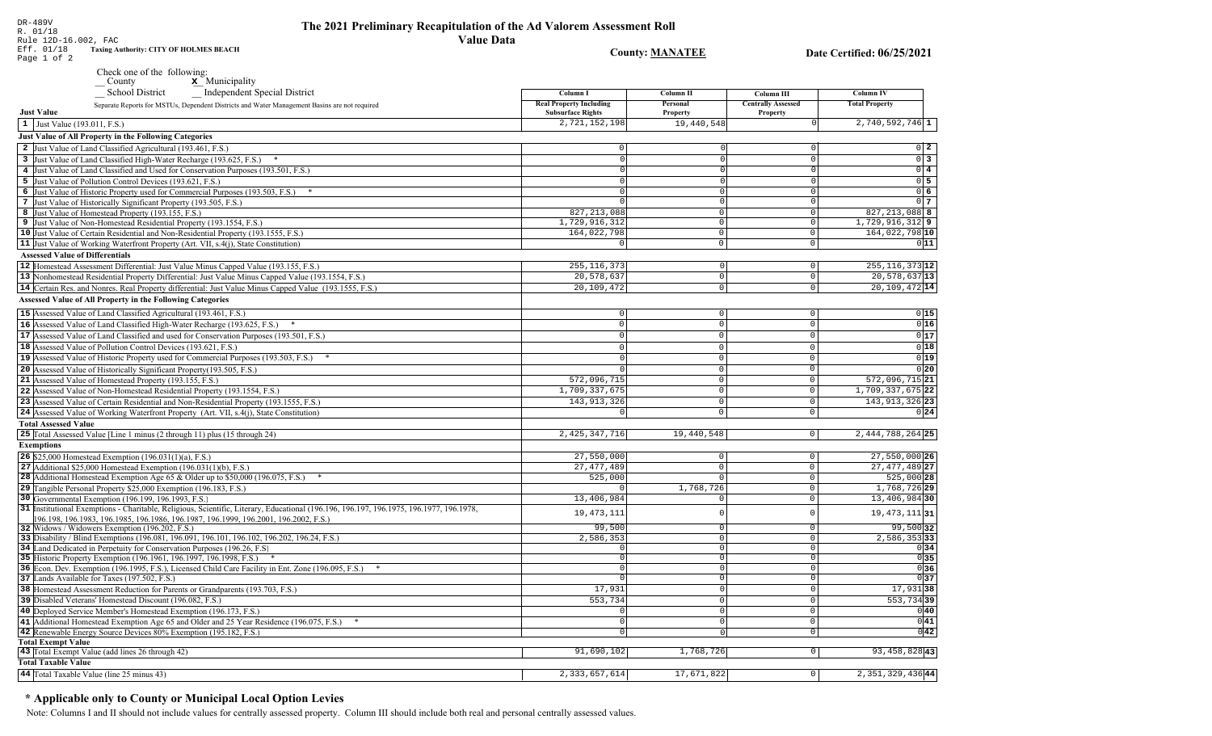Date Certified: 06/25/2021

**County: MANATEE** 

| Rule 12D-16.002, FAC                                        |
|-------------------------------------------------------------|
| Eff. 01/18<br><b>Taxing Authority: CITY OF HOLMES BEACH</b> |
| Page 1 of 2                                                 |

DR-489V<br>R. 01/18

Check one of the following:<br>  $\frac{\mathbf{x}}{\mathbf{y}}$  Municipality

| Independent Special District<br><b>School District</b><br>Separate Reports for MSTUs, Dependent Districts and Water Management Basins are not required                                                                          | Column I<br><b>Real Property Including</b> | Column II<br>Personal | Column III<br><b>Centrally Assessed</b> | <b>Column IV</b><br><b>Total Property</b> |
|---------------------------------------------------------------------------------------------------------------------------------------------------------------------------------------------------------------------------------|--------------------------------------------|-----------------------|-----------------------------------------|-------------------------------------------|
| <b>Just Value</b>                                                                                                                                                                                                               | <b>Subsurface Rights</b>                   | Property              | Property                                |                                           |
| 1 Just Value (193.011, F.S.)                                                                                                                                                                                                    | 2,721,152,198                              | 19,440,548            |                                         | $2,740,592,746$ 1                         |
| Just Value of All Property in the Following Categories                                                                                                                                                                          |                                            |                       |                                         |                                           |
| 2 Just Value of Land Classified Agricultural (193.461, F.S.)                                                                                                                                                                    | $\Omega$                                   | $\Omega$              | U                                       | $0\vert 2$                                |
| 3 Just Value of Land Classified High-Water Recharge (193.625, F.S.)                                                                                                                                                             | $\Omega$                                   | $\overline{0}$        | $\overline{0}$                          | $0\overline{3}$                           |
| 4 Just Value of Land Classified and Used for Conservation Purposes (193.501, F.S.)                                                                                                                                              | $\Omega$                                   | $\Omega$              | $\Omega$                                | $0\sqrt{4}$                               |
| 5 Just Value of Pollution Control Devices (193.621, F.S.)                                                                                                                                                                       | 0                                          | $\Omega$              | $\overline{0}$                          | $0$ 5                                     |
| 6 Just Value of Historic Property used for Commercial Purposes (193.503, F.S.) *                                                                                                                                                | $\Omega$                                   | $\Omega$              | $\Omega$                                | $0\overline{6}$                           |
| 7 Just Value of Historically Significant Property (193.505, F.S.)                                                                                                                                                               | $\cap$                                     | $\Omega$              | $\Omega$                                | 0 <sub>7</sub>                            |
| 8 Just Value of Homestead Property (193.155, F.S.)                                                                                                                                                                              | 827, 213, 088                              | $\overline{0}$        | $\circ$                                 | $827, 213, 088$ 8                         |
| 9 Just Value of Non-Homestead Residential Property (193.1554, F.S.)                                                                                                                                                             | 1,729,916,312                              | $\overline{0}$        | $\circ$                                 | $1,729,916,312$ 9                         |
| 10 Just Value of Certain Residential and Non-Residential Property (193.1555, F.S.)                                                                                                                                              | 164,022,798                                | $\overline{0}$        | $\circ$                                 | 164,022,798 10                            |
| 11 Just Value of Working Waterfront Property (Art. VII, s.4(j), State Constitution)                                                                                                                                             | $\circ$                                    | $\circ$               | $\circ$                                 | 011                                       |
| <b>Assessed Value of Differentials</b>                                                                                                                                                                                          |                                            |                       |                                         |                                           |
| 12 Homestead Assessment Differential: Just Value Minus Capped Value (193.155, F.S.)                                                                                                                                             | 255, 116, 373                              | $\circ$               | $\mathbf 0$                             | $255, 116, 373$ 12                        |
| 13 Nonhomestead Residential Property Differential: Just Value Minus Capped Value (193.1554, F.S.)                                                                                                                               | 20,578,637                                 | $\overline{0}$        | $\circ$                                 | 20,578,637 13                             |
| 14 Certain Res. and Nonres. Real Property differential: Just Value Minus Capped Value (193.1555, F.S.)                                                                                                                          | 20,109,472                                 | $\circ$               | $\circ$                                 | 20, 109, 472 14                           |
| Assessed Value of All Property in the Following Categories                                                                                                                                                                      |                                            |                       |                                         |                                           |
| 15 Assessed Value of Land Classified Agricultural (193.461, F.S.)                                                                                                                                                               | $\circ$                                    | $\mathbf 0$           | $\circ$                                 | 0 15                                      |
|                                                                                                                                                                                                                                 | $\Omega$                                   | $\Omega$              | $\circ$                                 | 0 16                                      |
| 16 Assessed Value of Land Classified High-Water Recharge (193.625, F.S.) *                                                                                                                                                      |                                            |                       |                                         |                                           |
| 17 Assessed Value of Land Classified and used for Conservation Purposes (193.501, F.S.)                                                                                                                                         | $\Omega$                                   | $\Omega$              | $\mathbf 0$                             | 0 17                                      |
| 18 Assessed Value of Pollution Control Devices (193.621, F.S.)                                                                                                                                                                  | $\Omega$                                   | $\circ$               | $\mathbb O$                             | 0 18                                      |
| 19 Assessed Value of Historic Property used for Commercial Purposes (193.503, F.S.) *                                                                                                                                           | $\Omega$                                   | $\overline{0}$        | $\mathbf 0$                             | 0 19                                      |
| 20 Assessed Value of Historically Significant Property (193.505, F.S.)                                                                                                                                                          |                                            | $\overline{0}$        | $\Omega$                                | 0 20                                      |
| 21 Assessed Value of Homestead Property (193.155, F.S.)                                                                                                                                                                         | 572,096,715                                | $\Omega$              | $\Omega$                                | 572,096,715 21                            |
| 22 Assessed Value of Non-Homestead Residential Property (193.1554, F.S.)                                                                                                                                                        | 1,709,337,675                              | $\overline{0}$        | $\mathbf 0$                             | 1,709,337,675 22                          |
| 23 Assessed Value of Certain Residential and Non-Residential Property (193.1555, F.S.)                                                                                                                                          | 143, 913, 326                              | $\overline{0}$        | $\mathbf 0$                             | 143, 913, 326 23                          |
| 24 Assessed Value of Working Waterfront Property (Art. VII, s.4(j), State Constitution)                                                                                                                                         |                                            | $\Omega$              | $\Omega$                                | 0 24                                      |
| <b>Total Assessed Value</b>                                                                                                                                                                                                     |                                            |                       |                                         |                                           |
| 25 Total Assessed Value [Line 1 minus (2 through 11) plus (15 through 24)                                                                                                                                                       | 2, 425, 347, 716                           | 19,440,548            | $\circ$                                 | 2, 444, 788, 264 25                       |
| <b>Exemptions</b>                                                                                                                                                                                                               |                                            |                       |                                         |                                           |
| <b>26</b> \$25,000 Homestead Exemption $(196.031(1)(a), F.S.)$                                                                                                                                                                  | 27,550,000                                 | $\overline{0}$        | $\mathsf{O}$                            | 27,550,000 26                             |
| $\sqrt{27}$ Additional \$25,000 Homestead Exemption (196.031(1)(b), F.S.)                                                                                                                                                       | 27, 477, 489                               | $\Omega$              | $\mathbf 0$                             | 27, 477, 489 27                           |
| 28 Additional Homestead Exemption Age 65 & Older up to \$50,000 (196.075, F.S.)<br>*                                                                                                                                            | 525,000                                    | $\overline{0}$        | $\mathbf 0$                             | 525,000 28                                |
| 29 Tangible Personal Property \$25,000 Exemption (196.183, F.S.)                                                                                                                                                                |                                            | 1,768,726             | $\mathsf{O}\xspace$                     | 1,768,726 29                              |
| 30 Governmental Exemption (196.199, 196.1993, F.S.)                                                                                                                                                                             | 13,406,984                                 | $\Omega$              | $\Omega$                                | 13,406,984 30                             |
| 31 Institutional Exemptions - Charitable, Religious, Scientific, Literary, Educational (196.196, 196.197, 196.1975, 196.1977, 196.1978,<br>196.198, 196.1983, 196.1985, 196.1986, 196.1987, 196.1999, 196.2001, 196.2002, F.S.) | 19, 473, 111                               | $\Omega$              |                                         | 19, 473, 111 31                           |
| 32 Widows / Widowers Exemption (196.202, F.S.)                                                                                                                                                                                  | 99,500                                     | $\overline{0}$        | $\Omega$                                | 99,500 32                                 |
| 33 Disability / Blind Exemptions (196.081, 196.091, 196.101, 196.102, 196.202, 196.24, F.S.)                                                                                                                                    | 2,586,353                                  | $\overline{0}$        | $\circ$                                 | 2,586,353 33                              |
| 34 Land Dedicated in Perpetuity for Conservation Purposes (196.26, F.S.)                                                                                                                                                        | $\Omega$                                   | $\circ$               | $\circ$                                 | 0 34                                      |
| 35 Historic Property Exemption (196.1961, 196.1997, 196.1998, F.S.) *                                                                                                                                                           | $\mathbf 0$                                | $\circ$               | $\Omega$                                | 0 35                                      |
| 36 Econ. Dev. Exemption (196.1995, F.S.), Licensed Child Care Facility in Ent. Zone (196.095, F.S.)                                                                                                                             | 0                                          | $\circ$               | $\Omega$                                | 0 36                                      |
| 37 Lands Available for Taxes (197.502, F.S.)                                                                                                                                                                                    |                                            | $\mathbf 0$           | $\overline{0}$                          | 0 37                                      |
| 38 Homestead Assessment Reduction for Parents or Grandparents (193.703, F.S.)                                                                                                                                                   | 17,931                                     | $\Omega$              | $\cap$                                  | $17,931$ 38                               |
| 39 Disabled Veterans' Homestead Discount (196.082, F.S.)                                                                                                                                                                        | 553,734                                    | $\circ$               | $\mathbb O$                             | 553,734 39                                |
| 40 Deployed Service Member's Homestead Exemption (196.173, F.S.)                                                                                                                                                                | $\Omega$                                   | $\mathbf 0$           | $\circ$                                 | 0 40                                      |
| 41 Additional Homestead Exemption Age 65 and Older and 25 Year Residence (196.075, F.S.)                                                                                                                                        | $\Omega$                                   | $\mathbf 0$           | $\mathsf{O}$                            | 0 41                                      |
| 42 Renewable Energy Source Devices 80% Exemption (195.182, F.S.)                                                                                                                                                                | $\circ$                                    | $\Omega$              | $\circ$                                 | $0\overline{42}$                          |
| <b>Total Exempt Value</b>                                                                                                                                                                                                       |                                            |                       |                                         |                                           |
| 43 Total Exempt Value (add lines 26 through 42)                                                                                                                                                                                 | 91,690,102                                 | 1,768,726             | 0                                       | 93, 458, 828 43                           |
| <b>Total Taxable Value</b>                                                                                                                                                                                                      |                                            |                       |                                         |                                           |
| 44 Total Taxable Value (line 25 minus 43)                                                                                                                                                                                       | 2,333,657,614                              | 17,671,822            | $\circ$                                 | 2, 351, 329, 436 44                       |

### \* Applicable only to County or Municipal Local Option Levies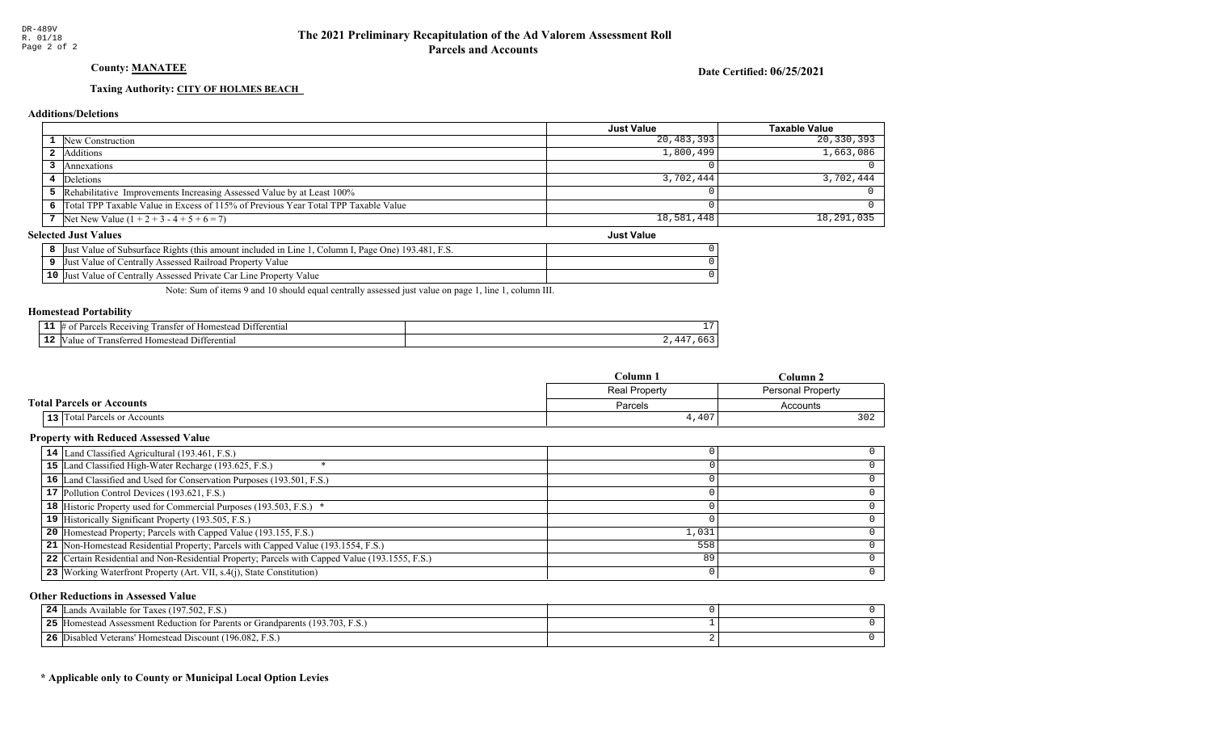### County: **MANATEE**

Date Certified: 06/25/2021

Just Value

### Taxing Authority: CITY OF HOLMES BEACH

#### Additions/Deletions

|                                                                                      | Just Value | <b>Taxable Value</b> |
|--------------------------------------------------------------------------------------|------------|----------------------|
| <b>1</b> New Construction                                                            | 20,483,393 | 20,330,393           |
| Additions                                                                            | 1,800,499  | 1,663,086            |
| Annexations                                                                          |            |                      |
| 4 Deletions                                                                          | 3,702,444  | 3,702,444            |
| 5 Rehabilitative Improvements Increasing Assessed Value by at Least 100%             |            |                      |
| 6 Total TPP Taxable Value in Excess of 115% of Previous Year Total TPP Taxable Value |            |                      |
| 7 Net New Value $(1 + 2 + 3 - 4 + 5 + 6 = 7)$                                        | 18,581,448 | 18,291,035           |

#### Selected Just Values

|                 | ., Page One) 193.481, F.S.<br>Column I.<br>Value of Subsurface Rights (this amount included in Line<br>Just |  |
|-----------------|-------------------------------------------------------------------------------------------------------------|--|
|                 | Just Value of Centrally Assessed Railroad Property Value                                                    |  |
| 10 <sup>7</sup> | Value of Centrally Assessed Private Car Line Property Value<br>Just                                         |  |

Note: Sum of items 9 and 10 should equal centrally assessed just value on page 1, line 1, column III.

#### Homestead Portability

| . . | renti.<br>71n2<br>ranste<br>$^{\circ}$ | --                             |
|-----|----------------------------------------|--------------------------------|
| --  | entia.<br>ונ                           | --<br>$\overline{\phantom{a}}$ |

|                                     | Column 1                                  | Column 2 |  |
|-------------------------------------|-------------------------------------------|----------|--|
|                                     | Real Property<br><b>Personal Property</b> |          |  |
| <b>Total Parcels or Accounts</b>    | Parcels                                   | Accounts |  |
| <b>13</b> Total Parcels or Accounts | 4,407                                     | 302      |  |

### Property with Reduced Assessed Value

| 14 Land Classified Agricultural (193.461, F.S.)                                                 |       |  |
|-------------------------------------------------------------------------------------------------|-------|--|
| 15 Land Classified High-Water Recharge (193.625, F.S.)                                          |       |  |
| 16 Land Classified and Used for Conservation Purposes (193.501, F.S.)                           |       |  |
| 17 Pollution Control Devices (193.621, F.S.)                                                    |       |  |
| 18 Historic Property used for Commercial Purposes (193.503, F.S.) *                             |       |  |
| 19 Historically Significant Property (193.505, F.S.)                                            |       |  |
| <b>20</b> Homestead Property; Parcels with Capped Value (193.155, F.S.)                         | 1,031 |  |
| 21 Non-Homestead Residential Property; Parcels with Capped Value (193.1554, F.S.)               | 558   |  |
| 22 Certain Residential and Non-Residential Property; Parcels with Capped Value (193.1555, F.S.) | 89    |  |
| 23 Working Waterfront Property (Art. VII, s.4(j), State Constitution)                           |       |  |
|                                                                                                 |       |  |

#### Other Reductions in Assessed Value

| ands Available for Taxes (197.502, F.S.)<br>24                                       |  |
|--------------------------------------------------------------------------------------|--|
| 5 [Homestead Assessment Reduction for Parents or Grandparents (193.703, F.S.)<br>25. |  |
| Disabled Veterans' Homestead Discount (196.082, F.S.)<br>26                          |  |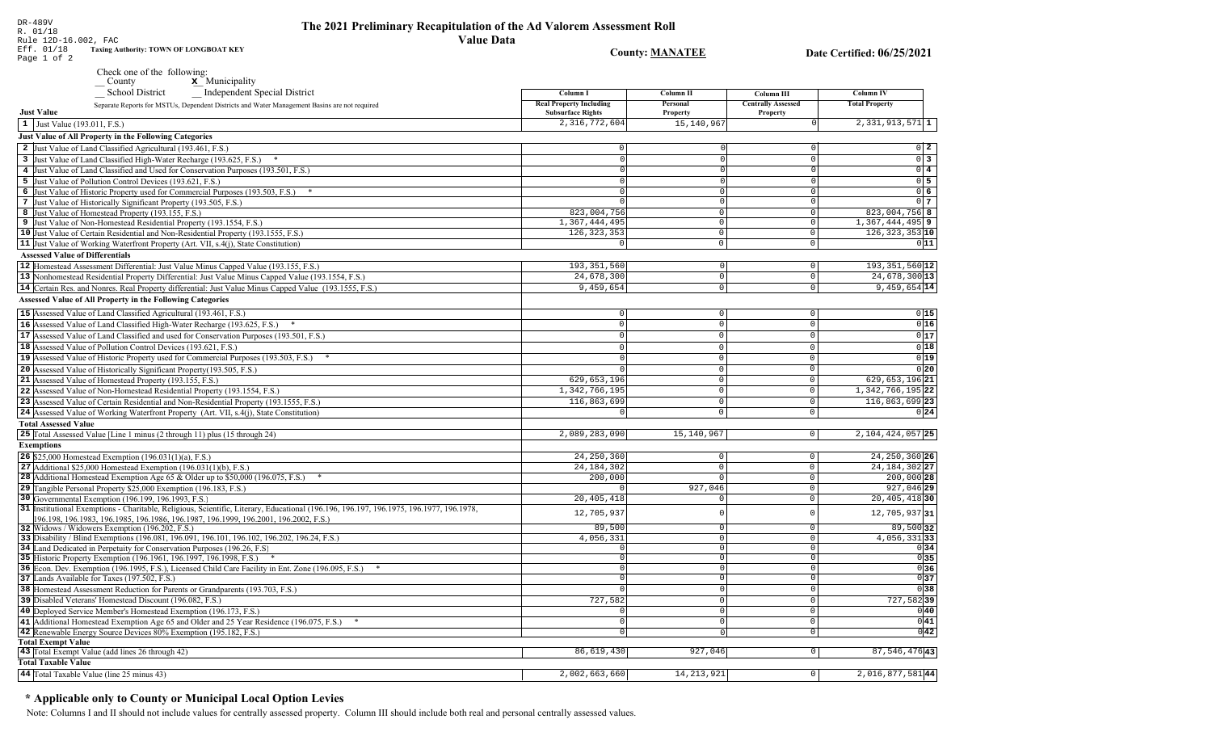Rule 12D-16.002, FAC Eff. 01/18 Taxing Authority: TOWN OF LONGBOAT KEY

Page 1 of 2

DR-489V

 $R. 01/18$ 

| Check one of the following:<br>$\underline{\mathbf{x}}$ Municipality<br>County                                    |                                                            |                             |                                              |                       |
|-------------------------------------------------------------------------------------------------------------------|------------------------------------------------------------|-----------------------------|----------------------------------------------|-----------------------|
| Independent Special District<br><b>School District</b>                                                            | Column <sub>1</sub>                                        | Column II                   | Column III                                   | Column IV             |
| Separate Reports for MSTUs, Dependent Districts and Water Management Basins are not required<br><b>Just Value</b> | <b>Real Property Including</b><br><b>Subsurface Rights</b> | Personal<br><b>Property</b> | <b>Centrally Assessed</b><br><b>Property</b> | <b>Total Property</b> |
| $\vert 1 \vert$ Just Value (193.011, F.S.)                                                                        | 2, 316, 772, 604                                           | 15,140,967                  |                                              | $2,331,913,571$ 1     |
| <b>Just Value of All Property in the Following Categories</b>                                                     |                                                            |                             |                                              |                       |
| 2 Just Value of Land Classified Agricultural (193.461, F.S.)                                                      |                                                            |                             |                                              | $0\vert 2\vert$       |
| 3 Just Value of Land Classified High-Water Recharge (193.625, F.S.)                                               |                                                            |                             |                                              | 0 <sup>3</sup>        |
| 4 Just Value of Land Classified and Used for Conservation Purposes (193.501, F.S.)                                |                                                            |                             |                                              | $0\quad 4$            |
| 5 Just Value of Pollution Control Devices (193.621, F.S.)                                                         |                                                            |                             |                                              | 0 <sub>5</sub>        |
| 6 Just Value of Historic Property used for Commercial Purposes (193.503, F.S.) *                                  |                                                            |                             |                                              | $0\vert 6$            |
| 7 Just Value of Historically Significant Property (193.505, F.S.)                                                 |                                                            |                             |                                              | $0\overline{7}$       |
| 8 Just Value of Homestead Property (193.155, F.S.)                                                                | 823,004,756                                                |                             |                                              | $823,004,756$ 8       |
| 9 Just Value of Non-Homestead Residential Property (193.1554, F.S.)                                               | 1,367,444,495                                              |                             |                                              | $1,367,444,495$ 9     |
| 10 Just Value of Certain Residential and Non-Residential Property (193.1555, F.S.)                                | 126, 323, 353                                              |                             |                                              | $126, 323, 353$ 10    |
| <b>11</b> Just Value of Working Waterfront Property (Art. VII, s.4(j), State Constitution)                        |                                                            |                             |                                              | 011                   |
| <b>Assessed Value of Differentials</b>                                                                            |                                                            |                             |                                              |                       |
| 12 Homestead Assessment Differential: Just Value Minus Capped Value (193.155, F.S.)                               | 193, 351, 560                                              |                             |                                              | $193, 351, 560$ 12    |
| 13 Nonhomestead Residential Property Differential: Just Value Minus Capped Value (193.1554, F.S.)                 | 24,678,300                                                 |                             |                                              | 24,678,300 13         |
| <b>14</b> Certain Res. and Nonres. Real Property differential: Just Value Minus Capped Value (193.1555, F.S.)     | 9,459,654                                                  |                             |                                              | $9,459,654$ 14        |

| $\overline{1}$ Just Value (193.011, F.S.)                                                                                          | 2,316,772,604  | 15, 140, 967 |                     | $2,331,913,571$ 1            |
|------------------------------------------------------------------------------------------------------------------------------------|----------------|--------------|---------------------|------------------------------|
| Just Value of All Property in the Following Categories                                                                             |                |              |                     |                              |
| 2 Just Value of Land Classified Agricultural (193.461, F.S.)                                                                       | $\Omega$       |              | $\Omega$            | $0\vert 2$                   |
| 3 Just Value of Land Classified High-Water Recharge (193.625, F.S.)<br>$\ast$                                                      |                |              | $\Omega$            | $\overline{0}$ 3             |
| 4 Just Value of Land Classified and Used for Conservation Purposes (193.501, F.S.)                                                 | $\Omega$       |              | $\Omega$            | $0\sqrt{4}$                  |
| 5 Just Value of Pollution Control Devices (193.621, F.S.)                                                                          |                |              | $\Omega$            | $0\overline{5}$              |
| 6 Just Value of Historic Property used for Commercial Purposes (193.503, F.S.) *                                                   |                |              | $\mathbf 0$         | $\overline{0}$ 6             |
| 7 Just Value of Historically Significant Property (193.505, F.S.)                                                                  |                | $\Omega$     | $\overline{0}$      | 0 <sub>7</sub>               |
| 8 Just Value of Homestead Property (193.155, F.S.)                                                                                 | 823,004,756    | $\circ$      | $\circ$             | 823,004,756 8                |
| 9 Just Value of Non-Homestead Residential Property (193.1554, F.S.)                                                                | 1,367,444,495  | $\circ$      | $\circ$             | $\overline{1,}367,444,495$ 9 |
| 10 Just Value of Certain Residential and Non-Residential Property (193.1555, F.S.)                                                 | 126, 323, 353  | $\mathbf 0$  | $\circ$             | 126, 323, 353 10             |
| 11 Just Value of Working Waterfront Property (Art. VII, s.4(j), State Constitution)                                                | $\overline{0}$ | $\circ$      | $\circ$             | 011                          |
| <b>Assessed Value of Differentials</b>                                                                                             |                |              |                     |                              |
| 12 Homestead Assessment Differential: Just Value Minus Capped Value (193.155, F.S.)                                                | 193, 351, 560  | 0            | 0                   | 193, 351, 560 12             |
| 13 Nonhomestead Residential Property Differential: Just Value Minus Capped Value (193.1554, F.S.)                                  | 24,678,300     | $\mathbb O$  | 0                   | 24,678,300 13                |
| 14 Certain Res. and Nonres. Real Property differential: Just Value Minus Capped Value (193.1555, F.S.)                             | 9,459,654      | $\circ$      | $\mathbf 0$         | $9,459,654$ 14               |
| Assessed Value of All Property in the Following Categories                                                                         |                |              |                     |                              |
|                                                                                                                                    |                |              |                     |                              |
| 15 Assessed Value of Land Classified Agricultural (193.461, F.S.)                                                                  | $\circ$        | 0            | 0                   | 0 15                         |
| 16 Assessed Value of Land Classified High-Water Recharge (193.625, F.S.)                                                           | $\mathsf 0$    | $\mathbf 0$  | $\mathbf 0$         | 0 16                         |
| 17 Assessed Value of Land Classified and used for Conservation Purposes (193.501, F.S.)                                            | $\mathbf{0}$   | $\Omega$     | 0                   | 0 17                         |
| 18 Assessed Value of Pollution Control Devices (193.621, F.S.)                                                                     | $\Omega$       | $\Omega$     | $\mathbf 0$         | 0 18                         |
| 19 Assessed Value of Historic Property used for Commercial Purposes (193.503, F.S.) *                                              | $\Omega$       | $\Omega$     | $\mathsf 0$         | 0 19                         |
| 20 Assessed Value of Historically Significant Property(193.505, F.S.)                                                              |                | $\mathbf 0$  | $\mathsf 0$         | 0 20                         |
| 21 Assessed Value of Homestead Property (193.155, F.S.)                                                                            | 629,653,196    | $\mathbf 0$  | $\mathsf 0$         | 629, 653, 196 21             |
| 22 Assessed Value of Non-Homestead Residential Property (193.1554, F.S.)                                                           | 1,342,766,195  | $\mathbf 0$  | $\mathbb O$         | 1, 342, 766, 195 22          |
| 23 Assessed Value of Certain Residential and Non-Residential Property (193.1555, F.S.)                                             | 116,863,699    | $\mathbb O$  | $\mathbb O$         | 116,863,699 23               |
| 24 Assessed Value of Working Waterfront Property (Art. VII, s.4(j), State Constitution)                                            | $\mathbf 0$    | 0            | $\mathbf 0$         | 0 24                         |
| <b>Total Assessed Value</b>                                                                                                        |                |              |                     |                              |
| 25 Total Assessed Value [Line 1 minus (2 through 11) plus (15 through 24)                                                          | 2,089,283,090  | 15,140,967   | 0                   | 2, 104, 424, 057 25          |
| <b>Exemptions</b>                                                                                                                  |                |              |                     |                              |
| <b>26</b> \$25,000 Homestead Exemption $(196.031(1)(a), F.S.)$                                                                     | 24, 250, 360   | 0            | $\circ$             | 24, 250, 360 26              |
| 27 Additional \$25,000 Homestead Exemption $(196.031(1)(b), F.S.)$                                                                 | 24, 184, 302   | $\mathbb O$  | $\overline{0}$      | 24, 184, 302 27              |
| <b>28</b> Additional Homestead Exemption Age 65 & Older up to \$50,000 (196.075, F.S.)                                             | 200,000        | $\mathbf 0$  | $\circ$             | 200,000 28                   |
| 29 Tangible Personal Property \$25,000 Exemption (196.183, F.S.)                                                                   |                | 927,046      | $\mathsf 0$         | $927,046$ 29                 |
| 30 Governmental Exemption (196.199, 196.1993, F.S.)                                                                                | 20,405,418     | $\Omega$     | $\mathsf 0$         | $20,405,418$ 30              |
| 31 Institutional Exemptions - Charitable, Religious, Scientific, Literary, Educational (196.196.197, 196.1975, 196.1977, 196.1978, | 12,705,937     | $\Omega$     | $\mathsf 0$         | 12,705,937 31                |
| 196.198, 196.1983, 196.1985, 196.1986, 196.1987, 196.1999, 196.2001, 196.2002, F.S.)                                               |                |              |                     |                              |
| 32 Widows / Widowers Exemption (196.202, F.S.)                                                                                     | 89,500         | 0            | $\mathsf{O}$        | 89,500 32                    |
| 33 Disability / Blind Exemptions (196.081, 196.091, 196.101, 196.102, 196.202, 196.24, F.S.)                                       | 4,056,331      | $\mathbf 0$  | $\mathbf 0$         | 4,056,33133                  |
| 34 Land Dedicated in Perpetuity for Conservation Purposes (196.26, F.S.                                                            | $^{\circ}$     | $\mathbf 0$  | $\mathsf{O}$        | 0 34                         |
| 35 Historic Property Exemption (196.1961, 196.1997, 196.1998, F.S.) *                                                              | 0              | $\mathbf 0$  | 0                   | 0 35                         |
| 36 Econ. Dev. Exemption (196.1995, F.S.), Licensed Child Care Facility in Ent. Zone (196.095, F.S.)                                | $\mathbf 0$    | $\Omega$     | 0                   | 036                          |
| 37 Lands Available for Taxes (197.502, F.S.)                                                                                       | $\Omega$       | $\Omega$     | $\mathsf{O}\xspace$ | 0 37                         |
| 38 Homestead Assessment Reduction for Parents or Grandparents (193.703, F.S.)                                                      |                | $\Omega$     | 0                   | 0 38                         |
| 39 Disabled Veterans' Homestead Discount (196.082, F.S.)                                                                           | 727,582        | $\mathbf 0$  | $\mathsf 0$         | $727,582$ 39                 |
| 40 Deployed Service Member's Homestead Exemption (196.173, F.S.)                                                                   | $\mathbf 0$    | $\circ$      | 0                   | $ 0 $ 40                     |
| 41 Additional Homestead Exemption Age 65 and Older and 25 Year Residence (196.075, F.S.)                                           | $\mathbf 0$    | $\Omega$     | 0                   | $\overline{0}$ 41            |
| 42 Renewable Energy Source Devices 80% Exemption (195.182, F.S.)                                                                   | $\mathbf 0$    |              | $\mathbf 0$         | 0 42                         |
| <b>Total Exempt Value</b><br>43 Total Exempt Value (add lines 26 through 42)                                                       | 86,619,430     | 927,046      | $\overline{0}$      | 87, 546, 476 43              |
|                                                                                                                                    |                |              |                     |                              |

| TUMI EAUIIPU TAIUU                                   |                |            |  |
|------------------------------------------------------|----------------|------------|--|
| Exempt Value (add lines 26 through 42)<br>$43$ Total | ,430<br>86,619 | 927,046    |  |
| <b>Total Taxable Value</b>                           |                |            |  |
| 44 Total Taxable Value (line 25 minus 43)            | 2,002,663,660  | 14,213,921 |  |
|                                                      |                |            |  |

### \* Applicable only to County or Municipal Local Option Levies

Note: Columns I and II should not include values for centrally assessed property. Column III should include both real and personal centrally assessed values.

 $\boxed{2,016,877,58144}$ 

**County: MANATEE**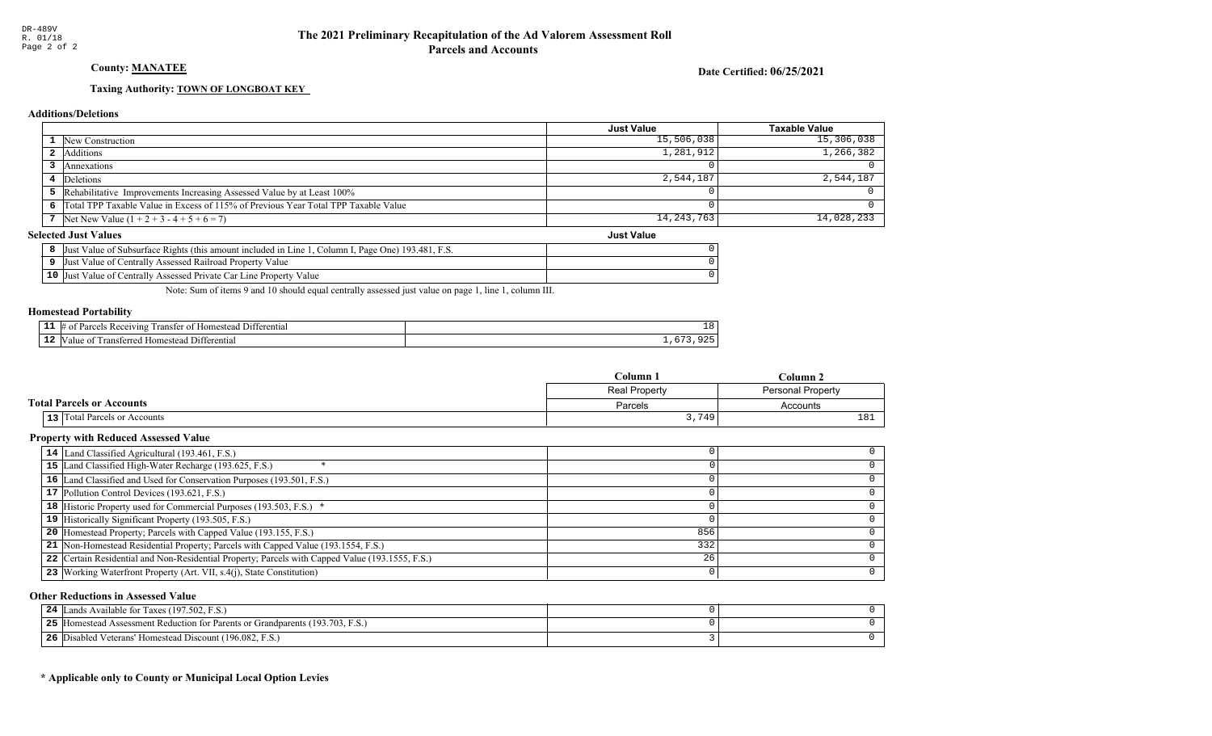### County: **MANATEE**

Date Certified: 06/25/2021

Just Value

### Taxing Authority: **TOWN OF LONGBOAT KEY**

#### Additions/Deletions

|                                                                                      | <b>Just Value</b> | Taxable Value |
|--------------------------------------------------------------------------------------|-------------------|---------------|
| 1 New Construction                                                                   | 15,506,038        | 15,306,038    |
| 2 Additions                                                                          | 1,281,912         | 1, 266, 382   |
| Annexations                                                                          |                   |               |
| 4 Deletions                                                                          | 2,544,187         | 2,544,187     |
| 5 Rehabilitative Improvements Increasing Assessed Value by at Least 100%             |                   |               |
| 6 Total TPP Taxable Value in Excess of 115% of Previous Year Total TPP Taxable Value |                   |               |
| 7 Net New Value $(1 + 2 + 3 - 4 + 5 + 6 = 7)$                                        | 14, 243, 763      | $14,028,233$  |

#### Selected Just Values

| t Value of Subsurface Rights (this amount included in Line 1<br>I. Page One) 193.481. F.S.<br>Column I.<br>IJust |  |
|------------------------------------------------------------------------------------------------------------------|--|
| Just Value of Centrally Assessed Railroad Property Value                                                         |  |
| 10 Just Value of Centrally Assessed Private Car Line Property Value                                              |  |

Note: Sum of items 9 and 10 should equal centrally assessed just value on page 1, line 1, column III.

#### Homestead Portability

| - -<br>. . | entia:<br>71 n c       | ᅩ |
|------------|------------------------|---|
| - 4        | entiai<br>-115<br>,,,, |   |

|                                     | Column 1      | Column 2        |
|-------------------------------------|---------------|-----------------|
|                                     | Real Property |                 |
| <b>Total Parcels or Accounts</b>    | Parcels       | Accounts        |
| <b>13</b> Total Parcels or Accounts | 3,749         | 18 <sup>7</sup> |

### Property with Reduced Assessed Value

| 14 Land Classified Agricultural (193.461, F.S.)                                                 |     |  |
|-------------------------------------------------------------------------------------------------|-----|--|
| 15 Land Classified High-Water Recharge (193.625, F.S.)                                          |     |  |
| 16 Land Classified and Used for Conservation Purposes (193.501, F.S.)                           |     |  |
| 17 Pollution Control Devices (193.621, F.S.)                                                    |     |  |
| 18 Historic Property used for Commercial Purposes (193.503, F.S.) *                             |     |  |
| 19 Historically Significant Property (193.505, F.S.)                                            |     |  |
| <b>20</b> Homestead Property; Parcels with Capped Value (193.155, F.S.)                         | 856 |  |
| 21 Non-Homestead Residential Property; Parcels with Capped Value (193.1554, F.S.)               | 332 |  |
| 22 Certain Residential and Non-Residential Property; Parcels with Capped Value (193.1555, F.S.) | 26  |  |
| 23 Working Waterfront Property (Art. VII, s.4(j), State Constitution)                           |     |  |
|                                                                                                 |     |  |

#### Other Reductions in Assessed Value

| ands Available for Taxes (197.502, F.S.)<br>24                                       |  |
|--------------------------------------------------------------------------------------|--|
| 5 [Homestead Assessment Reduction for Parents or Grandparents (193.703, F.S.)<br>25. |  |
| Disabled Veterans' Homestead Discount (196.082, F.S.)<br>26                          |  |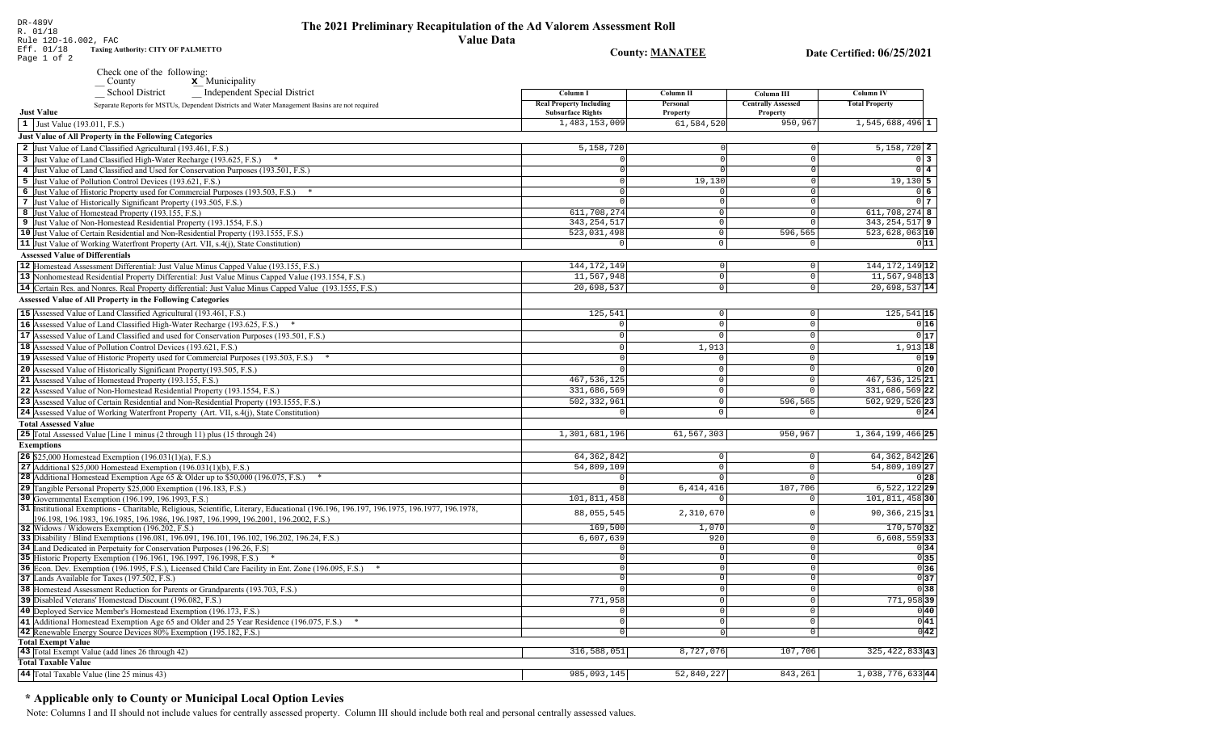### The 2021 Preliminary Recapitulation of the Ad Valorem Assessment Roll **Value Data**

**Taxing Authority: CITY OF PALMETTO County: MANATEE** Date Certified: 06/25/2021 Page 1 of 2 Check one of the following:  $\underline{\mathbf{x}}$  Municipality County School District Independent Special District Column I **Column II** Column III **Column IV Real Property Including** Personal **Centrally Assessed Total Property** Separate Reports for MSTUs, Dependent Districts and Water Management Basins are not required **Just Value Subsurface Rights** Property Property 1,483,153,009 61,584,520  $950, 96'$  $1,545,688,496$ <sup>1</sup>  $\vert 1 \vert$  Just Value (193.011, F.S.) **Just Value of All Property in the Following Categories** 2 Just Value of Land Classified Agricultural (193.461, F.S.) 5,158,720  $5.158.720$  2 3 Just Value of Land Classified High-Water Recharge (193.625, F.S.) \*  $\Omega$  $0<sup>3</sup>$ 4 Just Value of Land Classified and Used for Conservation Purposes (193.501, F.S.)  $\overline{0}$  4 5 Just Value of Pollution Control Devices (193.621, F.S.) 19,130  $19,130$  5 6 Just Value of Historic Property used for Commercial Purposes (193.503, F.S.) \* 06 7 Just Value of Historically Significant Property (193.505, F.S.)  $0<sub>7</sub>$  $\Omega$ 611.708.274 611,708,274 8 8 Just Value of Homestead Property (193.155, F.S.)  $\cap$  $343, 254, 517$  9 343, 254, 517 9 Just Value of Non-Homestead Residential Property (193.1554, F.S.)  $\Omega$ 10 Just Value of Certain Residential and Non-Residential Property (193.1555, F.S.) 523,031,498 596,565  $523,628,063$  10  $\circ$ 11 Just Value of Working Waterfront Property (Art. VII, s.4(j), State Constitution)  $\overline{\circ}$  $011$ **Assessed Value of Differentials** 144, 172, 149 144, 172, 149 12 12 Homestead Assessment Differential: Just Value Minus Capped Value (193.155, F.S.)  $\Omega$  $11,567,948$ <sup>13</sup> 13 Nonhomestead Residential Property Differential: Just Value Minus Capped Value (193.1554, F.S.) 11,567,948  $\mathbb O$ 14 Certain Res. and Nonres. Real Property differential: Just Value Minus Capped Value (193.1555, F.S.) 20,698,537  $\overline{0}$  $20,698,537$  14 **Assessed Value of All Property in the Following Categories** 15 Assessed Value of Land Classified Agricultural (193.461, F.S.) 125,541  $\Omega$  $\Omega$  $125,541$  15 16 Assessed Value of Land Classified High-Water Recharge (193.625, F.S.)  $0|16|$  $\Omega$  $\Omega$  $\Omega$  $0|17$ **17** Assessed Value of Land Classified and used for Conservation Purposes (193.501, F.S.)  $|0|$  $\Omega$  $\overline{0}$ 18 Assessed Value of Pollution Control Devices (193.621, F.S.)  $1.913$  $1,913$  18  $\Omega$ 19 Assessed Value of Historic Property used for Commercial Purposes (193.503, F.S.) \*  $\Omega$  $0|19|$ 20 Assessed Value of Historically Significant Property (193.505, F.S.)  $0|20|$  $\cap$  $\Omega$ 467, 536, 125 21 Assessed Value of Homestead Property (193.155, F.S.) 467, 536, 125 21  $\cap$ 22 Assessed Value of Non-Homestead Residential Property (193.1554, F.S.) 331,686,569  $\Omega$ 331,686,569 22 502, 332, 961 596,565 502,929,526 23 23 Assessed Value of Certain Residential and Non-Residential Property (193.1555, F.S.)  $\cap$ 24 Assessed Value of Working Waterfront Property (Art. VII, s.4(j), State Constitution)  $0|24|$  $\mathbf{0}$ **Total Assessed Value** 25 Total Assessed Value [Line 1 minus (2 through 11) plus (15 through 24) 1,301,681,196 61,567,303 950,967 1, 364, 199, 466 25 **Exemptions** 64.362.842 **26** \$25,000 Homestead Exemption  $(196.031(1)(a), F.S.)$ 64, 362, 842 26  $\Omega$ 27 Additional \$25,000 Homestead Exemption  $(196.031(1)(b), F.S.)$ 54,809,109  $\Omega$ 54,809,109 27 28 Additional Homestead Exemption Age 65 & Older up to \$50,000 (196.075, F.S.) \*  $\cap$  $0|28|$ 29 Tangible Personal Property \$25,000 Exemption (196.183, F.S.)  $6,414,416$ 107,706  $6,522,122$  29 30 Governmental Exemption (196.199, 196.1993, F.S.)  $101.811.458$ 101,811,458 30 31 Institutional Exemptions - Charitable, Religious, Scientific, Literary, Educational (196.196, 196.197, 196.1977, 196.1977, 196.1978, 88,055,545 2,310,670 90, 366, 215 31  $\Omega$ 196.198, 196.1983, 196.1985, 196.1986, 196.1987, 196.1999, 196.2001, 196.2002, F.S.) 169,500  $1.070$ 170,570 32 32 Widows / Widowers Exemption (196.202, F.S.)  $\Omega$ 33 Disability / Blind Exemptions (196.081, 196.091, 196.101, 196.102, 196.202, 196.24, F.S.) 6,607,639 920  $\overline{0}$  $6,608,559$  33 34 Land Dedicated in Perpetuity for Conservation Purposes (196.26, F.S)  $\cap$  $\overline{\circ}$  $0|34|$  $\cap$  $\begin{array}{c|c}\n\hline\n0 & 35 \\
\hline\n0 & 36\n\end{array}$ 35 Historic Property Exemption (196.1961, 196.1997, 196.1998, F.S.) \*  $\Omega$  $\circ$ 36 Econ. Dev. Exemption (196.1995, F.S.), Licensed Child Care Facility in Ent. Zone (196.095, F.S.) \*  $\sqrt{ }$  $\overline{0}$ 37 Lands Available for Taxes (197.502, F.S.)  $\overline{0}$  $0|37$ 38 Homestead Assessment Reduction for Parents or Grandparents (193.703, F.S.)  $\sqrt{38}$ 0 771,958 771,95839 39 Disabled Veterans' Homestead Discount (196.082, F.S.)  $\Omega$ 40 Deployed Service Member's Homestead Exemption (196.173, F.S.)  $\overline{0}$  $0|40|$  $\Omega$  $0|41|$ 41 Additional Homestead Exemption Age 65 and Older and 25 Year Residence (196.075, F.S.) \*  $\overline{0}$  $\Omega$  $\overline{0|42|}$ 42 Renewable Energy Source Devices 80% Exemption (195.182, F.S.)  $\overline{0}$  $\overline{0}$ **Total Exempt Value** 

43 Total Exempt Value (add lines 26 through 42) 316, 588, 051  $8,727,076$  $107,706$  $325, 422, 833$  43 **Total Taxable Value** 44 Total Taxable Value (line 25 minus 43) 985,093,145 52,840,227 843,261 1,038,776,63344

### \* Applicable only to County or Municipal Local Option Levies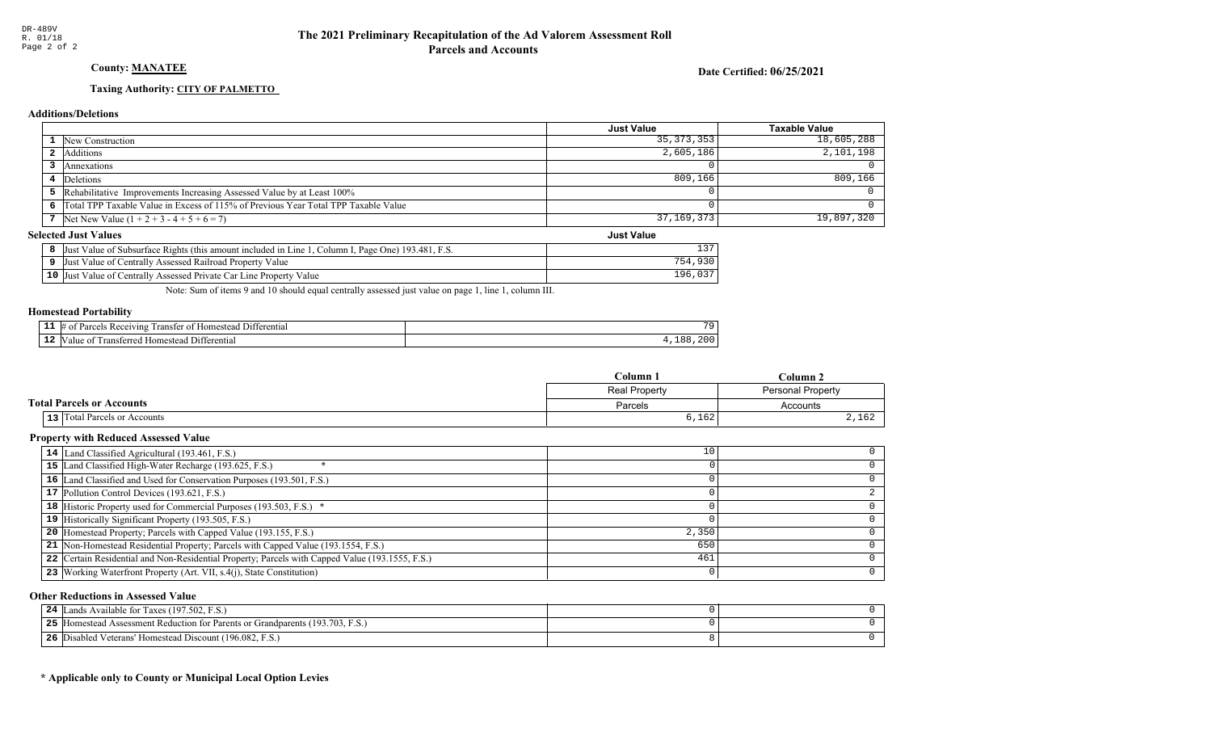### County: **MANATEE**

Date Certified: 06/25/2021

Just Value

### Taxing Authority: CITY OF PALMETTO

#### Additions/Deletions

|                                                                                      | <b>Just Value</b> | Taxable Value |
|--------------------------------------------------------------------------------------|-------------------|---------------|
| 1 New Construction                                                                   | 35, 373, 353      | 18,605,288    |
| 2 Additions                                                                          | 2,605,186         | 2,101,198     |
| Annexations                                                                          |                   |               |
| 4 Deletions                                                                          | 809,166           | 809, 166      |
| 5 Rehabilitative Improvements Increasing Assessed Value by at Least 100%             |                   |               |
| 6 Total TPP Taxable Value in Excess of 115% of Previous Year Total TPP Taxable Value |                   |               |
| 7 Net New Value $(1 + 2 + 3 - 4 + 5 + 6 = 7)$                                        | 37,169,373        | $19,897,320$  |

#### Selected Just Values

| Just Value of Subsurface Rights (this amount included in Line 1, Column I, Page One) 193.481, F.S. |     |
|----------------------------------------------------------------------------------------------------|-----|
| Just Value of Centrally Assessed Railroad Property Value                                           |     |
| 10 Just Value of Centrally Assessed Private Car Line Property Value                                | 196 |

Note: Sum of items 9 and 10 should equal centrally assessed just value on page 1, line 1, column III.

#### Homestead Portability

| - -<br>. . | rentia.<br>$+11$<br>vins<br>. .<br>ane.<br>.me<br>ан<br> |                      |
|------------|----------------------------------------------------------|----------------------|
| -44        | "<br>entia<br>. ımer<br>,,,,                             | $\bigcap$<br>$\circ$ |

|                                     | $C$ olumn     | Column.                  |
|-------------------------------------|---------------|--------------------------|
|                                     | Real Property | <b>Personal Property</b> |
| <b>Total Parcels or Accounts</b>    | Parcels       | Accounts                 |
| <b>13</b> Total Parcels or Accounts | 6,162         | 2,162                    |

### Property with Reduced Assessed Value

| 14 Land Classified Agricultural (193.461, F.S.)                                                 | 10    |  |
|-------------------------------------------------------------------------------------------------|-------|--|
|                                                                                                 |       |  |
| 15 Land Classified High-Water Recharge (193.625, F.S.)                                          |       |  |
| 16 Land Classified and Used for Conservation Purposes (193.501, F.S.)                           |       |  |
| 17 Pollution Control Devices (193.621, F.S.)                                                    |       |  |
| 18 Historic Property used for Commercial Purposes (193.503, F.S.) *                             |       |  |
| 19 Historically Significant Property (193.505, F.S.)                                            |       |  |
| <b>20</b> Homestead Property; Parcels with Capped Value (193.155, F.S.)                         | 2,350 |  |
| 21 Non-Homestead Residential Property; Parcels with Capped Value (193.1554, F.S.)               | 650   |  |
| 22 Certain Residential and Non-Residential Property; Parcels with Capped Value (193.1555, F.S.) | 461   |  |
| 23 Working Waterfront Property (Art. VII, s.4(j), State Constitution)                           |       |  |

#### Other Reductions in Assessed Value

| T ands Available for Taxes (197.502, F.S.)<br>24                                   |  |
|------------------------------------------------------------------------------------|--|
| I Homestead Assessment Reduction for Parents or Grandparents (193.703, F.S.)<br>25 |  |
| Disabled Veterans' Homestead Discount (196.082, F.S.)<br>26                        |  |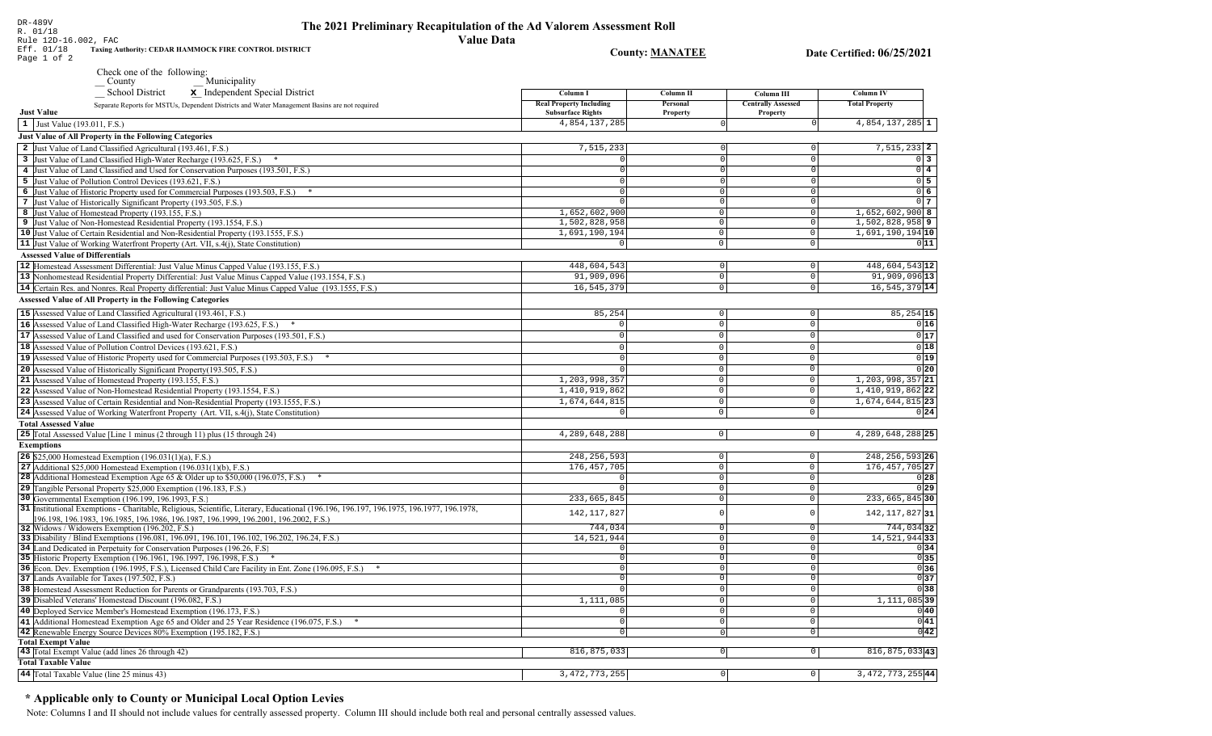| R. 01/18<br><b>Value Data</b><br>Rule 12D-16.002, FAC                                                                                                                          |                                |                            |                           |                              |
|--------------------------------------------------------------------------------------------------------------------------------------------------------------------------------|--------------------------------|----------------------------|---------------------------|------------------------------|
| Eff. 01/18<br>Taxing Authority: CEDAR HAMMOCK FIRE CONTROL DISTRICT<br>Page 1 of 2                                                                                             |                                | <b>County: MANATEE</b>     |                           | Date Certified: 06/25/2021   |
| Check one of the following:<br>$\sqrt{\frac{1}{1}}$ County<br>Municipality                                                                                                     |                                |                            |                           |                              |
| School District<br>Independent Special District                                                                                                                                | Column I                       | Column II                  | Column III                | <b>Column IV</b>             |
| Separate Reports for MSTUs, Dependent Districts and Water Management Basins are not required                                                                                   | <b>Real Property Including</b> | Personal                   | <b>Centrally Assessed</b> | <b>Total Property</b>        |
| <b>Just Value</b>                                                                                                                                                              | <b>Subsurface Rights</b>       | Property                   | Property                  |                              |
| 1 Just Value (193.011, F.S.)                                                                                                                                                   | 4,854,137,285                  |                            | $\Omega$                  | 4,854,137,285 1              |
| Just Value of All Property in the Following Categories                                                                                                                         |                                |                            |                           |                              |
| 2 Just Value of Land Classified Agricultural (193.461, F.S.)                                                                                                                   | 7,515,233                      |                            | $\Omega$                  | $7,515,233$ 2                |
| 3 Just Value of Land Classified High-Water Recharge (193.625, F.S.) *                                                                                                          |                                |                            | $\Omega$                  | 0 <sup>3</sup>               |
| 4 Just Value of Land Classified and Used for Conservation Purposes (193.501, F.S.)                                                                                             |                                |                            | $\Omega$                  | $0\quad 4$                   |
| 5 Just Value of Pollution Control Devices (193.621, F.S.)                                                                                                                      |                                |                            | $\Omega$<br>$\Omega$      | 0 <sub>5</sub><br>$0\vert 6$ |
| 6 Just Value of Historic Property used for Commercial Purposes (193.503, F.S.) *<br>7 Just Value of Historically Significant Property (193.505, F.S.)                          |                                | $\Omega$                   | $\overline{0}$            | 0 <sub>7</sub>               |
| 8 Just Value of Homestead Property (193.155, F.S.)                                                                                                                             | 1,652,602,900                  | $\circ$                    | 0                         | $1,652,602,900$ 8            |
| 9 Just Value of Non-Homestead Residential Property (193.1554, F.S.)                                                                                                            | 1,502,828,958                  | $\circ$                    | 0                         | $1,502,828,958$ 9            |
| 10 Just Value of Certain Residential and Non-Residential Property (193.1555, F.S.)                                                                                             | 1,691,190,194                  | $\overline{0}$             | 0                         | 1,691,190,194 10             |
| 11 Just Value of Working Waterfront Property (Art. VII, s.4(j), State Constitution)                                                                                            | $\overline{0}$                 | $\mathbb O$                | 0                         | 011                          |
| <b>Assessed Value of Differentials</b>                                                                                                                                         |                                |                            |                           |                              |
| 12 Homestead Assessment Differential: Just Value Minus Capped Value (193.155, F.S.)                                                                                            | 448,604,543                    | $\Omega$                   | $\circ$                   | 448,604,543 12               |
| 13 Nonhomestead Residential Property Differential: Just Value Minus Capped Value (193.1554, F.S.)                                                                              | 91,909,096                     | $\overline{0}$             | $\circ$                   | 91,909,096 13                |
| 14 Certain Res. and Nonres. Real Property differential: Just Value Minus Capped Value (193.1555, F.S.)                                                                         | 16,545,379                     | $\overline{0}$             | $\circ$                   | $16, 545, 379$ 14            |
| <b>Assessed Value of All Property in the Following Categories</b>                                                                                                              |                                |                            |                           |                              |
| 15 Assessed Value of Land Classified Agricultural (193.461, F.S.)                                                                                                              | 85,254                         | $\mathbf 0$                | $\circ$                   | $85, 254$ 15                 |
| 16 Assessed Value of Land Classified High-Water Recharge (193.625, F.S.)                                                                                                       |                                | $\Omega$                   | $\mathbf 0$               | 0 16                         |
| 17 Assessed Value of Land Classified and used for Conservation Purposes (193.501, F.S.)                                                                                        | $\Omega$                       | $\Omega$                   | $\Omega$                  | 0 17                         |
| 18 Assessed Value of Pollution Control Devices (193.621, F.S.)                                                                                                                 |                                | $\Omega$                   | $\Omega$                  | 0 18                         |
| 19 Assessed Value of Historic Property used for Commercial Purposes (193.503, F.S.)                                                                                            |                                | $\Omega$                   | $\mathbf 0$               | 0 19                         |
| 20 Assessed Value of Historically Significant Property (193.505, F.S.)                                                                                                         |                                | $\mathbb O$                | $\mathbf 0$               | 0 20                         |
| 21 Assessed Value of Homestead Property (193.155, F.S.)                                                                                                                        | 1,203,998,357                  | $\mathbf 0$                | $\mathsf{O}$              | 1, 203, 998, 357 21          |
| 22 Assessed Value of Non-Homestead Residential Property (193.1554, F.S.)                                                                                                       | 1,410,919,862                  | $\overline{0}$             | 0                         | 1,410,919,862 22             |
| 23 Assessed Value of Certain Residential and Non-Residential Property (193.1555, F.S.)                                                                                         | 1,674,644,815                  | $\overline{0}$             | $\overline{0}$            | 1,674,644,815 23             |
| 24 Assessed Value of Working Waterfront Property (Art. VII, s.4(j), State Constitution)                                                                                        |                                | $\Omega$                   | 0                         | 0 24                         |
| <b>Total Assessed Value</b>                                                                                                                                                    |                                |                            |                           |                              |
| 25 Total Assessed Value [Line 1 minus (2 through 11) plus (15 through 24)                                                                                                      | 4,289,648,288                  | $\circ$                    | 0                         | 4, 289, 648, 288 25          |
| <b>Exemptions</b>                                                                                                                                                              |                                |                            |                           |                              |
| <b>26</b> \$25,000 Homestead Exemption $(196.031(1)(a), F.S.)$                                                                                                                 | 248, 256, 593                  | $\mathbb O$                | $\circ$                   | 248, 256, 593 26             |
| 27 Additional \$25,000 Homestead Exemption $(196.031(1)(b), F.S.)$                                                                                                             | 176, 457, 705                  | $\mathbb O$                | $\circ$                   | 176, 457, 705 27             |
| 28 Additional Homestead Exemption Age 65 & Older up to \$50,000 (196.075, F.S.)<br>29 Tangible Personal Property \$25,000 Exemption (196.183, F.S.)                            | $\Omega$                       | $\mathbb O$<br>$\mathbf 0$ | 0<br>$\mathsf{O}$         | 0 28<br>0 29                 |
| 30 Governmental Exemption (196.199, 196.1993, F.S.)                                                                                                                            | 233,665,845                    | $\circ$                    | 0                         | 233,665,845 30               |
| 31  Institutional Exemptions - Charitable, Religious, Scientific, Literary, Educational (196.196, 196.197, 196.1975, 196.1977, 196.1978,                                       |                                |                            |                           |                              |
| 196.198, 196.1983, 196.1985, 196.1986, 196.1987, 196.1999, 196.2001, 196.2002, F.S.)                                                                                           | 142, 117, 827                  | $\Omega$                   | 0                         | 142, 117, 827 31             |
| 32 Widows / Widowers Exemption (196.202, F.S.)                                                                                                                                 | 744,034                        | $\mathbf 0$                | $\overline{0}$            | 744,03432                    |
| 33 Disability / Blind Exemptions (196.081, 196.091, 196.101, 196.102, 196.202, 196.24, F.S.)                                                                                   | 14,521,944                     | $\overline{0}$             | $\overline{0}$            | 14,521,944 33                |
| 34 Land Dedicated in Perpetuity for Conservation Purposes (196.26, F.S.                                                                                                        | $\Omega$                       | $\mathbf 0$<br>$\Omega$    | $\overline{0}$            | 0 34                         |
| 35 Historic Property Exemption (196.1961, 196.1997, 196.1998, F.S.) *<br>36 Econ. Dev. Exemption (196.1995, F.S.), Licensed Child Care Facility in Ent. Zone (196.095, F.S.) * | $\Omega$                       |                            | $\circ$<br>$\cap$         | 0 35 <br>0 36                |
| 37 Lands Available for Taxes (197.502, F.S.)                                                                                                                                   | $\mathbf{0}$                   | $\mathbf 0$                | $\circ$                   | 0 37                         |
| 38 Homestead Assessment Reduction for Parents or Grandparents (193.703, F.S.)                                                                                                  |                                | $\Omega$                   | $\circ$                   | 0 38                         |
| 39 Disabled Veterans' Homestead Discount (196.082, F.S.)                                                                                                                       | 1,111,085                      | $\mathbf 0$                | $\overline{0}$            | $1,111,085$ 39               |
| 40 Deployed Service Member's Homestead Exemption (196.173, F.S.)                                                                                                               | $\circ$                        | 0                          | 0                         | 0 40                         |
| 41 Additional Homestead Exemption Age 65 and Older and 25 Year Residence (196.075, F.S.) *                                                                                     | 0                              | $\mathbf 0$                | 0                         | 0 41                         |
| 42 Renewable Energy Source Devices 80% Exemption (195.182, F.S.)                                                                                                               | $\Omega$                       | $\Omega$                   | 0                         | 0 42                         |
| <b>Total Exempt Value</b>                                                                                                                                                      |                                |                            |                           |                              |
| 43 Total Exempt Value (add lines 26 through 42)                                                                                                                                | 816,875,033                    | 0                          | 0                         | 816, 875, 033 43             |
| <b>Total Taxable Value</b>                                                                                                                                                     |                                |                            |                           |                              |
| 44 Total Taxable Value (line 25 minus 43)                                                                                                                                      | 3, 472, 773, 255               | 0                          | 0                         | 3,472,773,255 44             |

The 2021 Preliminary Recapitulation of the Ad Valorem Assessment Roll

### \* Applicable only to County or Municipal Local Option Levies

DR-489V<br>R. 01/18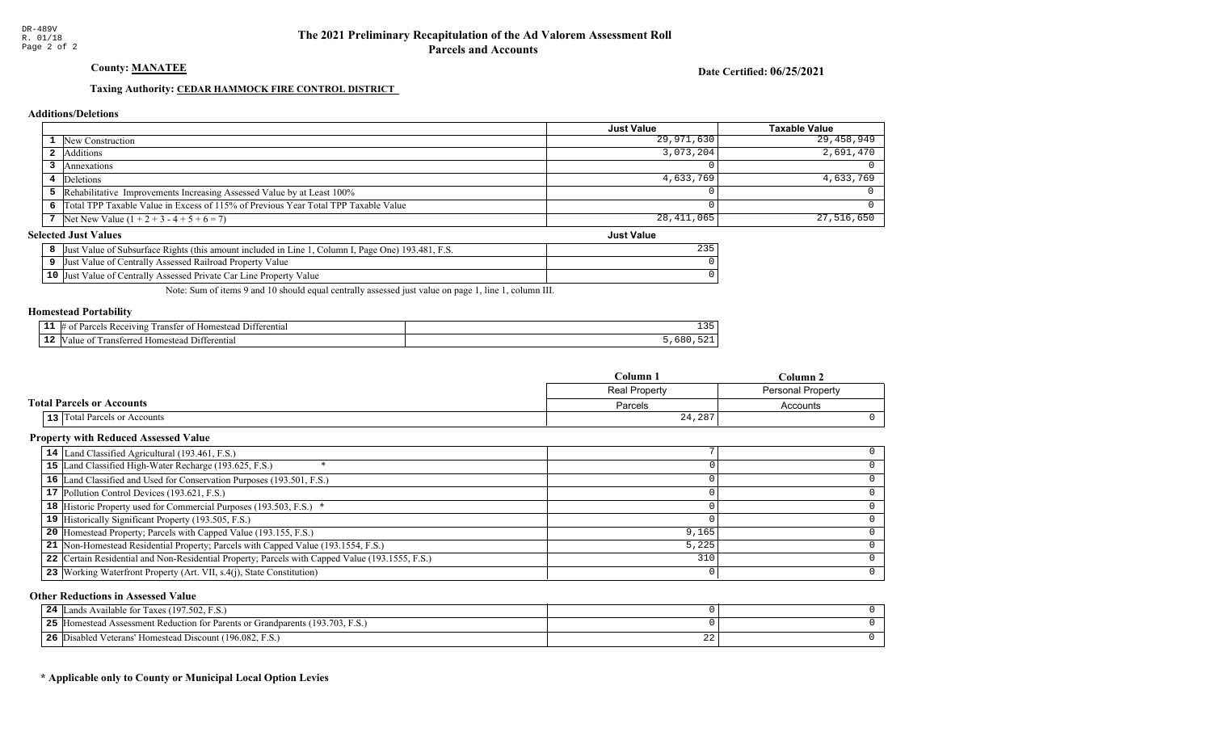County: **MANATEE** 

Date Certified: 06/25/2021

Just Value

### Taxing Authority: CEDAR HAMMOCK FIRE CONTROL DISTRICT

#### Additions/Deletions

|                                                                                      | <b>Just Value</b> | Taxable Value |
|--------------------------------------------------------------------------------------|-------------------|---------------|
| 1 New Construction                                                                   | 29,971,630        | 29,458,949    |
| 2 Additions                                                                          | 3,073,204         | 2,691,470     |
| Annexations                                                                          |                   |               |
| 4 Deletions                                                                          | 4,633,769         | 4,633,769     |
| <b>5</b> Rehabilitative Improvements Increasing Assessed Value by at Least 100%      |                   |               |
| 6 Total TPP Taxable Value in Excess of 115% of Previous Year Total TPP Taxable Value |                   |               |
| 7 Net New Value $(1 + 2 + 3 - 4 + 5 + 6 = 7)$                                        | 28,411,065        | $27,516,650$  |

#### Selected Just Values

| t Value of Subsurface Rights (this amount included in Line 1.<br>Column I, Page One) 193.481, F.S.<br>IJust | 235 |
|-------------------------------------------------------------------------------------------------------------|-----|
| Just Value of Centrally Assessed Railroad Property Value                                                    |     |
| 10 Just Value of Centrally Assessed Private Car Line Property Value                                         |     |

Note: Sum of items 9 and 10 should equal centrally assessed just value on page 1, line 1, column III.

### Homestead Portability

| - -<br>. . | entia"<br>71n9<br>, angrej | $-$<br><u>_</u> |
|------------|----------------------------|-----------------|
| - 4        | entiai<br>-111<br>ш        |                 |

|                                  | Column 1             | Column 2                 |
|----------------------------------|----------------------|--------------------------|
|                                  | <b>Real Property</b> | <b>Personal Property</b> |
| <b>Total Parcels or Accounts</b> | Parcels              | Accounts                 |
| 13 Total Parcels or Accounts     | 24,287               |                          |

### Property with Reduced Assessed Value

| 14 Land Classified Agricultural (193.461, F.S.)                                                 |       |  |
|-------------------------------------------------------------------------------------------------|-------|--|
| 15 Land Classified High-Water Recharge (193.625, F.S.)                                          |       |  |
| 16 Land Classified and Used for Conservation Purposes (193.501, F.S.)                           |       |  |
| 17 Pollution Control Devices (193.621, F.S.)                                                    |       |  |
| 18 Historic Property used for Commercial Purposes (193.503, F.S.) *                             |       |  |
| 19 Historically Significant Property (193.505, F.S.)                                            |       |  |
| 20 Homestead Property; Parcels with Capped Value (193.155, F.S.)                                | 9,165 |  |
| 21 Non-Homestead Residential Property; Parcels with Capped Value (193.1554, F.S.)               | 5,225 |  |
| 22 Certain Residential and Non-Residential Property; Parcels with Capped Value (193.1555, F.S.) | 310   |  |
| 23 Working Waterfront Property (Art. VII, s.4(j), State Constitution)                           |       |  |
|                                                                                                 |       |  |

#### Other Reductions in Assessed Value

| Lands Available for Taxes (197.502, F.S.)<br>24                                  |    |  |
|----------------------------------------------------------------------------------|----|--|
| 25<br>Homestead Assessment Reduction for Parents or Grandparents (193.703, F.S.) |    |  |
| 26<br>Disabled Veterans' Homestead Discount (196.082, F.S.)                      | 44 |  |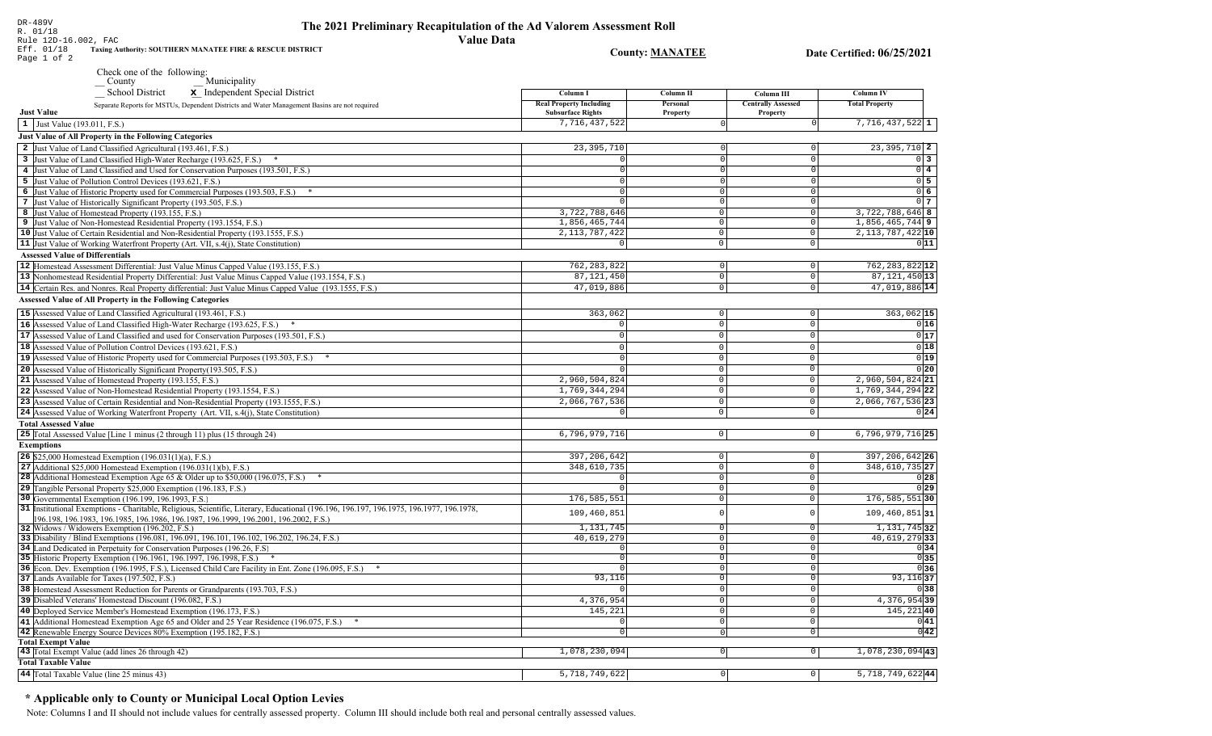| K. UI/IO<br>Rule 12D-16.002, FAC<br>Eff. 01/18                 |                                                                                                                                                                                   | <b>Value Data</b>                 |                               |                            |                                          |
|----------------------------------------------------------------|-----------------------------------------------------------------------------------------------------------------------------------------------------------------------------------|-----------------------------------|-------------------------------|----------------------------|------------------------------------------|
| Page 1 of 2                                                    | Taxing Authority: SOUTHERN MANATEE FIRE & RESCUE DISTRICT                                                                                                                         |                                   | <b>County: MANATEE</b>        |                            | Date Certified: 06/25/2021               |
| County                                                         | Check one of the following:<br>Municipality                                                                                                                                       |                                   |                               |                            |                                          |
|                                                                | <b>School District</b><br>x Independent Special District                                                                                                                          | Column I                          | Column II                     | Column III                 | Column IV                                |
|                                                                | Separate Reports for MSTUs, Dependent Districts and Water Management Basins are not required                                                                                      | <b>Real Property Including</b>    | Personal                      | <b>Centrally Assessed</b>  | <b>Total Property</b>                    |
| <b>Just Value</b>                                              |                                                                                                                                                                                   | <b>Subsurface Rights</b>          | <b>Property</b>               | <b>Property</b>            |                                          |
| 1 Just Value (193.011, F.S.)                                   |                                                                                                                                                                                   | 7,716,437,522                     |                               |                            | $7,716,437,522$ 1                        |
| Just Value of All Property in the Following Categories         |                                                                                                                                                                                   |                                   |                               |                            |                                          |
|                                                                | 2 Just Value of Land Classified Agricultural (193.461, F.S.)                                                                                                                      | 23, 395, 710                      |                               |                            | 23, 395, 710 2                           |
|                                                                | 3 Just Value of Land Classified High-Water Recharge (193.625, F.S.)                                                                                                               |                                   |                               |                            | $0\vert 3$                               |
|                                                                | 4 Just Value of Land Classified and Used for Conservation Purposes (193.501, F.S.)                                                                                                | $\Omega$                          | $\Omega$                      | 0                          | $0\vert 4$                               |
| 5 Just Value of Pollution Control Devices (193.621, F.S.)      |                                                                                                                                                                                   | $\Omega$                          | $\Omega$                      | U                          | $0\overline{\smash{\big)}\,}$ 5          |
|                                                                | 6 Just Value of Historic Property used for Commercial Purposes (193.503, F.S.) *                                                                                                  | $\Omega$                          | 0                             | U                          | 0 <sub>6</sub>                           |
|                                                                | 7 Just Value of Historically Significant Property (193.505, F.S.)                                                                                                                 |                                   | $\circ$                       | 0                          | 0 <sub>7</sub>                           |
| 8 Just Value of Homestead Property (193.155, F.S.)             |                                                                                                                                                                                   | 3,722,788,646                     | $\circ$                       | 0                          | 3,722,788,646 8                          |
|                                                                | 9 Just Value of Non-Homestead Residential Property (193.1554, F.S.)                                                                                                               | 1,856,465,744<br>2, 113, 787, 422 | $\overline{0}$<br>$\mathbf 0$ | 0<br>$\Omega$              | $1,856,465,744$ 9<br>2, 113, 787, 422 10 |
|                                                                | 10 Just Value of Certain Residential and Non-Residential Property (193.1555, F.S.)<br>11 Just Value of Working Waterfront Property (Art. VII, s.4(j), State Constitution)         | $\Omega$                          | 0                             | $\overline{0}$             | 011                                      |
| <b>Assessed Value of Differentials</b>                         |                                                                                                                                                                                   |                                   |                               |                            |                                          |
|                                                                | 12 Homestead Assessment Differential: Just Value Minus Capped Value (193.155, F.S.)                                                                                               | 762, 283, 822                     | 0                             | $\mathbf 0$                | 762, 283, 822 12                         |
|                                                                | 13 Nonhomestead Residential Property Differential: Just Value Minus Capped Value (193.1554, F.S.)                                                                                 | 87, 121, 450                      | $\Omega$                      | $\mathbf 0$                | 87, 121, 450 13                          |
|                                                                | 14 Certain Res. and Nonres. Real Property differential: Just Value Minus Capped Value (193.1555, F.S.)                                                                            | 47,019,886                        | $\mathbf 0$                   | $\overline{0}$             | 47,019,886 14                            |
|                                                                | <b>Assessed Value of All Property in the Following Categories</b>                                                                                                                 |                                   |                               |                            |                                          |
|                                                                |                                                                                                                                                                                   |                                   |                               |                            |                                          |
|                                                                | 15 Assessed Value of Land Classified Agricultural (193.461, F.S.)                                                                                                                 | 363,062                           | 0                             | 0                          | $363,062$ 15                             |
|                                                                | 16 Assessed Value of Land Classified High-Water Recharge (193.625, F.S.)                                                                                                          | $\mathbf 0$                       | $\mathsf 0$                   | $\Omega$                   | 0 16                                     |
|                                                                | 17 Assessed Value of Land Classified and used for Conservation Purposes (193.501, F.S.)                                                                                           | $\mathbf 0$                       | $\mathbf 0$                   | $\mathbf 0$                | 0 17                                     |
|                                                                | 18 Assessed Value of Pollution Control Devices (193.621, F.S.)                                                                                                                    | $\Omega$                          | $\Omega$                      | $\Omega$                   | 0 18                                     |
|                                                                | 19 Assessed Value of Historic Property used for Commercial Purposes (193.503, F.S.)                                                                                               | $\Omega$                          | $\mathbf 0$                   | $\circ$                    | 0 19                                     |
|                                                                | 20 Assessed Value of Historically Significant Property (193.505, F.S.)                                                                                                            |                                   | $\mathbf 0$                   | $\circ$                    | 0 20                                     |
| 21 Assessed Value of Homestead Property (193.155, F.S.)        |                                                                                                                                                                                   | 2,960,504,824                     | $\mathbf 0$                   | $\circ$<br>$\Omega$        | $2,960,504,824$ 21                       |
|                                                                | 22 Assessed Value of Non-Homestead Residential Property (193.1554, F.S.)                                                                                                          | 1,769,344,294                     | $\mathbf 0$                   |                            | 1,769,344,294 22                         |
|                                                                | 23 Assessed Value of Certain Residential and Non-Residential Property (193.1555, F.S.)<br>24 Assessed Value of Working Waterfront Property (Art. VII, s.4(j), State Constitution) | 2,066,767,536                     | $\mathsf 0$<br>$\Omega$       | $\mathbf 0$<br>$\mathbf 0$ | 2,066,767,536 23<br>0 24                 |
| <b>Total Assessed Value</b>                                    |                                                                                                                                                                                   |                                   |                               |                            |                                          |
|                                                                | 25 Total Assessed Value [Line 1 minus (2 through 11) plus (15 through 24)                                                                                                         | 6,796,979,716                     | $\mathbf 0$                   | 0                          | $6,796,979,716$ 25                       |
| <b>Exemptions</b>                                              |                                                                                                                                                                                   |                                   |                               |                            |                                          |
| <b>26</b> \$25,000 Homestead Exemption $(196.031(1)(a), F.S.)$ |                                                                                                                                                                                   | 397, 206, 642                     | $\circ$                       | 0                          | 397, 206, 642 26                         |
|                                                                | 27 Additional \$25,000 Homestead Exemption $(196.031(1)(b), F.S.)$                                                                                                                | 348,610,735                       | $\mathsf 0$                   | $\circ$                    | 348,610,735 27                           |
|                                                                | <b>28</b> Additional Homestead Exemption Age 65 & Older up to \$50,000 (196.075, F.S.)                                                                                            | $\mathbf 0$                       | $\mathsf 0$                   | $\circ$                    | 0 28                                     |
|                                                                | 29 Tangible Personal Property \$25,000 Exemption (196.183, F.S.)                                                                                                                  |                                   | $\mathsf 0$                   | $\mathsf{O}$               | 0 29                                     |
| 30 Governmental Exemption (196.199, 196.1993, F.S.)            |                                                                                                                                                                                   | 176,585,551                       | $\mathsf 0$                   | $\circ$                    | 176, 585, 551 30                         |
|                                                                | 31 Institutional Exemptions - Charitable, Religious, Scientific, Literary, Educational (196.196.197, 196.1975, 196.1977, 196.1978,                                                | 109,460,851                       | $\Omega$                      | 0                          | 109,460,851 31                           |
|                                                                | [96.198, 196.1983, 196.1985, 196.1986, 196.1987, 196.1999, 196.2001, 196.2002, F.S.)                                                                                              |                                   |                               |                            |                                          |
| 32 Widows / Widowers Exemption (196.202, F.S.)                 |                                                                                                                                                                                   | 1,131,745                         | $\mathbf 0$                   | $\mathbf 0$                | 1, 131, 745 32                           |
|                                                                | 33 Disability / Blind Exemptions (196.081, 196.091, 196.101, 196.102, 196.202, 196.24, F.S.)                                                                                      | 40,619,279                        | $\mathbf 0$                   | 0                          | 40,619,27933                             |
|                                                                | 34 Land Dedicated in Perpetuity for Conservation Purposes (196.26, F.S.<br>35 Historic Property Exemption (196.1961, 196.1997, 196.1998, F.S.)                                    | 0<br>$\Omega$                     | $\mathbf 0$<br>$\mathbf 0$    | 0 <br> 0                   | 0 34 <br>0 35                            |
|                                                                | 36 Econ. Dev. Exemption (196.1995, F.S.), Licensed Child Care Facility in Ent. Zone (196.095, F.S.)                                                                               | $\Omega$                          | $\Omega$                      | $\circ$                    | 0 36                                     |
| 37 Lands Available for Taxes (197.502, F.S.)                   |                                                                                                                                                                                   | 93,116                            | $\mathbf 0$                   | 0                          | $93,116$ 37                              |
|                                                                | 38 Homestead Assessment Reduction for Parents or Grandparents (193.703, F.S.)                                                                                                     |                                   | 0                             | 0                          | 0 38                                     |
| 39 Disabled Veterans' Homestead Discount (196.082, F.S.)       |                                                                                                                                                                                   | 4,376,954                         | $\mathbf 0$                   | 0                          | $4,376,954$ 39                           |
|                                                                | 40 Deployed Service Member's Homestead Exemption (196.173, F.S.)                                                                                                                  | 145,221                           | 0                             | 0                          | $145,221$ 40                             |
|                                                                | 41 Additional Homestead Exemption Age 65 and Older and 25 Year Residence (196.075, F.S.)                                                                                          |                                   | $\mathbf 0$                   | 0                          | 0 41                                     |
|                                                                | 42 Renewable Energy Source Devices 80% Exemption (195.182, F.S.)                                                                                                                  | $\mathbf 0$                       | 0                             | 0                          | 0 42                                     |
| <b>Total Exempt Value</b>                                      |                                                                                                                                                                                   |                                   |                               |                            |                                          |
| 43 Total Exempt Value (add lines 26 through 42)                |                                                                                                                                                                                   | 1,078,230,094                     | $\circ$                       | $\circ$                    | $1,078,230,094$ 43                       |
| <b>Total Taxable Value</b>                                     |                                                                                                                                                                                   |                                   |                               |                            |                                          |
| 44 Total Taxable Value (line 25 minus 43)                      |                                                                                                                                                                                   | 5,718,749,622                     | 0                             | $\circ$                    | $5,718,749,622$ 44                       |

The 2021 Preliminary Recapitulation of the Ad Valorem Assessment Roll

### \* Applicable only to County or Municipal Local Option Levies

DR-489V<br>R. 01/18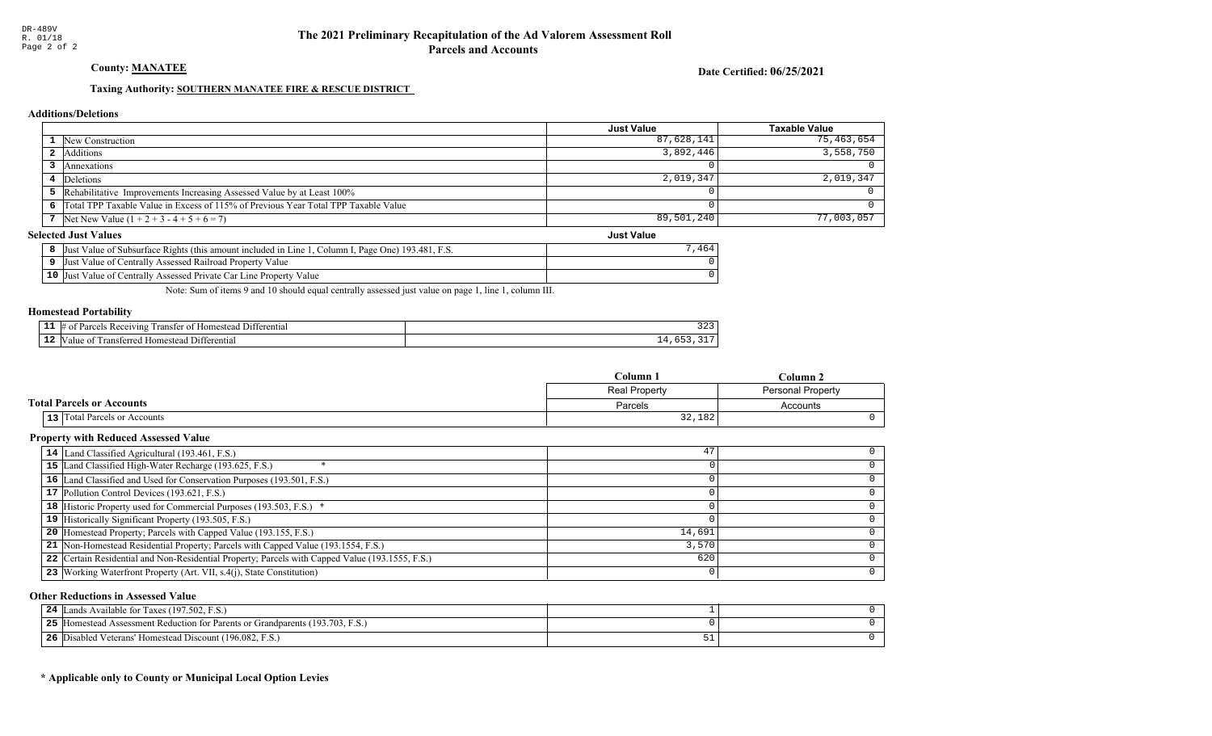### County: **MANATEE**

Date Certified: 06/25/2021

Just Value

### Taxing Authority: SOUTHERN MANATEE FIRE & RESCUE DISTRICT

#### Additions/Deletions

|                                                                                      | <b>Just Value</b> | Taxable Value |
|--------------------------------------------------------------------------------------|-------------------|---------------|
| 1 New Construction                                                                   | 87,628,141        | 75,463,654    |
| 2 Additions                                                                          | 3,892,446         | 3,558,750     |
| Annexations                                                                          |                   |               |
| 4 Deletions                                                                          | 2.019.347         | 2,019,347     |
| 5 Rehabilitative Improvements Increasing Assessed Value by at Least 100%             |                   |               |
| 6 Total TPP Taxable Value in Excess of 115% of Previous Year Total TPP Taxable Value |                   |               |
| 7 Net New Value $(1 + 2 + 3 - 4 + 5 + 6 = 7)$                                        | 89,501,240        | 77,003,057    |

#### Selected Just Values

| t Value of Subsurface Rights (this amount included in Line 1,<br>Column I, Page One) 193.481, F.S.<br>IJust | .464 |
|-------------------------------------------------------------------------------------------------------------|------|
| Just Value of Centrally Assessed Railroad Property Value                                                    |      |
| 10 Just Value of Centrally Assessed Private Car Line Property Value                                         |      |

Note: Sum of items 9 and 10 should equal centrally assessed just value on page 1, line 1, column III.

#### Homestead Portability

| -- | <b>CONTRACTOR</b><br>erentia<br>eiving<br>10 <sup>m</sup><br>ranstei<br>0.01c<br>$^{\Omega}$<br>n | ت کے ز |
|----|---------------------------------------------------------------------------------------------------|--------|
| -- | rentia.<br>-111<br>$\alpha$ ma<br>าทเ<br>-stee                                                    | --     |

|                                  | Column 1             | Column 2                 |  |
|----------------------------------|----------------------|--------------------------|--|
|                                  | <b>Real Property</b> | <b>Personal Property</b> |  |
| <b>Total Parcels or Accounts</b> | Parcels              | Accounts                 |  |
| 13 Total Parcels or Accounts     | 32,182               |                          |  |

### Property with Reduced Assessed Value

| 14 Land Classified Agricultural (193.461, F.S.)                                                 |        |  |
|-------------------------------------------------------------------------------------------------|--------|--|
| 15 Land Classified High-Water Recharge (193.625, F.S.)                                          |        |  |
| 16 Land Classified and Used for Conservation Purposes (193.501, F.S.)                           |        |  |
| 17 Pollution Control Devices (193.621, F.S.)                                                    |        |  |
| 18 Historic Property used for Commercial Purposes (193.503, F.S.) *                             |        |  |
| 19 Historically Significant Property (193.505, F.S.)                                            |        |  |
| <b>20</b> Homestead Property; Parcels with Capped Value (193.155, F.S.)                         | 14,691 |  |
| 21 Non-Homestead Residential Property; Parcels with Capped Value (193.1554, F.S.)               | 3,570  |  |
| 22 Certain Residential and Non-Residential Property; Parcels with Capped Value (193.1555, F.S.) | 620    |  |
| 23 Working Waterfront Property (Art. VII, s.4(j), State Constitution)                           |        |  |

#### Other Reductions in Assessed Value

| 24 | Lands Available for Taxes (197.502, F.S.)                                    |  |
|----|------------------------------------------------------------------------------|--|
| 25 | I Homestead Assessment Reduction for Parents or Grandparents (193.703, F.S.) |  |
| 26 | Disabled Veterans' Homestead Discount (196.082, F.S.)                        |  |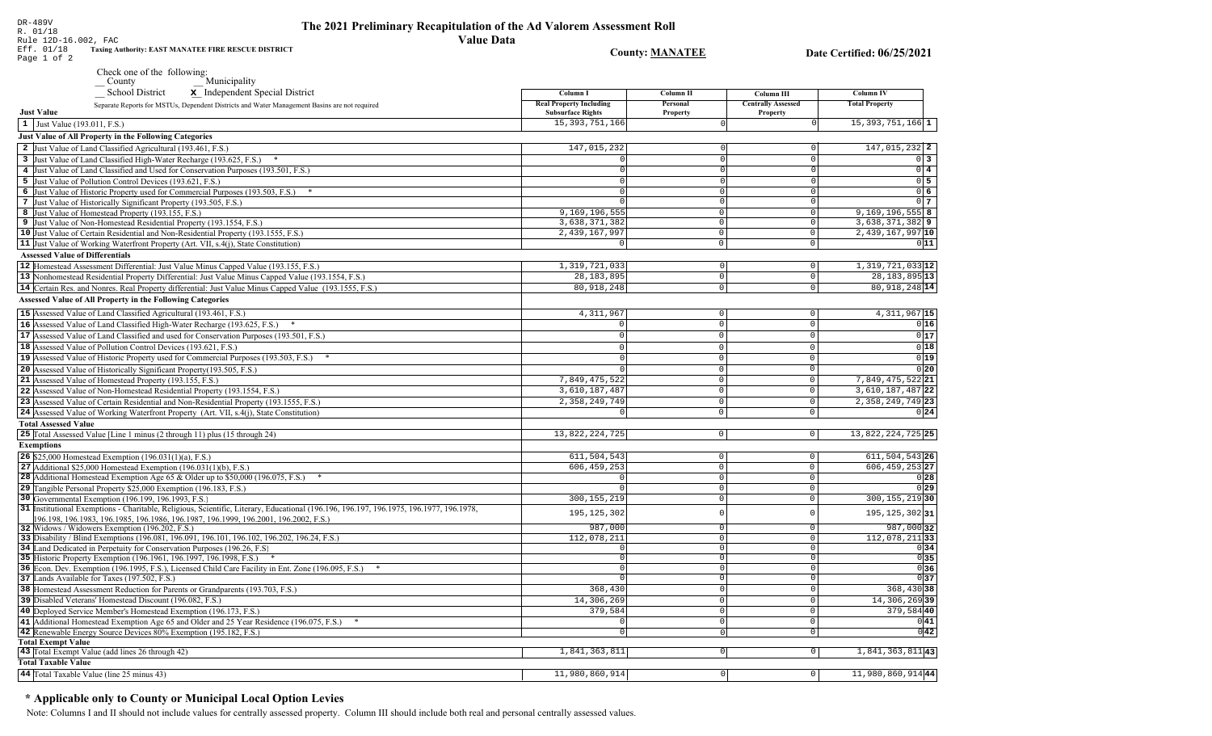| R. 01/18<br><b>Value Data</b><br>Rule 12D-16.002, FAC<br>Eff. 01/18<br>Taxing Authority: EAST MANATEE FIRE RESCUE DISTRICT               |                                | <b>County: MANATEE</b> |                           | Date Certified: 06/25/2021 |
|------------------------------------------------------------------------------------------------------------------------------------------|--------------------------------|------------------------|---------------------------|----------------------------|
| Page 1 of 2                                                                                                                              |                                |                        |                           |                            |
| Check one of the following:<br>$\sqrt{\frac{1}{1}}$ County<br>Municipality                                                               |                                |                        |                           |                            |
| School District<br>x Independent Special District                                                                                        | Column I                       | Column II              | Column III                | <b>Column IV</b>           |
| Separate Reports for MSTUs, Dependent Districts and Water Management Basins are not required                                             | <b>Real Property Including</b> | Personal               | <b>Centrally Assessed</b> | <b>Total Property</b>      |
| <b>Just Value</b>                                                                                                                        | <b>Subsurface Rights</b>       | <b>Property</b>        | Property                  |                            |
| 1 Just Value (193.011, F.S.)                                                                                                             | 15, 393, 751, 166              |                        |                           | 15, 393, 751, 166 1        |
| Just Value of All Property in the Following Categories                                                                                   |                                |                        |                           |                            |
| 2 Just Value of Land Classified Agricultural (193.461, F.S.)                                                                             | 147,015,232                    |                        | 0                         | 147,015,232 2              |
| 3 Just Value of Land Classified High-Water Recharge (193.625, F.S.)<br>$\ast$                                                            |                                |                        | $\Omega$                  | $0\vert 3$                 |
| 4 Just Value of Land Classified and Used for Conservation Purposes (193.501, F.S.)                                                       |                                |                        | 0                         | $0\vert 4$                 |
| 5 Just Value of Pollution Control Devices (193.621, F.S.)                                                                                |                                |                        | 0                         | 0 <sub>5</sub>             |
| 6 Just Value of Historic Property used for Commercial Purposes (193.503, F.S.) *                                                         |                                | $\Omega$               | $\Omega$                  | $0\,6$                     |
| 7 Just Value of Historically Significant Property (193.505, F.S.)                                                                        |                                | $\Omega$               | $\mathbf 0$               | 0 <sub>7</sub>             |
| 8 Just Value of Homestead Property (193.155, F.S.)                                                                                       | 9,169,196,555                  | $\circ$                | 0                         | $9,169,196,555$ 8          |
| 9 Just Value of Non-Homestead Residential Property (193.1554, F.S.)                                                                      | 3,638,371,382                  | $\mathbf 0$            | 0                         | 3,638,371,382 9            |
| 10 Just Value of Certain Residential and Non-Residential Property (193.1555, F.S.)                                                       | 2,439,167,997                  | 0                      | 0                         | 2,439,167,997 10           |
| 11 Just Value of Working Waterfront Property (Art. VII, s.4(j), State Constitution)                                                      | $\overline{0}$                 | $\circ$                | 0                         | 011                        |
| <b>Assessed Value of Differentials</b>                                                                                                   |                                |                        |                           |                            |
| 12 Homestead Assessment Differential: Just Value Minus Capped Value (193.155, F.S.)                                                      | 1,319,721,033                  | $\circ$                | $\circ$                   | 1, 319, 721, 033 12        |
| 13 Nonhomestead Residential Property Differential: Just Value Minus Capped Value (193.1554, F.S.)                                        | 28, 183, 895                   | $^{\circ}$             | $\mathbf 0$               | 28, 183, 895 13            |
| 14 Certain Res. and Nonres. Real Property differential: Just Value Minus Capped Value (193.1555, F.S.)                                   | 80, 918, 248                   | $\overline{0}$         | $\overline{0}$            | 80, 918, 248 14            |
| <b>Assessed Value of All Property in the Following Categories</b>                                                                        |                                |                        |                           |                            |
| 15 Assessed Value of Land Classified Agricultural (193.461, F.S.)                                                                        | 4, 311, 967                    | $\mathbf{0}$           | 0                         | $4,311,967$ 15             |
| 16 Assessed Value of Land Classified High-Water Recharge (193.625, F.S.)                                                                 |                                | $\Omega$               | $\mathbf 0$               | 0 16                       |
| 17 Assessed Value of Land Classified and used for Conservation Purposes (193.501, F.S.)                                                  | $\Omega$                       | $\Omega$               | $\mathbf 0$               | 0 17                       |
| 18 Assessed Value of Pollution Control Devices (193.621, F.S.)                                                                           |                                | $\Omega$               | $\Omega$                  | 0 18                       |
| 19 Assessed Value of Historic Property used for Commercial Purposes (193.503, F.S.) *                                                    |                                | $\Omega$               | $\Omega$                  | 0 19                       |
| 20 Assessed Value of Historically Significant Property (193.505, F.S.)                                                                   |                                | $\mathbf 0$            | 0                         | 0 20                       |
| 21 Assessed Value of Homestead Property (193.155, F.S.)                                                                                  | 7,849,475,522                  | $\Omega$               | 0                         | 7,849,475,522 21           |
| 22 Assessed Value of Non-Homestead Residential Property (193.1554, F.S.)                                                                 | 3,610,187,487                  | $\mathbf 0$            | $\Omega$                  | 3,610,187,487 22           |
| 23 Assessed Value of Certain Residential and Non-Residential Property (193.1555, F.S.)                                                   | 2,358,249,749                  | $\mathbf 0$            | $\mathbf 0$               | 2, 358, 249, 749 23        |
| 24 Assessed Value of Working Waterfront Property (Art. VII, s.4(j), State Constitution)                                                  |                                | $\Omega$               | $\Omega$                  | 0 24                       |
| <b>Total Assessed Value</b>                                                                                                              |                                |                        |                           |                            |
| 25 Total Assessed Value [Line 1 minus (2 through 11) plus (15 through 24)                                                                | 13,822,224,725                 | $\circ$                | $\circ$                   | 13,822,224,725 25          |
| <b>Exemptions</b>                                                                                                                        |                                |                        |                           |                            |
| <b>26</b> \$25,000 Homestead Exemption $(196.031(1)(a), F.S.)$                                                                           | 611,504,543                    | $\circ$                | 0                         | $611, 504, 543$ 26         |
| 27 Additional \$25,000 Homestead Exemption $(196.031(1)(b), F.S.)$                                                                       | 606, 459, 253                  | $\mathbf 0$            | $\mathbf 0$               | 606, 459, 253 27           |
| 28 Additional Homestead Exemption Age 65 & Older up to \$50,000 (196.075, F.S.)                                                          | $\Omega$                       | $\mathbf 0$            | 0                         | 0 28                       |
| 29 Tangible Personal Property \$25,000 Exemption (196.183, F.S.)                                                                         |                                | $\mathbf 0$            | 0                         | 0 29                       |
| 30 Governmental Exemption (196.199, 196.1993, F.S.)                                                                                      | 300, 155, 219                  | $\Omega$               | 0                         | 300, 155, 219 30           |
| 31  Institutional Exemptions - Charitable, Religious, Scientific, Literary, Educational (196.196, 196.197, 196.1975, 196.1977, 196.1978, | 195, 125, 302                  | $\mathcal{C}$          | 0                         | $195, 125, 302$ 31         |
| 196.198, 196.1983, 196.1985, 196.1986, 196.1987, 196.1999, 196.2001, 196.2002, F.S.)<br>32 Widows / Widowers Exemption (196.202, F.S.)   | 987,000                        | 0                      | $\mathbf 0$               | 987,000 32                 |
| 33 Disability / Blind Exemptions (196.081, 196.091, 196.101, 196.102, 196.202, 196.24, F.S.)                                             | 112,078,211                    | $\Omega$               | $\mathbf 0$               | 112,078,21133              |
| 34 Land Dedicated in Perpetuity for Conservation Purposes (196.26, F.S.)                                                                 | $\Omega$                       | $\Omega$               | $\mathbf 0$               | 0 34                       |
| 35 Historic Property Exemption (196.1961, 196.1997, 196.1998, F.S.) *                                                                    | $\Omega$                       | $\Omega$               | $\Omega$                  | 0 35                       |
| 36 Econ. Dev. Exemption (196.1995, F.S.), Licensed Child Care Facility in Ent. Zone (196.095, F.S.) *                                    |                                |                        |                           | 0 36                       |
| 37 Lands Available for Taxes (197.502, F.S.)                                                                                             |                                | $\mathbf{0}$           | $\mathsf 0$               | 0 37                       |
| 38 Homestead Assessment Reduction for Parents or Grandparents (193.703, F.S.)                                                            | 368,430                        | $\Omega$               | $\overline{0}$            | 368,430 38                 |
| 39 Disabled Veterans' Homestead Discount (196.082, F.S.)                                                                                 | 14,306,269                     | 0                      | 0                         | 14,306,269 39              |
| 40 Deployed Service Member's Homestead Exemption (196.173, F.S.)                                                                         | 379,584                        | 0                      | 0                         | 379,584 40                 |
| 41 Additional Homestead Exemption Age 65 and Older and 25 Year Residence (196.075, F.S.) *                                               |                                | 0                      | $\mathsf{O}\xspace$       | 0 41                       |
| 42 Renewable Energy Source Devices 80% Exemption (195.182, F.S.)                                                                         | $\Omega$                       |                        | $\circ$                   | 0 42                       |
| <b>Total Exempt Value</b>                                                                                                                |                                |                        |                           |                            |
| 43 Total Exempt Value (add lines 26 through 42)                                                                                          | 1,841,363,811                  | 0                      | $\overline{0}$            | 1,841,363,811 43           |
| <b>Total Taxable Value</b>                                                                                                               |                                |                        |                           |                            |
| 44 Total Taxable Value (line 25 minus 43)                                                                                                | 11,980,860,914                 | $\circ$                | $\circ$                   | $11,980,860,914$ 44        |

The 2021 Preliminary Recapitulation of the Ad Valorem Assessment Roll

## \* Applicable only to County or Municipal Local Option Levies

DR-489V<br>R. 01/18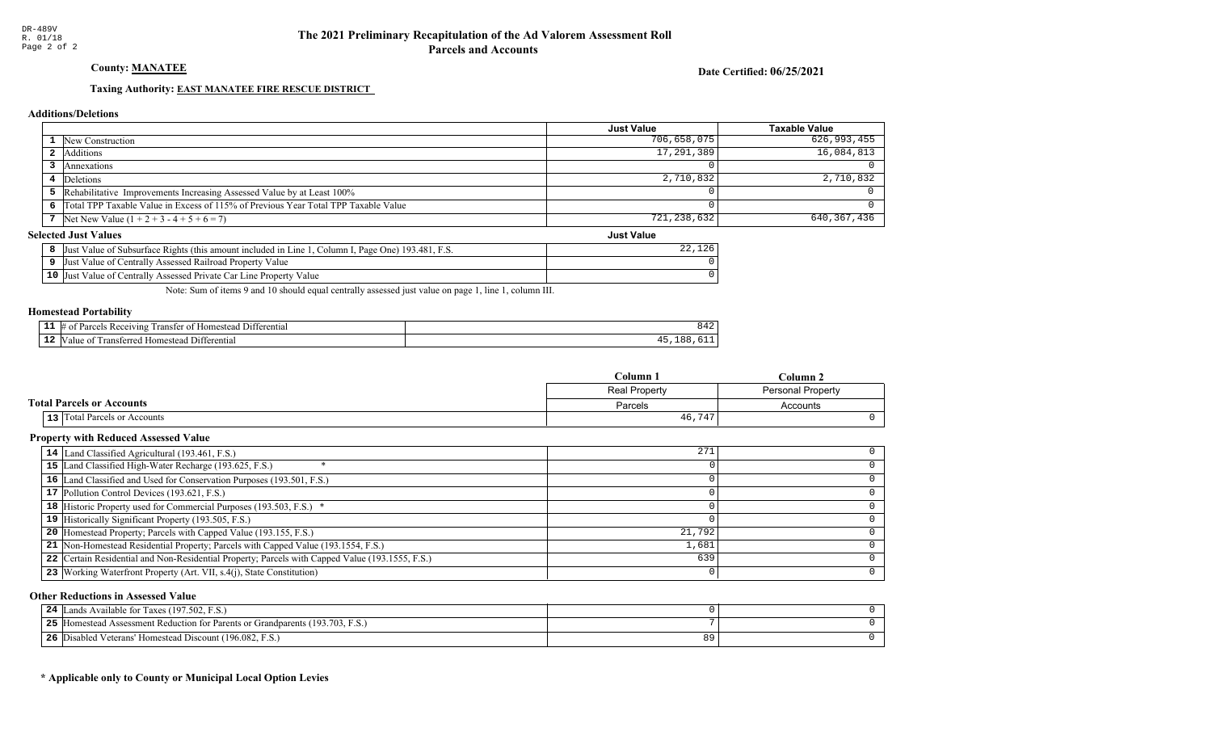County: **MANATEE** 

Date Certified: 06/25/2021

Just Value

### Taxing Authority: **EAST MANATEE FIRE RESCUE DISTRICT**

#### Additions/Deletions

|                                                                                      | <b>Just Value</b> | Taxable Value |
|--------------------------------------------------------------------------------------|-------------------|---------------|
| <b>1</b> New Construction                                                            | 706,658,075       | 626,993,455   |
| Additions                                                                            | 17,291,389        | $16,084,813$  |
| Annexations                                                                          |                   |               |
| 4 Deletions                                                                          | 2,710,832         | $2,710,832$   |
| 5 Rehabilitative Improvements Increasing Assessed Value by at Least 100%             |                   |               |
| 6 Total TPP Taxable Value in Excess of 115% of Previous Year Total TPP Taxable Value |                   |               |
| 7 Net New Value $(1 + 2 + 3 - 4 + 5 + 6 = 7)$                                        | 721,238,632       | 640, 367, 436 |

#### Selected Just Values

| Value of Subsurface Rights (this amount included in Line 1<br>[. Page One) 193.481. F.S.<br>Column I.<br>∣Just | ک ۱ |
|----------------------------------------------------------------------------------------------------------------|-----|
| t Value of Centrally Assessed Railroad Property Value<br>Just                                                  |     |
| 10 Just Value of Centrally Assessed Private Car Line Property Value                                            |     |

Note: Sum of items 9 and 10 should equal centrally assessed just value on page 1, line 1, column III.

### Homestead Portability

| - -<br>. | 11 ا (<br>erential<br>$\sim$ 1010 $\mu$<br>$\cdots$<br>$v_{\rm 3L}$<br>$\Omega$<br>ranster<br>omes<br>- SI F<br>−™ | ັບ ⊥ ∠  |
|----------|--------------------------------------------------------------------------------------------------------------------|---------|
| .        | 11.<br>entia<br>тин<br>domer                                                                                       | $\circ$ |

|                                  | Column <sub>1</sub>  | Column 2                 |  |
|----------------------------------|----------------------|--------------------------|--|
|                                  | <b>Real Property</b> | <b>Personal Property</b> |  |
| <b>Total Parcels or Accounts</b> | Parcels              | Accounts                 |  |
| 13 Total Parcels or Accounts     | 46,747               |                          |  |

### Property with Reduced Assessed Value

| 14 Land Classified Agricultural (193.461, F.S.)                                                 | 271    |   |
|-------------------------------------------------------------------------------------------------|--------|---|
| 15 Land Classified High-Water Recharge (193.625, F.S.)                                          |        |   |
| 16 Land Classified and Used for Conservation Purposes (193.501, F.S.)                           |        |   |
| 17 Pollution Control Devices (193.621, F.S.)                                                    |        |   |
| 18 Historic Property used for Commercial Purposes (193.503, F.S.) *                             |        |   |
| 19 Historically Significant Property (193.505, F.S.)                                            |        |   |
| <b>20</b> Homestead Property; Parcels with Capped Value (193.155, F.S.)                         | 21,792 |   |
| 21 Non-Homestead Residential Property; Parcels with Capped Value (193.1554, F.S.)               | 1,681  |   |
| 22 Certain Residential and Non-Residential Property; Parcels with Capped Value (193.1555, F.S.) | 639    |   |
| 23 Working Waterfront Property (Art. VII, s.4(j), State Constitution)                           |        | ∩ |

#### Other Reductions in Assessed Value

| s Available for Taxes (197.502, F.S.)<br>24<br>ands                               |  |
|-----------------------------------------------------------------------------------|--|
| [Homestead Assessment Reduction for Parents or Grandparents (193.703, F.S.)<br>ット |  |
| Disabled Veterans' Homestead Discount (196.082, F.S.)<br>-26                      |  |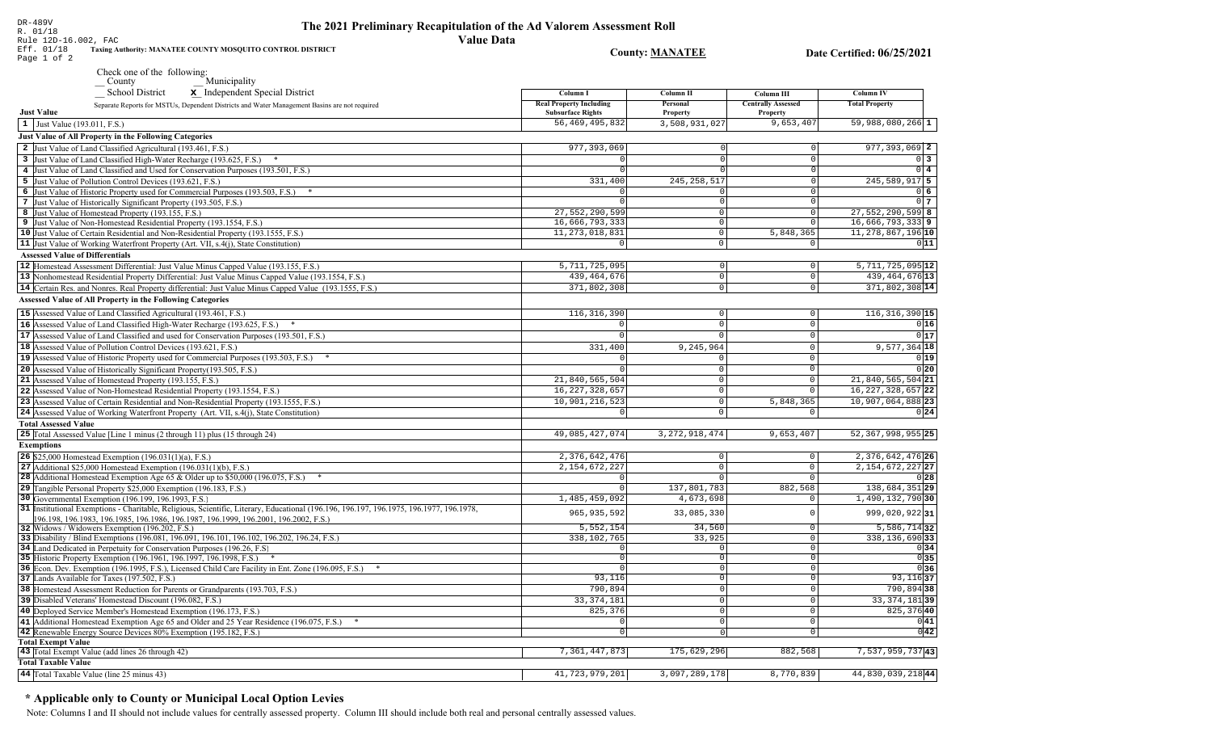| 17. UI/IU<br><b>Value Data</b><br>Rule 12D-16.002, FAC<br>Taxing Authority: MANATEE COUNTY MOSQUITO CONTROL DISTRICT<br>Eff. 01/18<br>Page 1 of 2                         |                                                            | <b>County: MANATEE</b>     |                                       | Date Certified: 06/25/2021                 |
|---------------------------------------------------------------------------------------------------------------------------------------------------------------------------|------------------------------------------------------------|----------------------------|---------------------------------------|--------------------------------------------|
| Check one of the following:                                                                                                                                               |                                                            |                            |                                       |                                            |
| Municipality<br>$C$ ounty                                                                                                                                                 |                                                            |                            |                                       |                                            |
| School District<br>x Independent Special District                                                                                                                         | Column I                                                   | Column II                  | Column III                            | Column IV                                  |
| Separate Reports for MSTUs, Dependent Districts and Water Management Basins are not required<br><b>Just Value</b>                                                         | <b>Real Property Including</b><br><b>Subsurface Rights</b> | Personal<br>Property       | <b>Centrally Assessed</b><br>Property | <b>Total Property</b>                      |
| 1 Just Value (193.011, F.S.)                                                                                                                                              | 56, 469, 495, 832                                          | 3,508,931,027              | 9,653,407                             | 59,988,080,266 1                           |
| <b>Just Value of All Property in the Following Categories</b>                                                                                                             |                                                            |                            |                                       |                                            |
| 2 Just Value of Land Classified Agricultural (193.461, F.S.)                                                                                                              | 977, 393, 069                                              |                            | $\overline{0}$                        | 977, 393, 069 2                            |
| 3 Just Value of Land Classified High-Water Recharge (193.625, F.S.)                                                                                                       | n                                                          |                            | $\overline{0}$                        | $0\vert 3$                                 |
| 4 Just Value of Land Classified and Used for Conservation Purposes (193.501, F.S.)                                                                                        |                                                            |                            | $\overline{0}$                        | $0\quad 4$                                 |
| 5 Just Value of Pollution Control Devices (193.621, F.S.)                                                                                                                 | 331,400                                                    | 245, 258, 517              | $\Omega$                              | 245,589,917 5                              |
| 6 Just Value of Historic Property used for Commercial Purposes (193.503, F.S.) *                                                                                          | n                                                          |                            | $\Omega$                              | $0\vert 6$                                 |
| 7 Just Value of Historically Significant Property (193.505, F.S.)                                                                                                         |                                                            |                            | $\overline{0}$                        | 0 <sub>7</sub>                             |
| 8 Just Value of Homestead Property (193.155, F.S.)                                                                                                                        | 27,552,290,599                                             | $\overline{0}$             | $\overline{0}$                        | $27,552,290,599$ 8                         |
| 9 Just Value of Non-Homestead Residential Property (193.1554, F.S.)                                                                                                       | 16,666,793,333<br>11, 273, 018, 831                        | $\overline{0}$<br>$\Omega$ | 0 <br>5,848,365                       | $16,666,793,333$ 9<br>11, 278, 867, 196 10 |
| 10 Just Value of Certain Residential and Non-Residential Property (193.1555, F.S.)<br>11 Just Value of Working Waterfront Property (Art. VII, s.4(j), State Constitution) | $\overline{0}$                                             | $\mathbf 0$                | $\circ$                               | 0 11                                       |
| <b>Assessed Value of Differentials</b>                                                                                                                                    |                                                            |                            |                                       |                                            |
| 12 Homestead Assessment Differential: Just Value Minus Capped Value (193.155, F.S.)                                                                                       | 5,711,725,095                                              | $\overline{0}$             | $\overline{0}$                        | $5,711,725,095$ <b>12</b>                  |
| 13 Nonhomestead Residential Property Differential: Just Value Minus Capped Value (193.1554, F.S.)                                                                         | 439, 464, 676                                              | $\overline{0}$             | $\overline{0}$                        | 439, 464, 676 13                           |
| 14 Certain Res. and Nonres. Real Property differential: Just Value Minus Capped Value (193.1555, F.S.)                                                                    | 371,802,308                                                | $\mathbb O$                | $\circ$                               | 371,802,308 14                             |
| <b>Assessed Value of All Property in the Following Categories</b>                                                                                                         |                                                            |                            |                                       |                                            |
| 15 Assessed Value of Land Classified Agricultural (193.461, F.S.)                                                                                                         | 116, 316, 390                                              | $\Omega$                   | $\mathbf 0$                           | $116, 316, 390$  15                        |
| 16 Assessed Value of Land Classified High-Water Recharge (193.625, F.S.) *                                                                                                |                                                            | $\Omega$                   | $\overline{0}$                        | 0 16                                       |
| 17 Assessed Value of Land Classified and used for Conservation Purposes (193.501, F.S.)                                                                                   |                                                            |                            | $\Omega$                              | 0 17                                       |
| 18 Assessed Value of Pollution Control Devices (193.621, F.S.)                                                                                                            | 331,400                                                    | 9,245,964                  | $\overline{0}$                        | $9,577,364$ 18                             |
| 19 Assessed Value of Historic Property used for Commercial Purposes (193.503, F.S.)                                                                                       |                                                            | $\Omega$                   | 0                                     | 0 19                                       |
| 20 Assessed Value of Historically Significant Property (193.505, F.S.)                                                                                                    |                                                            | $\Omega$                   | $\mathsf{O}$                          | 0 20                                       |
| 21 Assessed Value of Homestead Property (193.155, F.S.)                                                                                                                   | 21,840,565,504                                             | $\overline{0}$             | $\mathsf{O}$                          | 21,840,565,504 21                          |
| 22 Assessed Value of Non-Homestead Residential Property (193.1554, F.S.)                                                                                                  | 16, 227, 328, 657                                          | $\mathbf 0$                | 0                                     | 16, 227, 328, 657 22                       |
| 23 Assessed Value of Certain Residential and Non-Residential Property (193.1555, F.S.)                                                                                    | 10,901,216,523                                             | $\mathbb O$                | 5,848,365                             | 10,907,064,888 23                          |
| 24 Assessed Value of Working Waterfront Property (Art. VII, s.4(j), State Constitution)                                                                                   | $\circ$                                                    | $\mathbf 0$                | $\circ$                               | 0 24                                       |
| <b>Total Assessed Value</b>                                                                                                                                               |                                                            |                            |                                       |                                            |
| 25 Total Assessed Value [Line 1 minus (2 through 11) plus (15 through 24)                                                                                                 | 49,085,427,074                                             | 3, 272, 918, 474           | 9,653,407                             | 52, 367, 998, 955 25                       |
| <b>Exemptions</b>                                                                                                                                                         |                                                            |                            |                                       |                                            |
| <b>26</b> \$25,000 Homestead Exemption $(196.031(1)(a), F.S.)$                                                                                                            | 2,376,642,476                                              | $\overline{0}$             | $\circ$                               | 2, 376, 642, 476 26                        |
| 27 Additional \$25,000 Homestead Exemption $(196.031(1)(b), F.S.)$                                                                                                        | 2, 154, 672, 227                                           | $\mathbb O$                | $\circ$                               | 2, 154, 672, 227 27                        |
| 28 Additional Homestead Exemption Age 65 & Older up to \$50,000 (196.075, F.S.)<br>29 Tangible Personal Property \$25,000 Exemption (196.183, F.S.)                       | $\Omega$<br>$\Omega$                                       | $\overline{0}$             | $\circ$                               | 0 28<br>138,684,351 29                     |
| 30 Governmental Exemption (196.199, 196.1993, F.S.)                                                                                                                       | 1,485,459,092                                              | 137,801,783<br>4,673,698   | 882,568<br>$\circ$                    | 1,490,132,790 30                           |
| 31 Institutional Exemptions - Charitable, Religious, Scientific, Literary, Educational (196.196.197, 196.1975, 196.1977, 196.1978,                                        |                                                            |                            |                                       |                                            |
| 196.198.196.1983.196.1985.196.1986.196.1987.196.1999.196.2001.196.2002.F.S.)                                                                                              | 965, 935, 592                                              | 33,085,330                 | $\Omega$                              | 999,020,92231                              |
| 32 Widows / Widowers Exemption (196.202, F.S.)                                                                                                                            | 5,552,154                                                  | 34,560                     | $\circ$                               | $5,586,714$ 32                             |
| 33 Disability / Blind Exemptions (196.081, 196.091, 196.101, 196.102, 196.202, 196.24, F.S.)                                                                              | 338,102,765                                                | 33,925                     | $\circ$                               | 338, 136, 690 33                           |
| 34 Land Dedicated in Perpetuity for Conservation Purposes (196.26, F.S)<br>35 Historic Property Exemption (196.1961, 196.1997, 196.1998, F.S.) *                          | $\Omega$                                                   | $\Omega$                   | $\circ$<br>$\circ$                    | 0 34 <br>0 35                              |
| 36 Econ. Dev. Exemption (196.1995, F.S.), Licensed Child Care Facility in Ent. Zone (196.095, F.S.)                                                                       | $\Omega$                                                   | $\Omega$                   | $\overline{0}$                        | 0 36                                       |
| 37 Lands Available for Taxes (197.502, F.S.)                                                                                                                              | 93,116                                                     | $\circ$                    | 0                                     | 93,116 37                                  |
| 38 Homestead Assessment Reduction for Parents or Grandparents (193.703, F.S.)                                                                                             | 790,894                                                    | $\Omega$                   | $\overline{0}$                        | 790,894 38                                 |
| 39 Disabled Veterans' Homestead Discount (196.082, F.S.)                                                                                                                  | 33, 374, 181                                               | $\mathbf{0}$               | $\circ$                               | 33, 374, 18139                             |
| 40 Deployed Service Member's Homestead Exemption (196.173, F.S.)                                                                                                          | 825,376                                                    | 0                          | $\circ$                               | 825,37640                                  |
| 41 Additional Homestead Exemption Age 65 and Older and 25 Year Residence (196.075, F.S.) *                                                                                |                                                            | $\Omega$                   | $\circ$                               | 0 41                                       |
| 42 Renewable Energy Source Devices 80% Exemption (195.182, F.S.)                                                                                                          | $\circ$                                                    | $\Omega$                   | 0                                     | 0 42                                       |
| <b>Total Exempt Value</b>                                                                                                                                                 | 7, 361, 447, 873                                           | 175,629,296                | 882,568                               |                                            |
| 43 Total Exempt Value (add lines 26 through 42)<br><b>Total Taxable Value</b>                                                                                             |                                                            |                            |                                       | $7,537,959,737$  43                        |
| 44 Total Taxable Value (line 25 minus 43)                                                                                                                                 | 41,723,979,201                                             | 3,097,289,178              | 8,770,839                             | 44,830,039,21844                           |
|                                                                                                                                                                           |                                                            |                            |                                       |                                            |

The 2021 Preliminary Recapitulation of the Ad Valorem Assessment Roll

## \* Applicable only to County or Municipal Local Option Levies

DR-489V<br>R. 01/18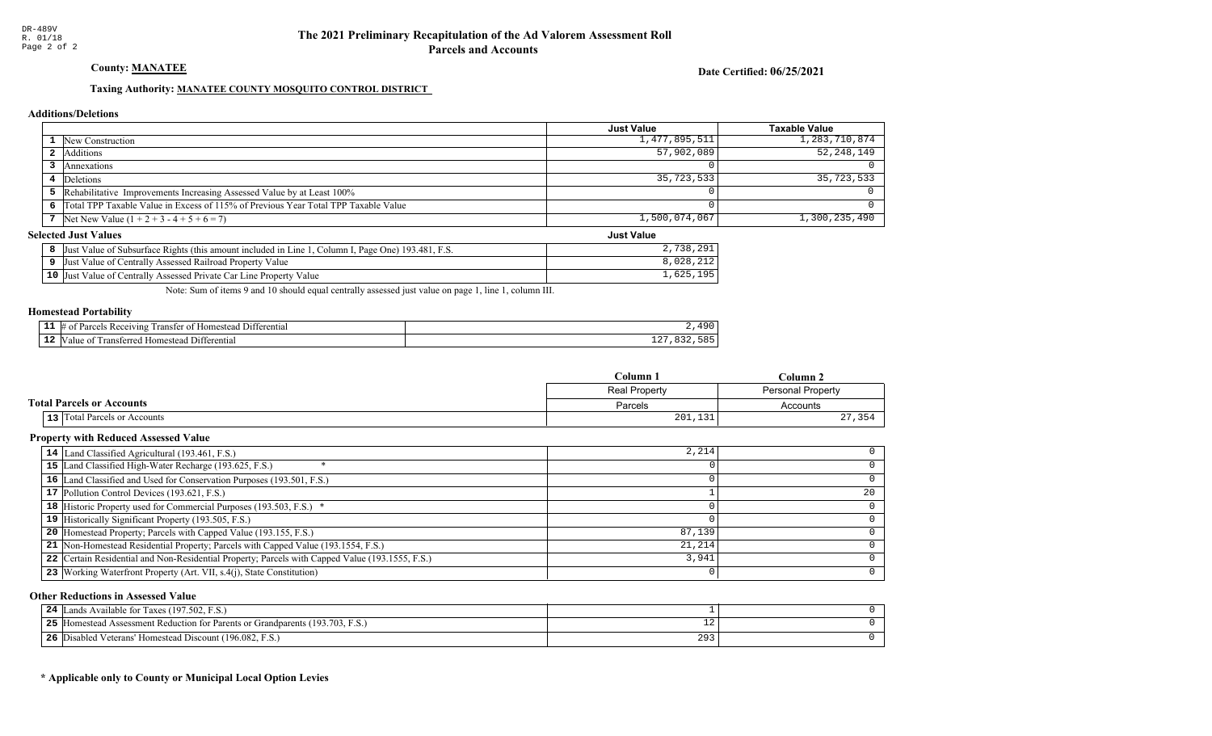### County: **MANATEE**

Date Certified: 06/25/2021

Just Value

### Taxing Authority: MANATEE COUNTY MOSQUITO CONTROL DISTRICT

#### Additions/Deletions

|                                                                                      | <b>Just Value</b> | Taxable Value |
|--------------------------------------------------------------------------------------|-------------------|---------------|
| <b>1</b> New Construction                                                            | 1,477,895,511     | 1,283,710,874 |
| <b>2</b> Additions                                                                   | 57,902,089        | 52,248,149    |
| Annexations                                                                          |                   |               |
| 4 Deletions                                                                          | 35,723,533        | 35,723,533    |
| 5 Rehabilitative Improvements Increasing Assessed Value by at Least 100%             |                   |               |
| 6 Total TPP Taxable Value in Excess of 115% of Previous Year Total TPP Taxable Value |                   |               |
| 7 Net New Value $(1 + 2 + 3 - 4 + 5 + 6 = 7)$                                        | 1,500,074,067     | 1,300,235,490 |

#### Selected Just Values

| Column I, Page One) 193.481, F.S.<br>Value of Subsurface Rights (this amount included in Line 1<br>Just | 720<br>201<br>2, <i>1</i> JU, 2 J 1 |
|---------------------------------------------------------------------------------------------------------|-------------------------------------|
| Just Value of Centrally Assessed Railroad Property Value                                                | ,028,212                            |
| 10 Just Value of Centrally Assessed Private Car Line Property Value                                     | ,625,<br>1 Q F                      |

Note: Sum of items 9 and 10 should equal centrally assessed just value on page 1, line 1, column III.

#### Homestead Portability

|    | nn<br>euvinc<br>מבידי<br>enu: | $\Omega$ |
|----|-------------------------------|----------|
| -- | rans<br>י הי<br>ent.          | ∸∸       |

|                                     | $C$ olumn            | Column 2          |  |
|-------------------------------------|----------------------|-------------------|--|
|                                     | <b>Real Property</b> | Personal Property |  |
| <b>Total Parcels or Accounts</b>    | Parcels              | Accounts          |  |
| <b>13</b> Total Parcels or Accounts | 201,131              | 27,354            |  |

### Property with Reduced Assessed Value

| 14 Land Classified Agricultural (193.461, F.S.)                                                 | 2,214  |    |
|-------------------------------------------------------------------------------------------------|--------|----|
| 15 Land Classified High-Water Recharge (193.625, F.S.)                                          |        |    |
| 16 Land Classified and Used for Conservation Purposes (193.501, F.S.)                           |        |    |
| 17 Pollution Control Devices (193.621, F.S.)                                                    |        | 20 |
| 18 Historic Property used for Commercial Purposes (193.503, F.S.) *                             |        |    |
| 19 Historically Significant Property (193.505, F.S.)                                            |        |    |
| <b>20</b> Homestead Property; Parcels with Capped Value (193.155, F.S.)                         | 87,139 |    |
| 21 Non-Homestead Residential Property; Parcels with Capped Value (193.1554, F.S.)               | 21,214 |    |
| 22 Certain Residential and Non-Residential Property; Parcels with Capped Value (193.1555, F.S.) | 3,941  |    |
| 23 Working Waterfront Property (Art. VII, s.4(j), State Constitution)                           |        | O. |

#### Other Reductions in Assessed Value

| Available for Taxes (197.502, F.S.)<br>24<br>ands                                 |     |  |
|-----------------------------------------------------------------------------------|-----|--|
| [Homestead Assessment Reduction for Parents or Grandparents (193.703, F.S.)<br>ット | . . |  |
| Disabled Veterans' Homestead Discount (196.082, F.S.)<br>26                       | 29. |  |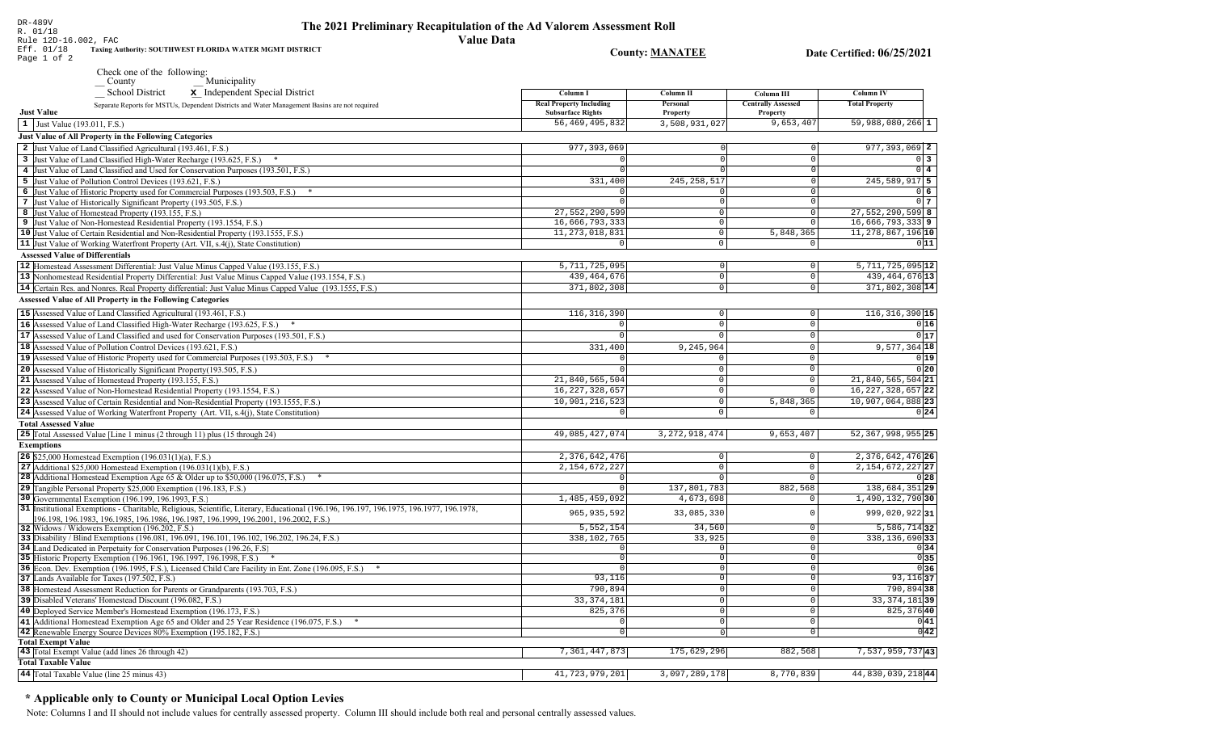| Eff. 01/18<br>Page 1 of 2              | Taxing Authority: SOUTHWEST FLORIDA WATER MGMT DISTRICT                                                                                 |                                                            | <b>County: MANATEE</b>    |                              | Date Certified: 06/25/2021    |
|----------------------------------------|-----------------------------------------------------------------------------------------------------------------------------------------|------------------------------------------------------------|---------------------------|------------------------------|-------------------------------|
|                                        | Check one of the following:                                                                                                             |                                                            |                           |                              |                               |
|                                        | Municipality<br>$\sqrt{\frac{1}{2}}$ County                                                                                             |                                                            |                           |                              |                               |
|                                        | <b>School District</b><br>x Independent Special District                                                                                | Column I                                                   | Column II                 | Column III                   | <b>Column IV</b>              |
| <b>Just Value</b>                      | Separate Reports for MSTUs, Dependent Districts and Water Management Basins are not required                                            | <b>Real Property Including</b><br><b>Subsurface Rights</b> | Personal                  | <b>Centrally Assessed</b>    | <b>Total Property</b>         |
|                                        |                                                                                                                                         | 56, 469, 495, 832                                          | Property<br>3,508,931,027 | <b>Property</b><br>9,653,407 | $59,988,080,266$ 1            |
| 1 Just Value (193.011, F.S.)           |                                                                                                                                         |                                                            |                           |                              |                               |
|                                        | Just Value of All Property in the Following Categories                                                                                  |                                                            |                           |                              |                               |
|                                        | 2 Just Value of Land Classified Agricultural (193.461, F.S.)                                                                            | 977, 393, 069                                              |                           | 0                            | $977, 393, 069$ 2             |
|                                        | 3 Just Value of Land Classified High-Water Recharge (193.625, F.S.) *                                                                   |                                                            |                           | $\Omega$                     | $0\vert 3$                    |
|                                        | 4 Just Value of Land Classified and Used for Conservation Purposes (193.501, F.S.)                                                      |                                                            |                           | 0                            | $0\vert 4$                    |
|                                        | 5 Just Value of Pollution Control Devices (193.621, F.S.)                                                                               | 331,400                                                    | 245, 258, 517             | 0                            | 245, 589, 917 5               |
|                                        | 6 Just Value of Historic Property used for Commercial Purposes (193.503, F.S.) *                                                        |                                                            | $\cap$                    | 0                            | $0\vert 6$                    |
|                                        | 7 Just Value of Historically Significant Property (193.505, F.S.)                                                                       |                                                            | $\Omega$                  | 0                            | 0 <sub>7</sub>                |
|                                        | 8 Just Value of Homestead Property (193.155, F.S.)                                                                                      | 27,552,290,599                                             | $\Omega$                  | 0                            | 27,552,290,599 8              |
|                                        | 9 Just Value of Non-Homestead Residential Property (193.1554, F.S.)                                                                     | 16,666,793,333                                             | $\overline{0}$            | $\Omega$                     | 16,666,793,3339               |
|                                        | 10 Just Value of Certain Residential and Non-Residential Property (193.1555, F.S.)                                                      | 11, 273, 018, 831                                          | 0                         | 5,848,365                    | 11, 278, 867, 196 10          |
|                                        | 11 Just Value of Working Waterfront Property (Art. VII, s.4(j), State Constitution)                                                     | $\overline{0}$                                             | $\circ$                   | 0                            | 011                           |
| <b>Assessed Value of Differentials</b> |                                                                                                                                         |                                                            |                           |                              |                               |
|                                        | 12 Homestead Assessment Differential: Just Value Minus Capped Value (193.155, F.S.)                                                     | 5,711,725,095                                              | $\circ$                   | $\overline{0}$               | $5,711,725,095$ <sup>12</sup> |
|                                        | 13 Nonhomestead Residential Property Differential: Just Value Minus Capped Value (193.1554, F.S.)                                       | 439, 464, 676                                              | $\overline{0}$            | $\mathbf{0}$                 | 439, 464, 676 13              |
|                                        | 14 Certain Res. and Nonres. Real Property differential: Just Value Minus Capped Value (193.1555, F.S.)                                  | 371,802,308                                                | $\overline{0}$            | $\mathbf 0$                  | 371,802,308 14                |
|                                        | <b>Assessed Value of All Property in the Following Categories</b>                                                                       |                                                            |                           |                              |                               |
|                                        |                                                                                                                                         |                                                            |                           |                              |                               |
|                                        | 15 Assessed Value of Land Classified Agricultural (193.461, F.S.)                                                                       | 116, 316, 390                                              | 0                         | 0                            | $116, 316, 390$ 15            |
|                                        | 16 Assessed Value of Land Classified High-Water Recharge (193.625, F.S.)                                                                |                                                            | $\Omega$                  | $\mathbf 0$                  | 0 16                          |
|                                        | 17 Assessed Value of Land Classified and used for Conservation Purposes (193.501, F.S.)                                                 | $\Omega$                                                   | $\Omega$                  | $\mathbf 0$                  | 0 17                          |
|                                        | 18 Assessed Value of Pollution Control Devices (193.621, F.S.)                                                                          | 331,400                                                    | 9,245,964                 | $\Omega$                     | $9,577,364$ 18                |
|                                        | 19 Assessed Value of Historic Property used for Commercial Purposes (193.503, F.S.) *                                                   |                                                            | $\Omega$                  | $\Omega$                     | 0 19                          |
|                                        | 20 Assessed Value of Historically Significant Property (193.505, F.S.)                                                                  |                                                            | $\mathbf 0$               | $\Omega$                     | 0 20                          |
|                                        | 21 Assessed Value of Homestead Property (193.155, F.S.)                                                                                 | 21,840,565,504                                             | $\mathbf 0$               | 0                            | 21,840,565,504 21             |
|                                        | 22 Assessed Value of Non-Homestead Residential Property (193.1554, F.S.)                                                                | 16, 227, 328, 657                                          | $\mathbf 0$               |                              | $16, 227, 328, 657$ 22        |
|                                        | 23 Assessed Value of Certain Residential and Non-Residential Property (193.1555, F.S.)                                                  | 10,901,216,523                                             | $\mathbf 0$               | 5,848,365                    | 10,907,064,888 23             |
|                                        | 24 Assessed Value of Working Waterfront Property (Art. VII, s.4(j), State Constitution)                                                 |                                                            | $\Omega$                  |                              | 0 24                          |
| <b>Total Assessed Value</b>            |                                                                                                                                         |                                                            |                           |                              |                               |
|                                        | 25 Total Assessed Value [Line 1 minus (2 through 11) plus (15 through 24)                                                               | 49,085,427,074                                             | 3, 272, 918, 474          | 9,653,407                    | 52, 367, 998, 955 25          |
| <b>Exemptions</b>                      |                                                                                                                                         |                                                            |                           |                              |                               |
|                                        | <b>26</b> \$25,000 Homestead Exemption $(196.031(1)(a), F.S.)$                                                                          | 2,376,642,476                                              | 0                         | 0                            | 2, 376, 642, 476 26           |
|                                        | 27 Additional \$25,000 Homestead Exemption $(196.031(1)(b), F.S.)$                                                                      | 2, 154, 672, 227                                           | $\mathbf 0$               | $\mathbf 0$                  | 2, 154, 672, 227 27           |
|                                        | <b>28</b> Additional Homestead Exemption Age 65 & Older up to \$50,000 (196.075, F.S.)                                                  | $\Omega$                                                   | $\mathbf 0$               | 0                            | 0 28                          |
|                                        | 29 Tangible Personal Property \$25,000 Exemption (196.183, F.S.)                                                                        | $\Omega$                                                   | 137,801,783               | 882,568                      | 138,684,351 29                |
|                                        | 30 Governmental Exemption (196.199, 196.1993, F.S.)                                                                                     | 1,485,459,092                                              | 4,673,698                 | $\Omega$                     | 1,490,132,790 30              |
|                                        | 31 Institutional Exemptions - Charitable, Religious, Scientific, Literary, Educational (196.196, 196.197, 196.1975, 196.1977, 196.1978, |                                                            |                           |                              |                               |
|                                        | 196.198, 196.1983, 196.1985, 196.1986, 196.1987, 196.1999, 196.2001, 196.2002, F.S.)                                                    | 965, 935, 592                                              | 33,085,330                | $\Omega$                     | 999,020,92231                 |
|                                        | 32 Widows / Widowers Exemption (196.202, F.S.)                                                                                          | 5,552,154                                                  | 34,560                    | 0                            | $5,586,714$ 32                |
|                                        | 33 Disability / Blind Exemptions (196.081, 196.091, 196.101, 196.102, 196.202, 196.24, F.S.)                                            | 338,102,765                                                | 33,925                    | $\mathbf 0$                  | 338, 136, 690 33              |
|                                        | 34 Land Dedicated in Perpetuity for Conservation Purposes (196.26, F.S.                                                                 | $\Omega$                                                   | $\Omega$                  | $\mathbf 0$                  | 0 34                          |
|                                        | 35 Historic Property Exemption (196.1961, 196.1997, 196.1998, F.S.) *                                                                   | $\bigcap$                                                  | $\Omega$                  | $\mathbf 0$                  | 0 35                          |
|                                        | 36 Econ. Dev. Exemption (196.1995, F.S.), Licensed Child Care Facility in Ent. Zone (196.095, F.S.)<br>$*$                              |                                                            | $\Omega$                  | $\mathbf 0$                  | 0 36                          |
|                                        | 37 Lands Available for Taxes (197.502, F.S.)                                                                                            | 93,116                                                     | $\Omega$                  | $\mathbf 0$                  | 93, 116 37                    |
|                                        | 38 Homestead Assessment Reduction for Parents or Grandparents (193.703, F.S.)                                                           | 790,894                                                    | 0                         | $\overline{0}$               | 790,894 38                    |
|                                        | 39 Disabled Veterans' Homestead Discount (196.082, F.S.)                                                                                | 33, 374, 181                                               | $\circ$                   | $\mathbf 0$                  | 33, 374, 181 39               |
|                                        | 40 Deployed Service Member's Homestead Exemption (196.173, F.S.)                                                                        | 825,376                                                    | 0                         | 0                            | 825,37640                     |
|                                        | 41 Additional Homestead Exemption Age 65 and Older and 25 Year Residence (196.075, F.S.)                                                |                                                            | 0                         | $\mathsf{O}\xspace$          | 0 41                          |
|                                        | 42 Renewable Energy Source Devices 80% Exemption (195.182, F.S.)                                                                        | $\overline{0}$                                             | 0                         | $\overline{0}$               | 0 42                          |
| <b>Total Exempt Value</b>              |                                                                                                                                         |                                                            |                           |                              |                               |
|                                        | 43 Total Exempt Value (add lines 26 through 42)                                                                                         | 7,361,447,873                                              | 175,629,296               | 882,568                      | $7,537,959,737$  43           |
| <b>Total Taxable Value</b>             |                                                                                                                                         |                                                            |                           |                              |                               |
|                                        | 44 Total Taxable Value (line 25 minus 43)                                                                                               | 41,723,979,201                                             | 3,097,289,178             | 8,770,839                    | 44,830,039,21844              |
|                                        |                                                                                                                                         |                                                            |                           |                              |                               |

### The 2021 Preliminary Recapitulation of the Ad Valorem Assessment Roll **Value Data**

DR-489V<br>R. 01/18

Rule 12D-16.002, FAC

\* Applicable only to County or Municipal Local Option Levies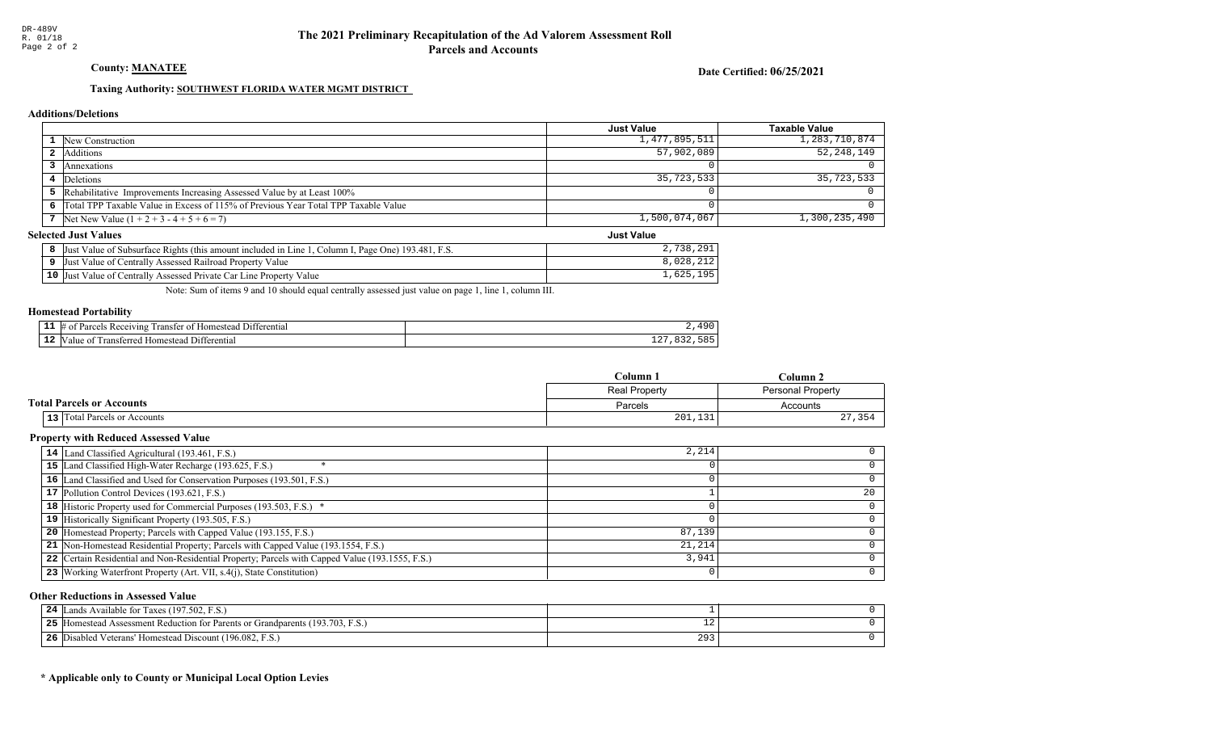### **County: MANATEE**

Date Certified: 06/25/2021

**Just Value** 

### Taxing Authority: SOUTHWEST FLORIDA WATER MGMT DISTRICT

### **Additions/Deletions**

|                                                                                      | Just Value    | Taxable Value |
|--------------------------------------------------------------------------------------|---------------|---------------|
| <b>1</b> New Construction                                                            | 1,477,895,511 | 1,283,710,874 |
| 2 Additions                                                                          | 57,902,089    | 52,248,149    |
| Annexations                                                                          |               |               |
| 4 Deletions                                                                          | 35,723,533    | 35,723,533    |
| 5 Rehabilitative Improvements Increasing Assessed Value by at Least 100%             |               |               |
| 6 Total TPP Taxable Value in Excess of 115% of Previous Year Total TPP Taxable Value |               |               |
| 7 Net New Value $(1 + 2 + 3 - 4 + 5 + 6 = 7)$                                        | 1,500,074,067 | 1,300,235,490 |

### **Selected Just Values**

| 8 Just Value of Subsurface Rights (this amount included in Line 1, Column I, Page One) 193.481, F.S. | 2,738,291 |
|------------------------------------------------------------------------------------------------------|-----------|
| <b>9</b> Just Value of Centrally Assessed Railroad Property Value                                    | 8,028,212 |
| 10 Just Value of Centrally Assessed Private Car Line Property Value                                  | .,625,195 |

Note: Sum of items 9 and 10 should equal centrally assessed just value on page 1, line 1, column III.

### **Homestead Portability**

| --- | ٦m<br>eiving        | $\mathbf{C}$ |
|-----|---------------------|--------------|
| . . | rans.<br>٠nr<br>,,, | - - -        |

|                                  | $C$ olumn            | $C$ olumn $\lambda$      |
|----------------------------------|----------------------|--------------------------|
|                                  | <b>Real Property</b> | <b>Personal Property</b> |
| <b>Total Parcels or Accounts</b> | Parcels              | Accounts                 |
| 13 Total Parcels or Accounts     | 201,131              | つワ<br>21, J J +          |

### **Property with Reduced Assessed Value**

| 14 Land Classified Agricultural (193.461, F.S.)                                                 | 2,214  |    |
|-------------------------------------------------------------------------------------------------|--------|----|
| 15 Land Classified High-Water Recharge (193.625, F.S.)                                          |        |    |
| 16 Land Classified and Used for Conservation Purposes (193.501, F.S.)                           |        |    |
| 17 Pollution Control Devices (193.621, F.S.)                                                    |        | 20 |
| 18 Historic Property used for Commercial Purposes (193.503, F.S.) *                             |        |    |
| 19 Historically Significant Property (193.505, F.S.)                                            |        |    |
| <b>20</b> Homestead Property; Parcels with Capped Value (193.155, F.S.)                         | 87,139 |    |
| 21 Non-Homestead Residential Property; Parcels with Capped Value (193.1554, F.S.)               | 21,214 |    |
| 22 Certain Residential and Non-Residential Property; Parcels with Capped Value (193.1555, F.S.) | 3,941  |    |
| 23   Working Waterfront Property (Art. VII, s.4(j), State Constitution)                         |        | 0  |

### **Other Reductions in Assessed Value**

| 24<br>Lands Available for Taxes (197.502, F.S.)                                   |     |  |
|-----------------------------------------------------------------------------------|-----|--|
| 25<br>[Homestead Assessment Reduction for Parents or Grandparents (193.703, F.S.) | ∸∠  |  |
| 26<br>[5] Disabled Veterans' Homestead Discount (196.082, F.S.)                   | 293 |  |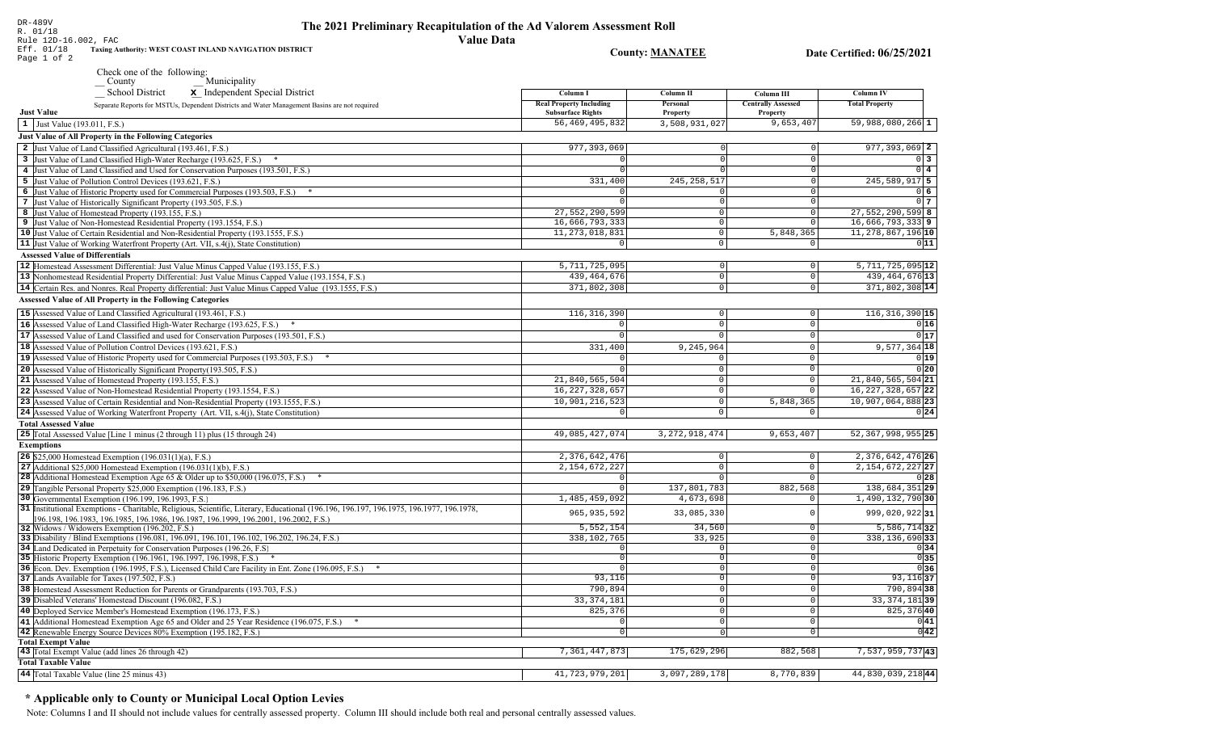| Rule 12D-16.002, FAC                                                                                                                           | <b>Value Data</b>                                          |                        |                                       |                                    |
|------------------------------------------------------------------------------------------------------------------------------------------------|------------------------------------------------------------|------------------------|---------------------------------------|------------------------------------|
| Eff. 01/18<br>Taxing Authority: WEST COAST INLAND NAVIGATION DISTRICT                                                                          |                                                            | <b>County: MANATEE</b> |                                       | Date Certified: 06/25/2021         |
| Page 1 of 2                                                                                                                                    |                                                            |                        |                                       |                                    |
| Check one of the following:                                                                                                                    |                                                            |                        |                                       |                                    |
| Municipality<br>County                                                                                                                         |                                                            |                        |                                       |                                    |
| <b>School District</b><br>x Independent Special District                                                                                       | Column I                                                   | Column II              | Column III                            | <b>Column IV</b>                   |
| Separate Reports for MSTUs, Dependent Districts and Water Management Basins are not required<br><b>Just Value</b>                              | <b>Real Property Including</b><br><b>Subsurface Rights</b> | Personal<br>Property   | <b>Centrally Assessed</b><br>Property | <b>Total Property</b>              |
| 1 Just Value (193.011, F.S.)                                                                                                                   | 56, 469, 495, 832                                          | 3,508,931,027          | 9,653,407                             | $\overline{59}$ , 988, 080, 266 1  |
| <b>Just Value of All Property in the Following Categories</b>                                                                                  |                                                            |                        |                                       |                                    |
| 2 Just Value of Land Classified Agricultural (193.461, F.S.)                                                                                   | 977, 393, 069                                              |                        | $\Omega$                              | $977, 393, 069$ 2                  |
| 3 Just Value of Land Classified High-Water Recharge (193.625, F.S.) *                                                                          | $\mathbf 0$                                                | $\Omega$               | 0                                     | $0\vert 3$                         |
| 4 Just Value of Land Classified and Used for Conservation Purposes (193.501, F.S.)                                                             | $\overline{0}$                                             | $\overline{0}$         | $\overline{0}$                        | $0\vert 4$                         |
| 5 Just Value of Pollution Control Devices (193.621, F.S.)                                                                                      | 331,400                                                    | 245, 258, 517          | 0                                     | $245,589,917$ 5                    |
| 6 Just Value of Historic Property used for Commercial Purposes (193.503, F.S.) *                                                               |                                                            |                        | $\overline{\mathfrak{o}}$             | 0 <sub>6</sub>                     |
| 7 Just Value of Historically Significant Property (193.505, F.S.)                                                                              | $\Omega$                                                   | 0                      | 0                                     | 0 <sub>7</sub>                     |
| 8 Just Value of Homestead Property (193.155, F.S.)                                                                                             | 27,552,290,599                                             | $\mathbf 0$            | 0                                     | $27,552,290,599$ 8                 |
| 9 Just Value of Non-Homestead Residential Property (193.1554, F.S.)                                                                            | 16,666,793,333                                             | $\circ$                | 0                                     | $16,666,793,333$ 9                 |
| 10 Just Value of Certain Residential and Non-Residential Property (193.1555, F.S.)                                                             | 11, 273, 018, 831                                          | $\mathbf 0$            | 5,848,365                             | 11, 278, 867, 196 10               |
| 11 Just Value of Working Waterfront Property (Art. VII, s.4(j), State Constitution)                                                            | $\overline{0}$                                             | $\overline{0}$         | 0                                     | 011                                |
| <b>Assessed Value of Differentials</b>                                                                                                         |                                                            |                        |                                       |                                    |
| 12  Homestead Assessment Differential: Just Value Minus Capped Value (193.155, F.S.)                                                           | 5,711,725,095                                              | $\circ$                | $\mathsf 0$                           | $5,711,725,095$ <sup>12</sup>      |
| 13 Nonhomestead Residential Property Differential: Just Value Minus Capped Value (193.1554, F.S.)                                              | 439, 464, 676                                              | $\circ$                | $\circ$                               | 439, 464, 676 13                   |
| 14 Certain Res. and Nonres. Real Property differential: Just Value Minus Capped Value (193.1555, F.S.)                                         | 371,802,308                                                | $\circ$                | $\circ$                               | 371,802,308 14                     |
| Assessed Value of All Property in the Following Categories                                                                                     |                                                            |                        |                                       |                                    |
| 15 Assessed Value of Land Classified Agricultural (193.461, F.S.)                                                                              | 116, 316, 390                                              | $\mathbf 0$            | $\circ$                               | 116, 316, 390 15                   |
| 16 Assessed Value of Land Classified High-Water Recharge (193.625, F.S.)                                                                       |                                                            | $\Omega$               | $\circ$                               | 0 16                               |
| 17 Assessed Value of Land Classified and used for Conservation Purposes (193.501, F.S.)                                                        | $\Omega$                                                   | $\Omega$               | $\mathbf 0$                           | 0 17                               |
| 18 Assessed Value of Pollution Control Devices (193.621, F.S.)                                                                                 | 331,400                                                    | 9,245,964              | $\mathbb O$                           | $9,577,364$ 18                     |
| 19 Assessed Value of Historic Property used for Commercial Purposes (193.503, F.S.)                                                            |                                                            |                        | $\mathbf{0}$                          | 0 19                               |
| 20 Assessed Value of Historically Significant Property (193.505, F.S.)                                                                         | $\Omega$                                                   | $\Omega$               | $\mathbf 0$                           | 0 20                               |
| 21 Assessed Value of Homestead Property (193.155, F.S.)                                                                                        | 21,840,565,504                                             | $\mathbf 0$            | $\mathsf{O}\xspace$                   | $21,840,565,504$ 21                |
| 22 Assessed Value of Non-Homestead Residential Property (193.1554, F.S.)                                                                       | 16, 227, 328, 657                                          | $\mathbf 0$            | $\mathbf 0$                           | 16, 227, 328, 657 22               |
| 23 Assessed Value of Certain Residential and Non-Residential Property (193.1555, F.S.)                                                         | 10,901,216,523                                             | $\mathbb O$            | 5,848,365                             | 10,907,064,888 23                  |
| 24 Assessed Value of Working Waterfront Property (Art. VII, s.4(j), State Constitution)                                                        | $\mathbf 0$                                                | $\mathbf{0}$           | 0                                     | 0 24                               |
| <b>Total Assessed Value</b>                                                                                                                    |                                                            |                        |                                       |                                    |
| 25 Total Assessed Value [Line 1 minus (2 through 11) plus (15 through 24)                                                                      | 49,085,427,074                                             | 3, 272, 918, 474       | 9,653,407                             | $52,367,998,955$  25               |
| <b>Exemptions</b>                                                                                                                              |                                                            |                        |                                       |                                    |
| <b>26</b> \$25,000 Homestead Exemption $(196.031(1)(a), F.S.)$                                                                                 | 2,376,642,476                                              | $\mathbf 0$            | $\circ$                               | 2, 376, 642, 476 26                |
| 27 Additional \$25,000 Homestead Exemption $(196.031(1)(b), F.S.)$                                                                             | 2, 154, 672, 227                                           | $\Omega$               | $\mathbf 0$                           | 2, 154, 672, 227 27                |
| <b>28</b> Additional Homestead Exemption Age 65 & Older up to \$50,000 (196.075, F.S.)                                                         | $\Omega$                                                   | $\Omega$               | $\Omega$                              | 0 28                               |
| 29 Tangible Personal Property \$25,000 Exemption (196.183, F.S.)                                                                               | $\mathsf{O}$                                               | 137,801,783            | 882,568                               | 138,684,351 29                     |
| 30 Governmental Exemption (196.199, 196.1993, F.S.)                                                                                            | 1,485,459,092                                              | 4,673,698              | $\mathsf{O}\xspace$                   | 1,490,132,790 30                   |
| 31 Institutional Exemptions - Charitable, Religious, Scientific, Literary, Educational (196.196, 196.197, 196.1975, 196.1977, 196.1978,        | 965, 935, 592                                              | 33,085,330             | $\Omega$                              | 999,020,92231                      |
| 196.198, 196.1983, 196.1985, 196.1986, 196.1987, 196.1999, 196.2001, 196.2002, F.S.)                                                           | 5,552,154                                                  | 34,560                 | $\mathbb O$                           |                                    |
| 32 Widows / Widowers Exemption (196.202, F.S.)<br>33 Disability / Blind Exemptions (196.081, 196.091, 196.101, 196.102, 196.202, 196.24, F.S.) | 338,102,765                                                | 33,925                 | $\circ$                               | $5,586,714$ 32<br>338, 136, 690 33 |
| 34 Land Dedicated in Perpetuity for Conservation Purposes (196.26, F.S.)                                                                       | $\mathbf 0$                                                | $\mathbf 0$            | $\circ$                               | 0 34                               |
| 35 Historic Property Exemption (196.1961, 196.1997, 196.1998, F.S.) *                                                                          | $\Omega$                                                   | $\overline{0}$         | $\mathbb O$                           | 0 35                               |
| 36 Econ. Dev. Exemption (196.1995, F.S.), Licensed Child Care Facility in Ent. Zone (196.095, F.S.)                                            | $\Omega$                                                   | $\Omega$               | $\mathbb O$                           | 0 36                               |
| 37 Lands Available for Taxes (197.502, F.S.)                                                                                                   | 93,116                                                     | $\Omega$               | $\mathbb O$                           | $93, 116$ 37                       |
| 38 Homestead Assessment Reduction for Parents or Grandparents (193.703, F.S.)                                                                  | 790,894                                                    | $\overline{0}$         | $\overline{0}$                        | 790,894 38                         |
| 39 Disabled Veterans' Homestead Discount (196.082, F.S.)                                                                                       | 33, 374, 181                                               | $\Omega$               | $\circ$                               | 33, 374, 181 39                    |
| 40 Deployed Service Member's Homestead Exemption (196.173, F.S.)                                                                               | 825,376                                                    | $\Omega$               | $\mathbf 0$                           | 825, 376 40                        |
| 41 Additional Homestead Exemption Age 65 and Older and 25 Year Residence (196.075, F.S.)<br>$\ast$                                             | $\mathbf{0}$                                               | $\Omega$               | $\overline{0}$                        | 0 41                               |
| 42 Renewable Energy Source Devices 80% Exemption (195.182, F.S.)                                                                               | $\mathbf 0$                                                | $\Omega$               | $\mathbf 0$                           | 0 42                               |
| <b>Total Exempt Value</b>                                                                                                                      |                                                            |                        |                                       |                                    |
| 43 Total Exempt Value (add lines 26 through 42)                                                                                                | 7, 361, 447, 873                                           | 175,629,296            | 882,568                               | 7,537,959,73743                    |

41,723,979,201

 $3,097,289,178$ 

 $8,770,839$ 

44,830,039,21844

The 2021 Preliminary Recapitulation of the Ad Valorem Assessment Roll

### \* Applicable only to County or Municipal Local Option Levies

**Total Taxable Value** 

44 Total Taxable Value (line 25 minus 43)

DR-489V

 $R. 01/18$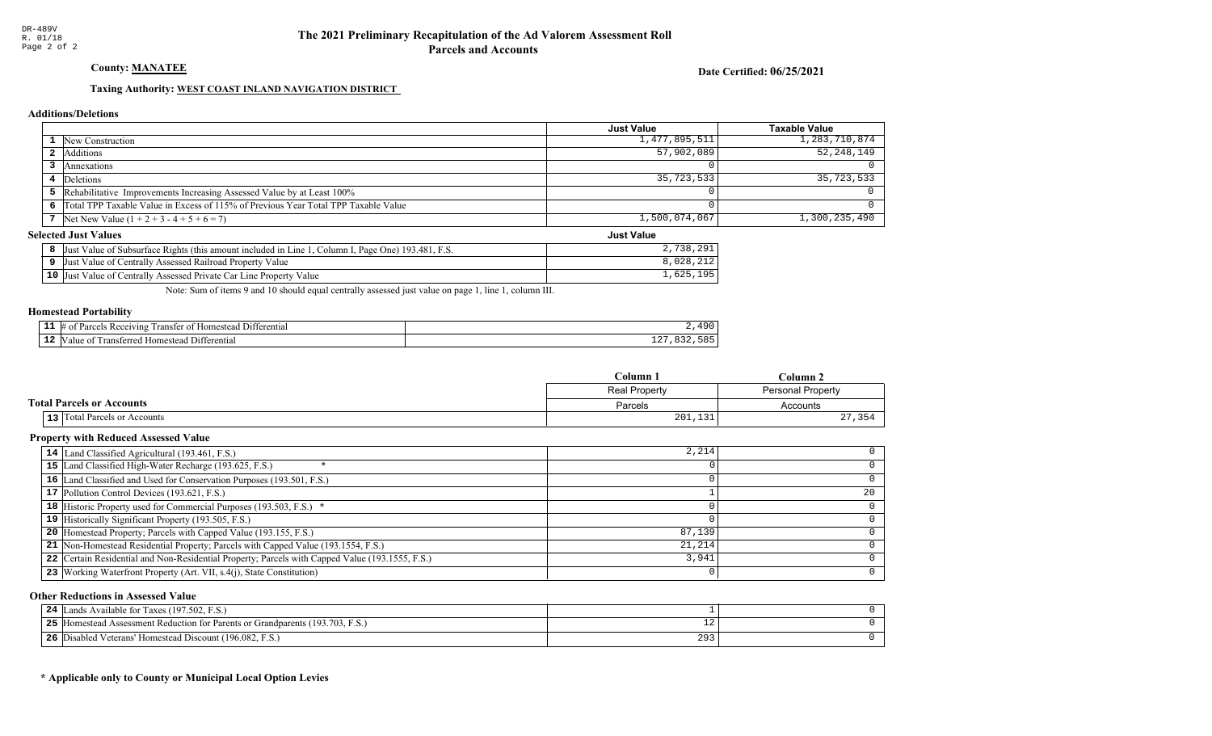County: **MANATEE** 

Date Certified: 06/25/2021

Just Value

### Taxing Authority: WEST COAST INLAND NAVIGATION DISTRICT

#### Additions/Deletions

|                                                                                      | <b>Just Value</b> | Taxable Value |
|--------------------------------------------------------------------------------------|-------------------|---------------|
| <b>1</b> New Construction                                                            | 1,477,895,511     | 1,283,710,874 |
| <b>2</b> Additions                                                                   | 57,902,089        | 52,248,149    |
| Annexations                                                                          |                   |               |
| 4 Deletions                                                                          | 35,723,533        | 35,723,533    |
| 5 Rehabilitative Improvements Increasing Assessed Value by at Least 100%             |                   |               |
| 6 Total TPP Taxable Value in Excess of 115% of Previous Year Total TPP Taxable Value |                   |               |
| 7 Net New Value $(1 + 2 + 3 - 4 + 5 + 6 = 7)$                                        | 1,500,074,067     | 1,300,235,490 |

#### Selected Just Values

| Column I, Page One) 193.481, F.S.<br>Value of Subsurface Rights (this amount included in Line 1<br>Just | 2,738<br>ാവ     |
|---------------------------------------------------------------------------------------------------------|-----------------|
| Just Value of Centrally Assessed Railroad Property Value                                                | ,028,212        |
| <b>10</b> Just Value of Centrally Assessed Private Car Line Property Value                              | 1,625,<br>1 Q 5 |

Note: Sum of items 9 and 10 should equal centrally assessed just value on page 1, line 1, column III.

#### Homestead Portability

| -<br>. | rentia.<br>$.$ ) $1^+$<br>wm<br>ʻar.<br>าทเ<br>.me<br> |    |
|--------|--------------------------------------------------------|----|
|        | -111<br>lome:<br>entia<br>an<br>- ^ *                  | ∸∸ |

|                                  | Column 1      | $C$ olumn $2$     |
|----------------------------------|---------------|-------------------|
|                                  | Real Property | Personal Property |
| <b>Total Parcels or Accounts</b> | Parcels       | Accounts          |
| 13 Total Parcels or Accounts     | 201,131       | , 354             |

### Property with Reduced Assessed Value

| 14 Land Classified Agricultural (193.461, F.S.)                                                 | 2,214  |    |
|-------------------------------------------------------------------------------------------------|--------|----|
| 15 Land Classified High-Water Recharge (193.625, F.S.)                                          |        |    |
| 16 Land Classified and Used for Conservation Purposes (193.501, F.S.)                           |        |    |
| 17 Pollution Control Devices (193.621, F.S.)                                                    |        | 20 |
| 18 Historic Property used for Commercial Purposes (193.503, F.S.) *                             |        |    |
| 19 Historically Significant Property (193.505, F.S.)                                            |        |    |
| <b>20</b> Homestead Property; Parcels with Capped Value (193.155, F.S.)                         | 87,139 |    |
| 21 Non-Homestead Residential Property; Parcels with Capped Value (193.1554, F.S.)               | 21,214 |    |
| 22 Certain Residential and Non-Residential Property; Parcels with Capped Value (193.1555, F.S.) | 3,941  |    |
| 23   Working Waterfront Property (Art. VII, s.4(j), State Constitution)                         |        | 0  |

#### Other Reductions in Assessed Value

| 24<br>Lands Available for Taxes (197.502, F.S.)                                   |     |  |
|-----------------------------------------------------------------------------------|-----|--|
| 25<br>[Homestead Assessment Reduction for Parents or Grandparents (193.703, F.S.) | ∸∠  |  |
| 26<br>[5] Disabled Veterans' Homestead Discount (196.082, F.S.)                   | 293 |  |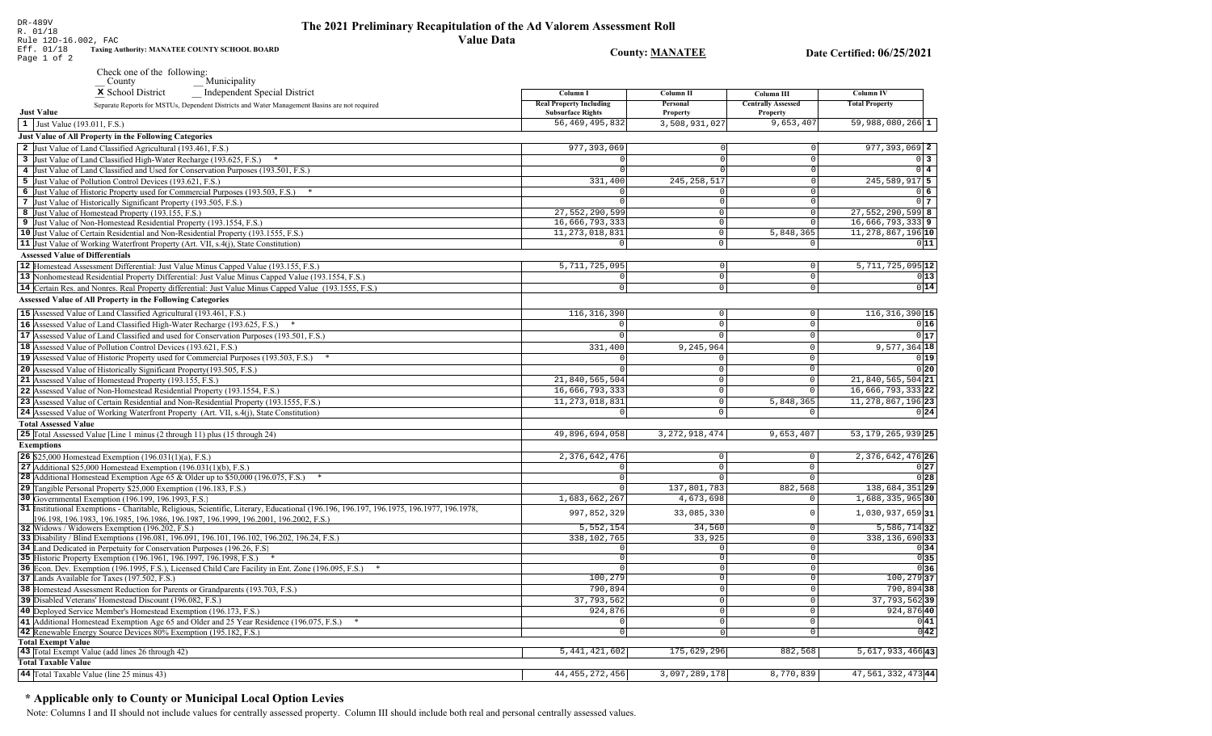| DR-489V<br>R. 01/18                                                | The 2021 Preliminary Recapitulation of the Ad Valorem Assessment Roll |
|--------------------------------------------------------------------|-----------------------------------------------------------------------|
| Rule 12D-16.002, FAC                                               | Value Data                                                            |
| Eff. 01/18<br><b>Taxing Authority: MANATEE COUNTY SCHOOL BOARD</b> | <b>County: MANATEE</b>                                                |

Date Certified: 06/25/2021

|                             | Check one of the following:<br>Municipality<br>County                                                                                                                                                                      |                                                            |                            |                                       |                               |
|-----------------------------|----------------------------------------------------------------------------------------------------------------------------------------------------------------------------------------------------------------------------|------------------------------------------------------------|----------------------------|---------------------------------------|-------------------------------|
|                             | x School District<br>Independent Special District                                                                                                                                                                          | Column I                                                   | Column <sub>II</sub>       | Column III                            | <b>Column IV</b>              |
| <b>Just Value</b>           | Separate Reports for MSTUs, Dependent Districts and Water Management Basins are not required                                                                                                                               | <b>Real Property Including</b><br><b>Subsurface Rights</b> | Personal<br>Property       | <b>Centrally Assessed</b><br>Property | <b>Total Property</b>         |
|                             | 1 Just Value (193.011, F.S.)                                                                                                                                                                                               | 56, 469, 495, 832                                          | 3,508,931,027              | 9,653,407                             | $59,988,080,266$ 1            |
|                             | <b>Just Value of All Property in the Following Categories</b>                                                                                                                                                              |                                                            |                            |                                       |                               |
|                             | 2 Just Value of Land Classified Agricultural (193.461, F.S.)                                                                                                                                                               | 977, 393, 069                                              |                            | $\Omega$                              | 977, 393, 069 2               |
|                             | 3 Just Value of Land Classified High-Water Recharge (193.625, F.S.)                                                                                                                                                        | $\Omega$                                                   |                            | $\Omega$                              | $\overline{0}$ 3              |
|                             | 4 Just Value of Land Classified and Used for Conservation Purposes (193.501, F.S.)                                                                                                                                         | $\Omega$                                                   |                            | $\Omega$                              | $0\overline{4}$               |
|                             | 5 Just Value of Pollution Control Devices (193.621, F.S.)                                                                                                                                                                  | 331,400                                                    | 245, 258, 517              | $\overline{0}$                        | $245,589,917$ 5               |
|                             | 6 Just Value of Historic Property used for Commercial Purposes (193.503, F.S.) *                                                                                                                                           | 0                                                          | $\Omega$                   | $\overline{0}$                        | 0 <sub>6</sub>                |
|                             | 7 Just Value of Historically Significant Property (193.505, F.S.)                                                                                                                                                          | $\Omega$                                                   | $\mathsf 0$                | $\mathbf 0$                           | 0 <sub>7</sub>                |
|                             | 8 Just Value of Homestead Property (193.155, F.S.)                                                                                                                                                                         | 27,552,290,599                                             | $\mathsf 0$                | $\mathsf 0$                           | $27,552,290,599$ 8            |
|                             | 9 Just Value of Non-Homestead Residential Property (193.1554, F.S.)                                                                                                                                                        | 16,666,793,333                                             | $\mathbf 0$                | $\Omega$                              | 16,666,793,3339               |
|                             | 10 Just Value of Certain Residential and Non-Residential Property (193.1555, F.S.)                                                                                                                                         | 11, 273, 018, 831                                          | $\mathbf 0$                | 5,848,365                             | 11, 278, 867, 196 10          |
|                             | 11 Just Value of Working Waterfront Property (Art. VII, s.4(j), State Constitution)                                                                                                                                        | $\Omega$                                                   | $\mathbf{0}$               | $\mathbf 0$                           | 011                           |
|                             | <b>Assessed Value of Differentials</b>                                                                                                                                                                                     |                                                            |                            |                                       |                               |
|                             | 12 Homestead Assessment Differential: Just Value Minus Capped Value (193.155, F.S.)                                                                                                                                        | 5,711,725,095                                              | $\circ$                    | $\mathbb O$                           | $5,711,725,095$ <sup>12</sup> |
|                             | 13 Nonhomestead Residential Property Differential: Just Value Minus Capped Value (193.1554, F.S.)                                                                                                                          | 0                                                          | $\circ$                    | $\Omega$                              | 0 13                          |
|                             | 14 Certain Res. and Nonres. Real Property differential: Just Value Minus Capped Value (193.1555, F.S.)                                                                                                                     | $\Omega$                                                   | $\mathbf 0$                | $\mathbf 0$                           | 0 14                          |
|                             | <b>Assessed Value of All Property in the Following Categories</b>                                                                                                                                                          |                                                            |                            |                                       |                               |
|                             | 15 Assessed Value of Land Classified Agricultural (193.461, F.S.)                                                                                                                                                          | 116, 316, 390                                              | $\mathbf 0$                | 0                                     | $116, 316, 390$ 15            |
|                             | 16 Assessed Value of Land Classified High-Water Recharge (193.625, F.S.)                                                                                                                                                   | 0                                                          | $\mathbb O$                | $\mathsf{O}\xspace$                   | 0 16                          |
|                             | 17 Assessed Value of Land Classified and used for Conservation Purposes (193.501, F.S.)                                                                                                                                    |                                                            | $\Omega$                   | $\mathbf 0$                           | 0 17                          |
|                             | 18 Assessed Value of Pollution Control Devices (193.621, F.S.)                                                                                                                                                             | 331,400                                                    | 9,245,964                  | $\Omega$                              | $9,577,364$ 18                |
|                             | 19 Assessed Value of Historic Property used for Commercial Purposes (193.503, F.S.) *                                                                                                                                      | $\Omega$                                                   | $\Omega$                   | $\Omega$                              | 0 19                          |
|                             | 20 Assessed Value of Historically Significant Property (193.505, F.S.)                                                                                                                                                     |                                                            | $\mathsf 0$                | $\Omega$                              | 0 20                          |
|                             | 21 Assessed Value of Homestead Property (193.155, F.S.)                                                                                                                                                                    | 21,840,565,504                                             | $\mathbf 0$                | $\Omega$                              | 21,840,565,504 21             |
|                             | 22 Assessed Value of Non-Homestead Residential Property (193.1554, F.S.)                                                                                                                                                   | 16,666,793,333                                             | $\mathbb O$                | $\Omega$                              | 16,666,793,333 22             |
|                             | 23 Assessed Value of Certain Residential and Non-Residential Property (193.1555, F.S.)                                                                                                                                     | 11, 273, 018, 831                                          | $\mathbf 0$                | 5,848,365                             | $11, 278, 867, 196$ 23        |
|                             | 24 Assessed Value of Working Waterfront Property (Art. VII, s.4(j), State Constitution)                                                                                                                                    | $\Omega$                                                   | $\mathbf{0}$               | $\Omega$                              | 0 24                          |
| <b>Total Assessed Value</b> |                                                                                                                                                                                                                            |                                                            |                            |                                       |                               |
|                             | 25 Total Assessed Value [Line 1 minus (2 through 11) plus (15 through 24)                                                                                                                                                  | 49,896,694,058                                             | $\overline{3,}272,918,474$ | 9,653,407                             | 53, 179, 265, 939 25          |
| <b>Exemptions</b>           |                                                                                                                                                                                                                            |                                                            |                            |                                       |                               |
|                             | 26 \$25,000 Homestead Exemption (196.031(1)(a), F.S.)                                                                                                                                                                      | 2,376,642,476                                              | $\circ$                    | $\mathbf 0$                           | 2, 376, 642, 476 26           |
|                             | 27 Additional \$25,000 Homestead Exemption $(196.031(1)(b), F.S.)$                                                                                                                                                         |                                                            | $\mathbb O$                | $\Omega$                              | 0 27                          |
|                             | <b>28</b> Additional Homestead Exemption Age 65 & Older up to \$50,000 (196.075, F.S.)                                                                                                                                     | $\mathbf 0$                                                | $\mathbf 0$                | $\Omega$                              | 0 28                          |
|                             | 29 Tangible Personal Property \$25,000 Exemption (196.183, F.S.)                                                                                                                                                           | $\Omega$                                                   | 137,801,783                | 882,568                               | 138,684,351 29                |
|                             | 30 Governmental Exemption (196.199, 196.1993, F.S.)                                                                                                                                                                        | 1,683,662,267                                              | 4,673,698                  | $\mathbf 0$                           | 1,688,335,965 30              |
|                             | 31 Institutional Exemptions - Charitable, Religious, Scientific, Literary, Educational (196.196.197, 196.1975, 196.1977, 196.1978,<br>196.198, 196.1983, 196.1985, 196.1986, 196.1987, 196.1999, 196.2001, 196.2002, F.S.) | 997,852,329                                                | 33,085,330                 | $\mathbf 0$                           | $1,030,937,659$ 31            |
|                             | 32 Widows / Widowers Exemption (196.202, F.S.)                                                                                                                                                                             | 5,552,154                                                  | 34,560                     | $\mathbf 0$                           | 5,586,71432                   |
|                             | 33 Disability / Blind Exemptions (196.081, 196.091, 196.101, 196.102, 196.202, 196.24, F.S.)                                                                                                                               | 338,102,765                                                | 33,925                     | $\mathbf 0$                           | $338, 136, 690$ 33            |
|                             | 34 Land Dedicated in Perpetuity for Conservation Purposes (196.26, F.S.)                                                                                                                                                   |                                                            | $\Omega$                   | $\mathbf 0$                           | 0 34                          |
|                             | 35 Historic Property Exemption (196.1961, 196.1997, 196.1998, F.S.)                                                                                                                                                        |                                                            | $\circ$                    | $\mathbf 0$                           | 0 35                          |
|                             | 36 Econ. Dev. Exemption (196.1995, F.S.), Licensed Child Care Facility in Ent. Zone (196.095, F.S.)                                                                                                                        |                                                            | $\circ$                    | $\Omega$                              | 0 36                          |
|                             | 37 Lands Available for Taxes (197.502, F.S.)                                                                                                                                                                               | 100,279                                                    | $\Omega$                   | $\Omega$                              | $100, 279$ 37                 |
|                             | 38 Homestead Assessment Reduction for Parents or Grandparents (193.703, F.S.)                                                                                                                                              | 790,894                                                    | $\overline{0}$             | $\overline{0}$                        | 790,894 38                    |
|                             | 39 Disabled Veterans' Homestead Discount (196.082, F.S.)                                                                                                                                                                   | 37,793,562                                                 | 0                          | $\mathsf 0$                           | 37, 793, 562 39               |
|                             | 40 Deployed Service Member's Homestead Exemption (196.173, F.S.)                                                                                                                                                           | 924,876                                                    | $\circ$                    | $\Omega$                              | 924,876 40                    |
|                             | 41 Additional Homestead Exemption Age 65 and Older and 25 Year Residence (196.075, F.S.)                                                                                                                                   | $\Omega$                                                   | 0                          | $\Omega$                              | 0 41                          |
|                             | 42 Renewable Energy Source Devices 80% Exemption (195.182, F.S.)                                                                                                                                                           | $\Omega$                                                   | $\Omega$                   | $\mathbf 0$                           | 0 42                          |
| <b>Total Exempt Value</b>   |                                                                                                                                                                                                                            |                                                            |                            |                                       |                               |
|                             | 43 Total Exempt Value (add lines 26 through 42)                                                                                                                                                                            | 5, 441, 421, 602                                           | 175,629,296                | 882,568                               | $5,617,933,466$ <sup>43</sup> |
| <b>Total Taxable Value</b>  |                                                                                                                                                                                                                            |                                                            |                            |                                       |                               |
|                             | 44 Total Taxable Value (line 25 minus 43)                                                                                                                                                                                  | 44, 455, 272, 456                                          | 3,097,289,178              | 8,770,839                             | 47, 561, 332, 473 44          |

### \* Applicable only to County or Municipal Local Option Levies

Page 1 of 2